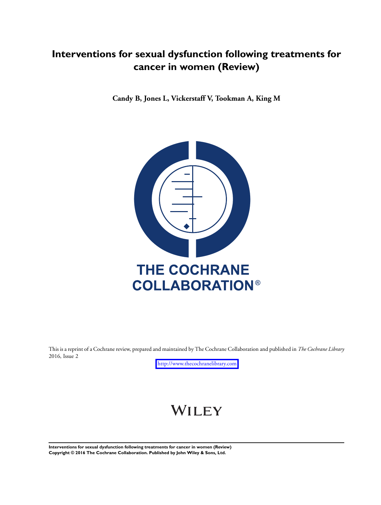# **Interventions for sexual dysfunction following treatments for cancer in women (Review)**

**Candy B, Jones L, Vickerstaff V, Tookman A, King M**



This is a reprint of a Cochrane review, prepared and maintained by The Cochrane Collaboration and published in *The Cochrane Library* 2016, Issue 2

<http://www.thecochranelibrary.com>

# WILEY

**Interventions for sexual dysfunction following treatments for cancer in women (Review) Copyright © 2016 The Cochrane Collaboration. Published by John Wiley & Sons, Ltd.**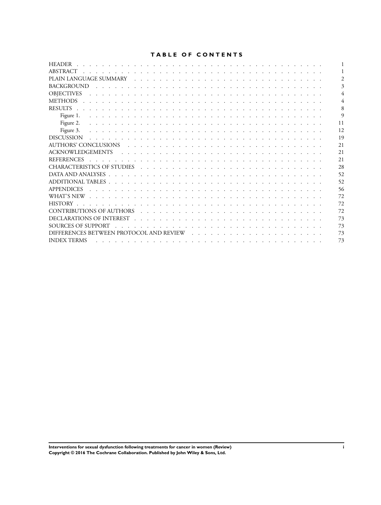# **TABLE OF CONTENTS**

| <b>HEADER</b>                                                                                                                                                                                                                  |     |
|--------------------------------------------------------------------------------------------------------------------------------------------------------------------------------------------------------------------------------|-----|
| <b>ABSTRACT</b>                                                                                                                                                                                                                |     |
|                                                                                                                                                                                                                                |     |
| <b>BACKGROUND</b>                                                                                                                                                                                                              |     |
| <b>OBJECTIVES</b>                                                                                                                                                                                                              |     |
| <b>METHODS</b>                                                                                                                                                                                                                 |     |
| <b>RESULTS</b>                                                                                                                                                                                                                 |     |
| Figure 1.                                                                                                                                                                                                                      |     |
| Figure 2.                                                                                                                                                                                                                      | 11  |
| Figure 3.<br>the contract of the contract of the contract of the contract of the contract of the contract of the contract of                                                                                                   | 12  |
| <b>DISCUSSION</b>                                                                                                                                                                                                              | 19  |
| AUTHORS' CONCLUSIONS<br>the contract of the contract of the contract of the contract of the contract of the contract of the contract of                                                                                        | 21  |
| <b>ACKNOWLEDGEMENTS</b>                                                                                                                                                                                                        | 2.1 |
| <b>REFERENCES</b><br>the contract of the contract of the contract of the contract of the contract of the contract of                                                                                                           | 21  |
|                                                                                                                                                                                                                                | 28  |
|                                                                                                                                                                                                                                | 52  |
|                                                                                                                                                                                                                                | 52  |
| <b>APPENDICES</b><br>the contract of the contract of the contract of the contract of the contract of the contract of the contract of                                                                                           | 56  |
| WHAT'S NEW received a received and construction of the construction of the construction of the construction of the construction of the construction of the construction of the construction of the construction of the constru | 72  |
| <b>HISTORY</b>                                                                                                                                                                                                                 | 72  |
| CONTRIBUTIONS OF AUTHORS                                                                                                                                                                                                       | 72  |
|                                                                                                                                                                                                                                | 73  |
| SOURCES OF SUPPORT                                                                                                                                                                                                             | 73  |
|                                                                                                                                                                                                                                | 73  |
| <b>INDEX TERMS</b>                                                                                                                                                                                                             | 73  |
|                                                                                                                                                                                                                                |     |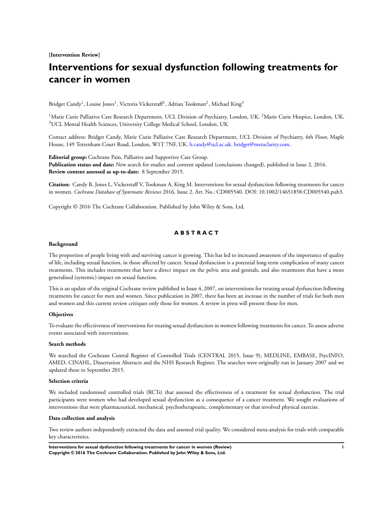**[Intervention Review]**

# **Interventions for sexual dysfunction following treatments for cancer in women**

Bridget Candy<sup>1</sup>, Louise Jones<sup>1</sup>, Victoria Vickerstaff<sup>1</sup>, Adrian Tookman<sup>2</sup>, Michael King<sup>3</sup>

<sup>1</sup>Marie Curie Palliative Care Research Department, UCL Division of Psychiatry, London, UK.<sup>2</sup>Marie Curie Hospice, London, UK. <sup>3</sup>UCL Mental Health Sciences, University College Medical School, London, UK

Contact address: Bridget Candy, Marie Curie Palliative Care Research Department, UCL Division of Psychiatry, 6th Floor, Maple House, 149 Tottenham Court Road, London, W1T 7NF, UK. [b.candy@ucl.ac.uk](mailto:b.candy@ucl.ac.uk). [bridget@metaclarity.com.](mailto:bridget@metaclarity.com)

**Editorial group:** Cochrane Pain, Palliative and Supportive Care Group. **Publication status and date:** New search for studies and content updated (conclusions changed), published in Issue 2, 2016. **Review content assessed as up-to-date:** 8 September 2015.

**Citation:** Candy B, Jones L, Vickerstaff V, Tookman A, King M. Interventions for sexual dysfunction following treatments for cancer in women. *Cochrane Database of Systematic Reviews* 2016, Issue 2. Art. No.: CD005540. DOI: 10.1002/14651858.CD005540.pub3.

Copyright © 2016 The Cochrane Collaboration. Published by John Wiley & Sons, Ltd.

# **A B S T R A C T**

#### **Background**

The proportion of people living with and surviving cancer is growing. This has led to increased awareness of the importance of quality of life, including sexual function, in those affected by cancer. Sexual dysfunction is a potential long-term complication of many cancer treatments. This includes treatments that have a direct impact on the pelvic area and genitals, and also treatments that have a more generalised (systemic) impact on sexual function.

This is an update of the original Cochrane review published in Issue 4, 2007, on interventions for treating sexual dysfunction following treatments for cancer for men and women. Since publication in 2007, there has been an increase in the number of trials for both men and women and this current review critiques only those for women. A review in press will present those for men.

#### **Objectives**

To evaluate the effectiveness of interventions for treating sexual dysfunction in women following treatments for cancer. To assess adverse events associated with interventions.

## **Search methods**

We searched the Cochrane Central Register of Controlled Trials (CENTRAL 2015, Issue 9), MEDLINE, EMBASE, PsycINFO, AMED, CINAHL, Dissertation Abstracts and the NHS Research Register. The searches were originally run in January 2007 and we updated these to September 2015.

## **Selection criteria**

We included randomised controlled trials (RCTs) that assessed the effectiveness of a treatment for sexual dysfunction. The trial participants were women who had developed sexual dysfunction as a consequence of a cancer treatment. We sought evaluations of interventions that were pharmaceutical, mechanical, psychotherapeutic, complementary or that involved physical exercise.

#### **Data collection and analysis**

Two review authors independently extracted the data and assessed trial quality. We considered meta-analysis for trials with comparable key characteristics.

**Interventions for sexual dysfunction following treatments for cancer in women (Review) 1 Copyright © 2016 The Cochrane Collaboration. Published by John Wiley & Sons, Ltd.**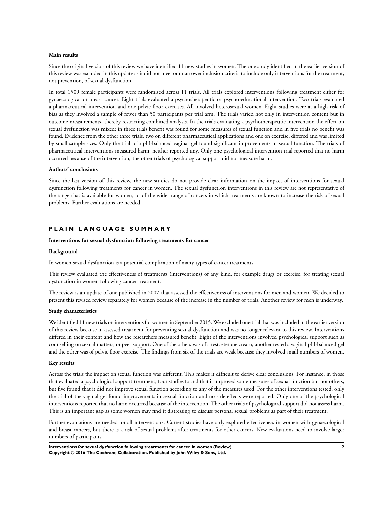#### **Main results**

Since the original version of this review we have identified 11 new studies in women. The one study identified in the earlier version of this review was excluded in this update as it did not meet our narrower inclusion criteria to include only interventions for the treatment, not prevention, of sexual dysfunction.

In total 1509 female participants were randomised across 11 trials. All trials explored interventions following treatment either for gynaecological or breast cancer. Eight trials evaluated a psychotherapeutic or psycho-educational intervention. Two trials evaluated a pharmaceutical intervention and one pelvic floor exercises. All involved heterosexual women. Eight studies were at a high risk of bias as they involved a sample of fewer than 50 participants per trial arm. The trials varied not only in intervention content but in outcome measurements, thereby restricting combined analysis. In the trials evaluating a psychotherapeutic intervention the effect on sexual dysfunction was mixed; in three trials benefit was found for some measures of sexual function and in five trials no benefit was found. Evidence from the other three trials, two on different pharmaceutical applications and one on exercise, differed and was limited by small sample sizes. Only the trial of a pH-balanced vaginal gel found significant improvements in sexual function. The trials of pharmaceutical interventions measured harm: neither reported any. Only one psychological intervention trial reported that no harm occurred because of the intervention; the other trials of psychological support did not measure harm.

#### **Authors' conclusions**

Since the last version of this review, the new studies do not provide clear information on the impact of interventions for sexual dysfunction following treatments for cancer in women. The sexual dysfunction interventions in this review are not representative of the range that is available for women, or of the wider range of cancers in which treatments are known to increase the risk of sexual problems. Further evaluations are needed.

## **P L A I N L A N G U A G E S U M M A R Y**

#### **Interventions for sexual dysfunction following treatments for cancer**

#### **Background**

In women sexual dysfunction is a potential complication of many types of cancer treatments.

This review evaluated the effectiveness of treatments (interventions) of any kind, for example drugs or exercise, for treating sexual dysfunction in women following cancer treatment.

The review is an update of one published in 2007 that assessed the effectiveness of interventions for men and women. We decided to present this revised review separately for women because of the increase in the number of trials. Another review for men is underway.

#### **Study characteristics**

We identified 11 new trials on interventions for women in September 2015. We excluded one trial that was included in the earlier version of this review because it assessed treatment for preventing sexual dysfunction and was no longer relevant to this review. Interventions differed in their content and how the researchers measured benefit. Eight of the interventions involved psychological support such as counselling on sexual matters, or peer support. One of the others was of a testosterone cream, another tested a vaginal pH-balanced gel and the other was of pelvic floor exercise. The findings from six of the trials are weak because they involved small numbers of women.

#### **Key results**

Across the trials the impact on sexual function was different. This makes it difficult to derive clear conclusions. For instance, in those that evaluated a psychological support treatment, four studies found that it improved some measures of sexual function but not others, but five found that it did not improve sexual function according to any of the measures used. For the other interventions tested, only the trial of the vaginal gel found improvements in sexual function and no side effects were reported. Only one of the psychological interventions reported that no harm occurred because of the intervention. The other trials of psychological support did not assess harm. This is an important gap as some women may find it distressing to discuss personal sexual problems as part of their treatment.

Further evaluations are needed for all interventions. Current studies have only explored effectiveness in women with gynaecological and breast cancers, but there is a risk of sexual problems after treatments for other cancers. New evaluations need to involve larger numbers of participants.

**Interventions for sexual dysfunction following treatments for cancer in women (Review) 2 Copyright © 2016 The Cochrane Collaboration. Published by John Wiley & Sons, Ltd.**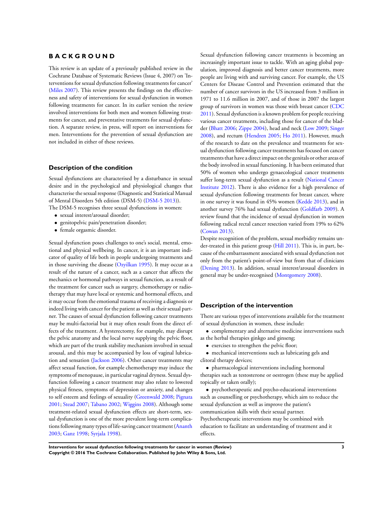# **B A C K G R O U N D**

This review is an update of a previously published review in the Cochrane Database of Systematic Reviews (Issue 4, 2007) on 'Interventions for sexual dysfunction following treatments for cancer' [\(Miles 2007\)](#page-22-0). This review presents the findings on the effectiveness and safety of interventions for sexual dysfunction in women following treatments for cancer. In its earlier version the review involved interventions for both men and women following treatments for cancer, and preventative treatments for sexual dysfunction. A separate review, in press, will report on interventions for men. Interventions for the prevention of sexual dysfunction are not included in either of these reviews.

## **Description of the condition**

Sexual dysfunctions are characterised by a disturbance in sexual desire and in the psychological and physiological changes that characterise the sexual response (Diagnostic and Statistical Manual of Mental Disorders 5th edition (DSM-5) [\(DSM-5 2013](#page-22-0))). The DSM-5 recognises three sexual dysfunctions in women:

- sexual interest/arousal disorder;
- genitopelvic pain/penetration disorder;
- female orgasmic disorder.

Sexual dysfunction poses challenges to one's social, mental, emotional and physical wellbeing. In cancer, it is an important indicator of quality of life both in people undergoing treatments and in those surviving the disease ([Ozyilkan 1995\)](#page-22-0). It may occur as a result of the nature of a cancer, such as a cancer that affects the mechanics or hormonal pathways in sexual function, as a result of the treatment for cancer such as surgery, chemotherapy or radiotherapy that may have local or systemic and hormonal effects, and it may occur from the emotional trauma of receiving a diagnosis or indeed living with cancer for the patient as well as their sexual partner. The causes of sexual dysfunction following cancer treatments may be multi-factorial but it may often result from the direct effects of the treatment. A hysterectomy, for example, may disrupt the pelvic anatomy and the local nerve supplying the pelvic floor, which are part of the trunk stability mechanism involved in sexual arousal, and this may be accompanied by loss of vaginal lubrication and sensation [\(Jackson 2006](#page-22-0)). Other cancer treatments may affect sexual function, for example chemotherapy may induce the symptoms of menopause, in particular vaginal dryness. Sexual dysfunction following a cancer treatment may also relate to lowered physical fitness, symptoms of depression or anxiety, and changes to self esteem and feelings of sexuality ([Greenwald 2008;](#page-22-0) [Pignata](#page-22-0) [2001](#page-22-0); [Stead 2007](#page-22-0); [Tabano 2002;](#page-22-0) [Wiggins 2008](#page-22-0)). Although some treatment-related sexual dysfunction effects are short-term, sexual dysfunction is one of the more prevalent long-term complications following many types of life-saving cancer treatment ([Ananth](#page-22-0) [2003](#page-22-0); [Ganz 1998](#page-22-0); [Syrjala 1998](#page-22-0)).

Sexual dysfunction following cancer treatments is becoming an increasingly important issue to tackle. With an aging global population, improved diagnosis and better cancer treatments, more people are living with and surviving cancer. For example, the US Centers for Disease Control and Prevention estimated that the number of cancer survivors in the US increased from 3 million in 1971 to 11.6 million in 2007, and of those in 2007 the largest group of survivors in women was those with breast cancer ([CDC](#page-22-0) [2011](#page-22-0)). Sexual dysfunction is a known problem for people receiving various cancer treatments, including those for cancer of the bladder [\(Bhatt 2006;](#page-22-0) [Zippe 2004](#page-22-0)), head and neck ([Low 2009;](#page-22-0) [Singer](#page-22-0) [2008](#page-22-0)), and rectum [\(Hendren 2005](#page-22-0); [Ho 2011\)](#page-22-0). However, much of the research to date on the prevalence and treatments for sexual dysfunction following cancer treatments has focused on cancer treatments that have a direct impact on the genitals or other areas of the body involved in sexual functioning. It has been estimated that 50% of women who undergo gynaecological cancer treatments suffer long-term sexual dysfunction as a result [\(National Cancer](#page-22-0) [Institute 2012\)](#page-22-0). There is also evidence for a high prevalence of sexual dysfunction following treatments for breast cancer, where in one survey it was found in 45% women ([Kedde 2013\)](#page-22-0), and in another survey 76% had sexual dysfunction [\(Goldfarb 2009\)](#page-22-0). A review found that the incidence of sexual dysfunction in women following radical rectal cancer resection varied from 19% to 62% [\(Cowan 2013](#page-22-0)).

Despite recognition of the problem, sexual morbidity remains under-treated in this patient group ([Hill 2011](#page-22-0)). This is, in part, because of the embarrassment associated with sexual dysfunction not only from the patient's point-of-view but from that of clinicians [\(Dening 2013](#page-22-0)). In addition, sexual interest/arousal disorders in general may be under-recognised [\(Montgomery 2008\)](#page-22-0).

## **Description of the intervention**

There are various types of interventions available for the treatment of sexual dysfunction in women, these include:

• complementary and alternative medicine interventions such as the herbal therapies ginkgo and ginseng;

• exercises to strengthen the pelvic floor;

• mechanical interventions such as lubricating gels and clitoral therapy devices;

• pharmacological interventions including hormonal therapies such as testosterone or oestrogen (these may be applied topically or taken orally);

• psychotherapeutic and psycho-educational interventions such as counselling or psychotherapy, which aim to reduce the sexual dysfunction as well as improve the patient's communication skills with their sexual partner. Psychotherapeutic interventions may be combined with education to facilitate an understanding of treatment and it effects.

**Interventions for sexual dysfunction following treatments for cancer in women (Review) 3 Copyright © 2016 The Cochrane Collaboration. Published by John Wiley & Sons, Ltd.**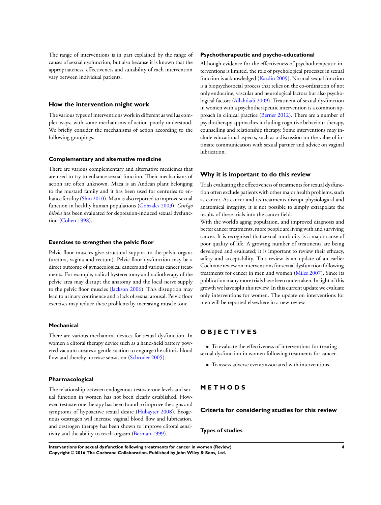The range of interventions is in part explained by the range of causes of sexual dysfunction, but also because it is known that the appropriateness, effectiveness and suitability of each intervention vary between individual patients.

## **How the intervention might work**

The various types of interventions work in different as well as complex ways, with some mechanisms of action poorly understood. We briefly consider the mechanisms of action according to the following groupings.

#### **Complementary and alternative medicine**

There are various complementary and alternative medicines that are used to try to enhance sexual function. Their mechanisms of action are often unknown. Maca is an Andean plant belonging to the mustard family and it has been used for centuries to en-hance fertility ([Shin 2010\)](#page-22-0). Maca is also reported to improve sexual function in healthy human populations ([Gonzales 2003\)](#page-22-0). *Ginkgo biloba* has been evaluated for depression-induced sexual dysfunction ([Cohen 1998](#page-22-0)).

#### **Exercises to strengthen the pelvic floor**

Pelvic floor muscles give structural support to the pelvic organs (urethra, vagina and rectum). Pelvic floor dysfunction may be a direct outcome of gynaecological cancers and various cancer treatments. For example, radical hysterectomy and radiotherapy of the pelvic area may disrupt the anatomy and the local nerve supply to the pelvic floor muscles [\(Jackson 2006](#page-22-0)). This disruption may lead to urinary continence and a lack of sexual arousal. Pelvic floor exercises may reduce these problems by increasing muscle tone.

## **Mechanical**

There are various mechanical devices for sexual dysfunction. In women a clitoral therapy device such as a hand-held battery powered vacuum creates a gentle suction to engorge the clitoris blood flow and thereby increase sensation [\(Schroder 2005](#page-22-0)).

#### **Pharmacological**

The relationship between endogenous testosterone levels and sexual function in women has not been clearly established. However, testosterone therapy has been found to improve the signs and symptoms of hypoactive sexual desire [\(Hubayter 2008](#page-22-0)). Exogenous oestrogen will increase vaginal blood flow and lubrication, and oestrogen therapy has been shown to improve clitoral sensitivity and the ability to reach orgasm ([Berman 1999\)](#page-22-0).

#### **Psychotherapeutic and psycho-educational**

Although evidence for the effectiveness of psychotherapeutic interventions is limited, the role of psychological processes in sexual function is acknowledged [\(Kazdin 2009](#page-22-0)). Normal sexual function is a biopsychosocial process that relies on the co-ordination of not only endocrine, vascular and neurological factors but also psychological factors ([Allahdadi 2009](#page-22-0)). Treatment of sexual dysfunction in women with a psychotherapeutic intervention is a common approach in clinical practice [\(Berner 2012](#page-22-0)). There are a number of psychotherapy approaches including cognitive behaviour therapy, counselling and relationship therapy. Some interventions may include educational aspects, such as a discussion on the value of intimate communication with sexual partner and advice on vaginal lubrication.

## **Why it is important to do this review**

Trials evaluating the effectiveness of treatments for sexual dysfunction often exclude patients with other major health problems, such as cancer. As cancer and its treatments disrupt physiological and anatomical integrity, it is not possible to simply extrapolate the results of these trials into the cancer field.

With the world's aging population, and improved diagnosis and better cancer treatments, more people are living with and surviving cancer. It is recognised that sexual morbidity is a major cause of poor quality of life. A growing number of treatments are being developed and evaluated; it is important to review their efficacy, safety and acceptability. This review is an update of an earlier Cochrane review on interventions for sexual dysfunction following treatments for cancer in men and women [\(Miles 2007\)](#page-22-0). Since its publication many more trials have been undertaken. In light of this growth we have split this review. In this current update we evaluate only interventions for women. The update on interventions for men will be reported elsewhere in a new review.

## **O B J E C T I V E S**

• To evaluate the effectiveness of interventions for treating sexual dysfunction in women following treatments for cancer.

• To assess adverse events associated with interventions.

# **M E T H O D S**

## **Criteria for considering studies for this review**

## **Types of studies**

**Interventions for sexual dysfunction following treatments for cancer in women (Review) 4 Copyright © 2016 The Cochrane Collaboration. Published by John Wiley & Sons, Ltd.**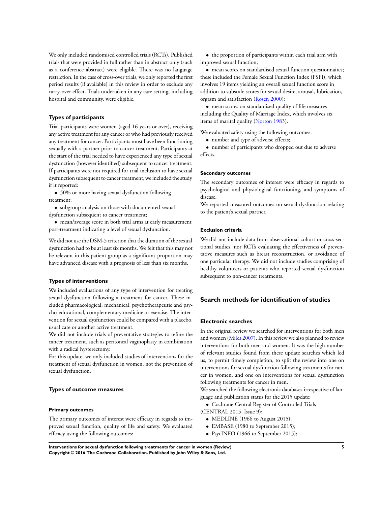We only included randomised controlled trials (RCTs). Published trials that were provided in full rather than in abstract only (such as a conference abstract) were eligible. There was no language restriction. In the case of cross-over trials, we only reported the first period results (if available) in this review in order to exclude any carry-over effect. Trials undertaken in any care setting, including hospital and community, were eligible.

## **Types of participants**

Trial participants were women (aged 16 years or over), receiving any active treatment for any cancer or who had previously received any treatment for cancer. Participants must have been functioning sexually with a partner prior to cancer treatment. Participants at the start of the trial needed to have experienced any type of sexual dysfunction (however identified) subsequent to cancer treatment. If participants were not required for trial inclusion to have sexual dysfunction subsequent to cancer treatment, we included the study if it reported:

• 50% or more having sexual dysfunction following treatment;

• subgroup analysis on those with documented sexual dysfunction subsequent to cancer treatment;

• mean/average score in both trial arms at early measurement post-treatment indicating a level of sexual dysfunction.

We did not use the DSM-5 criterion that the duration of the sexual dysfunction had to be at least six months. We felt that this may not be relevant in this patient group as a significant proportion may have advanced disease with a prognosis of less than six months.

#### **Types of interventions**

We included evaluations of any type of intervention for treating sexual dysfunction following a treatment for cancer. These included pharmacological, mechanical, psychotherapeutic and psycho-educational, complementary medicine or exercise. The intervention for sexual dysfunction could be compared with a placebo, usual care or another active treatment.

We did not include trials of preventative strategies to refine the cancer treatment, such as peritoneal vaginoplasty in combination with a radical hysterectomy.

For this update, we only included studies of interventions for the treatment of sexual dysfunction in women, not the prevention of sexual dysfunction.

## **Types of outcome measures**

#### **Primary outcomes**

The primary outcomes of interest were efficacy in regards to improved sexual function, quality of life and safety. We evaluated efficacy using the following outcomes:

• the proportion of participants within each trial arm with improved sexual function;

• mean scores on standardised sexual function questionnaires; these included the Female Sexual Function Index (FSFI), which involves 19 items yielding an overall sexual function score in addition to subscale scores for sexual desire, arousal, lubrication, orgasm and satisfaction [\(Rosen 2000\)](#page-22-0);

• mean scores on standardised quality of life measures including the Quality of Marriage Index, which involves six items of marital quality [\(Norton 1983\)](#page-22-0).

We evaluated safety using the following outcomes:

• number and type of adverse effects;

• number of participants who dropped out due to adverse effects.

#### **Secondary outcomes**

The secondary outcomes of interest were efficacy in regards to psychological and physiological functioning, and symptoms of disease.

We reported measured outcomes on sexual dysfunction relating to the patient's sexual partner.

#### **Exclusion criteria**

We did not include data from observational cohort or cross-sectional studies, nor RCTs evaluating the effectiveness of preventative measures such as breast reconstruction, or avoidance of one particular therapy. We did not include studies comprising of healthy volunteers or patients who reported sexual dysfunction subsequent to non-cancer treatments.

## **Search methods for identification of studies**

#### **Electronic searches**

In the original review we searched for interventions for both men and women [\(Miles 2007\)](#page-22-0). In this review we also planned to review interventions for both men and women. It was the high number of relevant studies found from these update searches which led us, to permit timely completion, to split the review into one on interventions for sexual dysfunction following treatments for cancer in women, and one on interventions for sexual dysfunction following treatments for cancer in men.

We searched the following electronic databases irrespective of language and publication status for the 2015 update:

- Cochrane Central Register of Controlled Trials
- (CENTRAL 2015, Issue 9);
	- MEDLINE (1966 to August 2015);
	- EMBASE (1980 to September 2015);
	- PsycINFO (1966 to September 2015);

**Interventions for sexual dysfunction following treatments for cancer in women (Review) 5 Copyright © 2016 The Cochrane Collaboration. Published by John Wiley & Sons, Ltd.**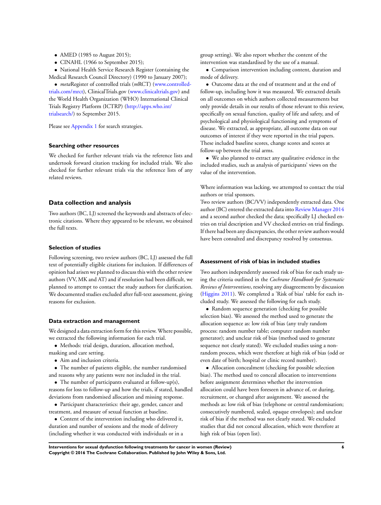• AMED (1985 to August 2015);

• CINAHL (1966 to September 2015);

• National Health Service Research Register (containing the Medical Research Council Directory) (1990 to January 2007);

• *meta*Register of controlled trials (*m*RCT) ([www.controlled](http://www.controlled-trials.com/mrct)[trials.com/mrct\)](http://www.controlled-trials.com/mrct), ClinicalTrials.gov ([www.clinicaltrials.gov](http://www.clinicaltrials.gov)) and the World Health Organization (WHO) International Clinical Trials Registry Platform (ICTRP) ([http://apps.who.int/](http://apps.who.int/trialsearch/) [trialsearch/](http://apps.who.int/trialsearch/)) to September 2015.

Please see [Appendix 1](#page-57-0) for search strategies.

## **Searching other resources**

We checked for further relevant trials via the reference lists and undertook forward citation tracking for included trials. We also checked for further relevant trials via the reference lists of any related reviews.

## **Data collection and analysis**

Two authors (BC, LJ) screened the keywords and abstracts of electronic citations. Where they appeared to be relevant, we obtained the full texts.

## **Selection of studies**

Following screening, two review authors (BC, LJ) assessed the full text of potentially eligible citations for inclusion. If differences of opinion had arisen we planned to discuss this with the other review authors (VV, MK and AT) and if resolution had been difficult, we planned to attempt to contact the study authors for clarification. We documented studies excluded after full-text assessment, giving reasons for exclusion.

#### **Data extraction and management**

We designed a data extraction form for this review. Where possible, we extracted the following information for each trial.

• Methods: trial design, duration, allocation method, masking and care setting.

• Aim and inclusion criteria.

• The number of patients eligible, the number randomised and reasons why any patients were not included in the trial.

• The number of participants evaluated at follow-up(s), reasons for loss to follow-up and how the trials, if stated, handled deviations from randomised allocation and missing response.

• Participant characteristics: their age, gender, cancer and treatment, and measure of sexual function at baseline.

• Content of the intervention including who delivered it, duration and number of sessions and the mode of delivery (including whether it was conducted with individuals or in a group setting). We also report whether the content of the intervention was standardised by the use of a manual.

• Comparison intervention including content, duration and mode of delivery.

• Outcome data at the end of treatment and at the end of follow-up, including how it was measured. We extracted details on all outcomes on which authors collected measurements but only provide details in our results of those relevant to this review, specifically on sexual function, quality of life and safety, and of psychological and physiological functioning and symptoms of disease. We extracted, as appropriate, all outcome data on our outcomes of interest if they were reported in the trial papers. These included baseline scores, change scores and scores at follow-up between the trial arms.

• We also planned to extract any qualitative evidence in the included studies, such as analysis of participants' views on the value of the intervention.

Where information was lacking, we attempted to contact the trial authors or trial sponsors.

Two review authors (BC/VV) independently extracted data. One author (BC) entered the extracted data into [Review Manager 2014](#page-22-0) and a second author checked the data; specifically LJ checked entries on trial description and VV checked entries on trial findings. If there had been any discrepancies, the other review authors would have been consulted and discrepancy resolved by consensus.

## **Assessment of risk of bias in included studies**

Two authors independently assessed risk of bias for each study using the criteria outlined in the *Cochrane Handbook for Systematic Reviews of Interventions*, resolving any disagreements by discussion [\(Higgins 2011](#page-22-0)). We completed a 'Risk of bias' table for each included study. We assessed the following for each study.

• Random sequence generation (checking for possible selection bias). We assessed the method used to generate the allocation sequence as: low risk of bias (any truly random process: random number table; computer random number generator); and unclear risk of bias (method used to generate sequence not clearly stated). We excluded studies using a nonrandom process, which were therefore at high risk of bias (odd or even date of birth; hospital or clinic record number).

• Allocation concealment (checking for possible selection bias). The method used to conceal allocation to interventions before assignment determines whether the intervention allocation could have been foreseen in advance of, or during, recruitment, or changed after assignment. We assessed the methods as: low risk of bias (telephone or central randomisation; consecutively numbered, sealed, opaque envelopes); and unclear risk of bias if the method was not clearly stated. We excluded studies that did not conceal allocation, which were therefore at high risk of bias (open list).

**Interventions for sexual dysfunction following treatments for cancer in women (Review) 6 Copyright © 2016 The Cochrane Collaboration. Published by John Wiley & Sons, Ltd.**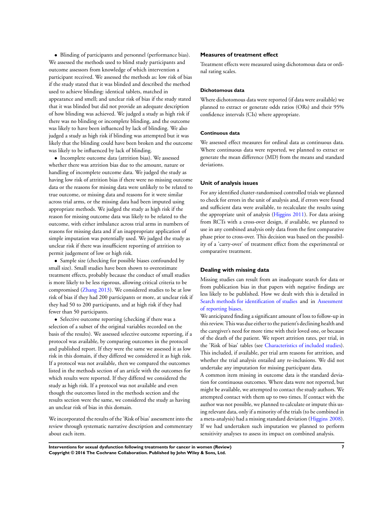• Blinding of participants and personnel (performance bias). We assessed the methods used to blind study participants and outcome assessors from knowledge of which intervention a participant received. We assessed the methods as: low risk of bias if the study stated that it was blinded and described the method used to achieve blinding: identical tablets, matched in appearance and smell; and unclear risk of bias if the study stated that it was blinded but did not provide an adequate description of how blinding was achieved. We judged a study as high risk if there was no blinding or incomplete blinding, and the outcome was likely to have been influenced by lack of blinding. We also judged a study as high risk if blinding was attempted but it was likely that the blinding could have been broken and the outcome was likely to be influenced by lack of blinding.

• Incomplete outcome data (attrition bias). We assessed whether there was attrition bias due to the amount, nature or handling of incomplete outcome data. We judged the study as having low risk of attrition bias if there were no missing outcome data or the reasons for missing data were unlikely to be related to true outcome, or missing data and reasons for it were similar across trial arms, or the missing data had been imputed using appropriate methods. We judged the study as high risk if the reason for missing outcome data was likely to be related to the outcome, with either imbalance across trial arms in numbers of reasons for missing data and if an inappropriate application of simple imputation was potentially used. We judged the study as unclear risk if there was insufficient reporting of attrition to permit judgement of low or high risk.

• Sample size (checking for possible biases confounded by small size). Small studies have been shown to overestimate treatment effects, probably because the conduct of small studies is more likely to be less rigorous, allowing critical criteria to be compromised ([Zhang 2013\)](#page-22-0). We considered studies to be at low risk of bias if they had 200 participants or more, at unclear risk if they had 50 to 200 participants, and at high risk if they had fewer than 50 participants.

• Selective outcome reporting (checking if there was a selection of a subset of the original variables recorded on the basis of the results). We assessed selective outcome reporting, if a protocol was available, by comparing outcomes in the protocol and published report. If they were the same we assessed it as low risk in this domain, if they differed we considered it as high risk. If a protocol was not available, then we compared the outcomes listed in the methods section of an article with the outcomes for which results were reported. If they differed we considered the study as high risk. If a protocol was not available and even though the outcomes listed in the methods section and the results section were the same, we considered the study as having an unclear risk of bias in this domain.

We incorporated the results of the 'Risk of bias' assessment into the review through systematic narrative description and commentary about each item.

#### **Measures of treatment effect**

Treatment effects were measured using dichotomous data or ordinal rating scales.

#### **Dichotomous data**

Where dichotomous data were reported (if data were available) we planned to extract or generate odds ratios (ORs) and their 95% confidence intervals (CIs) where appropriate.

#### **Continuous data**

We assessed effect measures for ordinal data as continuous data. Where continuous data were reported, we planned to extract or generate the mean difference (MD) from the means and standard deviations.

#### **Unit of analysis issues**

For any identified cluster-randomised controlled trials we planned to check for errors in the unit of analysis and, if errors were found and sufficient data were available, to recalculate the results using the appropriate unit of analysis ([Higgins 2011\)](#page-22-0). For data arising from RCTs with a cross-over design, if available, we planned to use in any combined analysis only data from the first comparative phase prior to cross-over. This decision was based on the possibility of a 'carry-over' of treatment effect from the experimental or comparative treatment.

#### **Dealing with missing data**

Missing studies can result from an inadequate search for data or from publication bias in that papers with negative findings are less likely to be published. How we dealt with this is detailed in [Search methods for identification of studies](http://onlinelibrary.wiley.com/doi/10.1002/14651858.CD007617.pub2/full#CD007617-sec2-0002) and in [Assessment](http://onlinelibrary.wiley.com/doi/10.1002/14651858.CD007617.pub2/full#CD007617-sec3-0014) [of reporting biases](http://onlinelibrary.wiley.com/doi/10.1002/14651858.CD007617.pub2/full#CD007617-sec3-0014).

We anticipated finding a significant amount of loss to follow-up in this review. This was due either to the patient's declining health and the caregiver's need for more time with their loved one, or because of the death of the patient. We report attrition rates, per trial, in the 'Risk of bias' tables (see [Characteristics of included studies](http://onlinelibrary.wiley.com/doi/10.1002/14651858.CD007617.pub2/tables#CD007617-sec2-0018)). This included, if available, per trial arm reasons for attrition, and whether the trial analysis entailed any re-inclusions. We did not undertake any imputation for missing participant data.

A common item missing in outcome data is the standard deviation for continuous outcomes. Where data were not reported, but might be available, we attempted to contact the study authors. We attempted contact with them up to two times. If contact with the author was not possible, we planned to calculate or impute this using relevant data, only if a minority of the trials (to be combined in a meta-analysis) had a missing standard deviation [\(Higgins 2008](http://onlinelibrary.wiley.com/doi/10.1002/14651858.CD007617.pub2/full#CD007617-bbs2-0056)). If we had undertaken such imputation we planned to perform sensitivity analyses to assess its impact on combined analysis.

**Interventions for sexual dysfunction following treatments for cancer in women (Review) 7 Copyright © 2016 The Cochrane Collaboration. Published by John Wiley & Sons, Ltd.**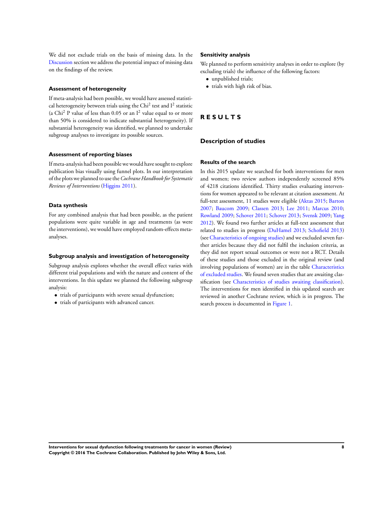We did not exclude trials on the basis of missing data. In the [Discussion](http://onlinelibrary.wiley.com/doi/10.1002/14651858.CD007617.pub2/full#CD007617-sec1-0006) section we address the potential impact of missing data on the findings of the review.

#### **Assessment of heterogeneity**

If meta-analysis had been possible, we would have assessed statistical heterogeneity between trials using the Chi<sup>2</sup> test and  $I^2$  statistic (a Chi<sup>2</sup> P value of less than 0.05 or an  $I^2$  value equal to or more than 50% is considered to indicate substantial heterogeneity). If substantial heterogeneity was identified, we planned to undertake subgroup analyses to investigate its possible sources.

## **Assessment of reporting biases**

If meta-analysis had been possible we would have sought to explore publication bias visually using funnel plots. In our interpretation of the plots we planned to use the*Cochrane Handbook for Systematic Reviews of Interventions* ([Higgins 2011\)](#page-22-0).

## **Data synthesis**

For any combined analysis that had been possible, as the patient populations were quite variable in age and treatments (as were the interventions), we would have employed random-effects metaanalyses.

## **Subgroup analysis and investigation of heterogeneity**

Subgroup analysis explores whether the overall effect varies with different trial populations and with the nature and content of the interventions. In this update we planned the following subgroup analysis:

- trials of participants with severe sexual dysfunction;
- trials of participants with advanced cancer.

#### **Sensitivity analysis**

We planned to perform sensitivity analyses in order to explore (by excluding trials) the influence of the following factors:

- unpublished trials;
- trials with high risk of bias.

# **R E S U L T S**

## **Description of studies**

#### **Results of the search**

In this 2015 update we searched for both interventions for men and women; two review authors independently screened 85% of 4218 citations identified. Thirty studies evaluating interventions for women appeared to be relevant at citation assessment. At full-text assessment, 11 studies were eligible [\(Aktas 2015;](#page-22-0) [Barton](#page-22-0) [2007](#page-22-0); [Baucom 2009;](#page-22-0) [Classen 2013](#page-22-0); [Lee 2011](#page-22-0); [Marcus 2010;](#page-22-0) [Rowland 2009;](#page-22-0) [Schover 2011;](#page-22-0) [Schover 2013](#page-22-0); [Svensk 2009;](#page-22-0) [Yang](#page-22-0) [2012](#page-22-0)). We found two further articles at full-text assessment that related to studies in progress ([DuHamel 2013;](#page-22-0) [Schofield 2013](#page-22-0)) (see [Characteristics of ongoing studies\)](#page-49-0) and we excluded seven further articles because they did not fulfil the inclusion criteria, as they did not report sexual outcomes or were not a RCT. Details of these studies and those excluded in the original review (and involving populations of women) are in the table [Characteristics](#page-43-0) [of excluded studies](#page-43-0). We found seven studies that are awaiting classification (see [Characteristics of studies awaiting classification](#page-47-0)). The interventions for men identified in this updated search are reviewed in another Cochrane review, which is in progress. The search process is documented in [Figure 1.](#page-10-0)

**Interventions for sexual dysfunction following treatments for cancer in women (Review) 8 Copyright © 2016 The Cochrane Collaboration. Published by John Wiley & Sons, Ltd.**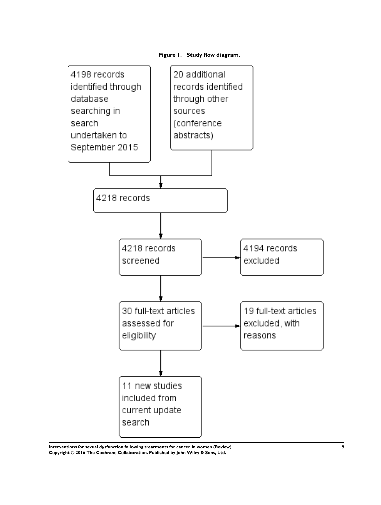

<span id="page-10-0"></span>

**Interventions for sexual dysfunction following treatments for cancer in women (Review) 9 Copyright © 2016 The Cochrane Collaboration. Published by John Wiley & Sons, Ltd.**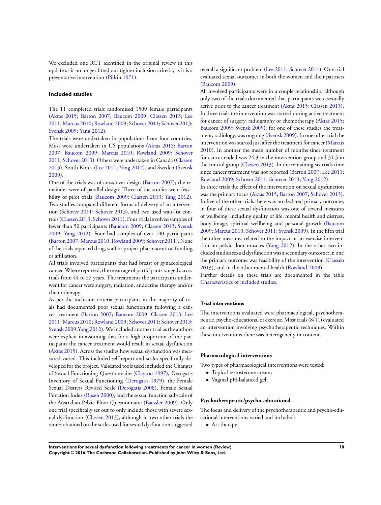We excluded one RCT identified in the original review in this update as it no longer fitted our tighter inclusion criteria, as it is a preventative intervention [\(Pitkin 1971](#page-22-0)).

## **Included studies**

The 11 completed trials randomised 1509 female participants [\(Aktas 2015](#page-22-0); [Barton 2007](#page-22-0); [Baucom 2009;](#page-22-0) [Classen 2013;](#page-22-0) [Lee](#page-22-0) [2011](#page-22-0); [Marcus 2010](#page-22-0); [Rowland 2009;](#page-22-0) [Schover 2011](#page-22-0); [Schover 2013;](#page-22-0) [Svensk 2009](#page-22-0); [Yang 2012\)](#page-22-0).

The trials were undertaken in populations from four countries. Most were undertaken in US populations [\(Aktas 2015;](#page-22-0) [Barton](#page-22-0) [2007](#page-22-0); [Baucom 2009](#page-22-0); [Marcus 2010](#page-22-0); [Rowland 2009](#page-22-0); [Schover](#page-22-0) [2011](#page-22-0); [Schover 2013\)](#page-22-0). Others were undertaken in Canada ([Classen](#page-22-0) [2013](#page-22-0)), South Korea ([Lee 2011](#page-22-0); [Yang 2012\)](#page-22-0), and Sweden ([Svensk](#page-22-0) [2009](#page-22-0)).

One of the trials was of cross-over design ([Barton 2007](#page-22-0)); the remainder were of parallel design. Three of the studies were feasi-bility or pilot trials [\(Baucom 2009;](#page-22-0) [Classen 2013;](#page-22-0) [Yang 2012](#page-22-0)). Two studies compared different forms of delivery of an intervention ([Schover 2011](#page-22-0); [Schover 2013](#page-22-0)), and two used wait-list controls ([Classen 2013](#page-22-0); [Schover 2011](#page-22-0)). Four trials involved samples of fewer than 50 participants ([Baucom 2009;](#page-22-0) [Classen 2013](#page-22-0); [Svensk](#page-22-0) [2009](#page-22-0); [Yang 2012\)](#page-22-0). Four had samples of over 100 participants [\(Barton 2007](#page-22-0); [Marcus 2010](#page-22-0); [Rowland 2009](#page-22-0); [Schover 2011](#page-22-0)). None of the trials reported drug, staff or project pharmaceutical funding or affiliation.

All trials involved participants that had breast or gynaecological cancer. Where reported, the mean age of participants ranged across trials from 44 to 57 years. The treatments the participants underwent for cancer were surgery, radiation, endocrine therapy and/or chemotherapy.

As per the inclusion criteria participants in the majority of trials had documented poor sexual functioning following a cancer treatment ([Barton 2007;](#page-22-0) [Baucom 2009](#page-22-0); [Classen 2013;](#page-22-0) [Lee](#page-22-0) [2011](#page-22-0); [Marcus 2010](#page-22-0); [Rowland 2009;](#page-22-0) [Schover 2011](#page-22-0); [Schover 2013;](#page-22-0) [Svensk 2009](#page-22-0);[Yang 2012](#page-22-0)). We included another trial as the authors were explicit in assuming that for a high proportion of the participants the cancer treatment would result in sexual dysfunction [\(Aktas 2015](#page-22-0)). Across the studies how sexual dysfunction was measured varied. This included self report and scales specifically developed for the project. Validated tools used included the Changes of Sexual Functioning Questionnaire [\(Clayton 1997\)](#page-22-0), Derogatis Inventory of Sexual Functioning ([Derogatis 1979\)](#page-22-0), the Female Sexual Distress Revised Scale ([Derogatis 2008](#page-22-0)), Female Sexual Function Index [\(Rosen 2000](#page-22-0)), and the sexual function subscale of the Australian Pelvic Floor Questionnaire [\(Baessler 2009](#page-22-0)). Only one trial specifically set out to only include those with severe sexual dysfunction [\(Classen 2013\)](#page-22-0), although in two other trials the scores obtained on the scales used for sexual dysfunction suggested

overall a significant problem ([Lee 2011;](#page-22-0) [Schover 2011\)](#page-22-0). One trial evaluated sexual outcomes in both the women and their partners [\(Baucom 2009\)](#page-22-0).

All involved participants were in a couple relationship, although only two of the trials documented that participants were sexually active prior to the cancer treatment ([Aktas 2015;](#page-22-0) [Classen 2013](#page-22-0)). In three trials the intervention was started during active treatment for cancer of surgery, radiography or chemotherapy [\(Aktas 2015;](#page-22-0) [Baucom 2009;](#page-22-0) [Svensk 2009](#page-22-0)); for one of these studies the treatment, radiology, was ongoing [\(Svensk 2009](#page-22-0)). In one other trial the intervention was started just after the treatment for cancer [\(Marcus](#page-22-0) [2010](#page-22-0)). In another the mean number of months since treatment for cancer ended was 24.3 in the intervention group and 31.3 in the control group ([Classen 2013](#page-22-0)). In the remaining six trials time since cancer treatment was not reported [\(Barton 2007](#page-22-0); [Lee 2011;](#page-22-0) [Rowland 2009;](#page-22-0) [Schover 2011;](#page-22-0) [Schover 2013](#page-22-0); [Yang 2012](#page-22-0)).

In three trials the effect of the intervention on sexual dysfunction was the primary focus ([Aktas 2015](#page-22-0); [Barton 2007](#page-22-0); [Schover 2013](#page-22-0)). In five of the other trials there was no declared primary outcome; in four of these sexual dysfunction was one of several measures of wellbeing, including quality of life, mental health and distress, body image, spiritual wellbeing and personal growth ([Baucom](#page-22-0) [2009](#page-22-0); [Marcus 2010;](#page-22-0) [Schover 2011;](#page-22-0) [Svensk 2009\)](#page-22-0). In the fifth trial the other measures related to the impact of an exercise intervention on pelvic floor muscles ([Yang 2012](#page-22-0)). In the other two included studies sexual dysfunction was a secondary outcome; in one the primary outcome was feasibility of the intervention ([Classen](#page-22-0) [2013](#page-22-0)), and in the other mental health ([Rowland 2009](#page-22-0)).

Further details on these trials are documented in the table [Characteristics of included studies.](#page-30-0)

#### **Trial interventions**

The interventions evaluated were pharmacological, psychotherapeutic, psycho-educational or exercise.Most trials (8/11) evaluated an intervention involving psychotherapeutic techniques. Within these interventions there was heterogeneity in content.

#### **Pharmacological interventions**

Two types of pharmacological interventions were tested:

- Topical testosterone cream;
- Vaginal pH-balanced gel.

#### **Psychotherapeutic/psycho-educational**

The focus and delivery of the psychotherapeutic and psycho-educational interventions varied and included:

• Art therapy;

**Interventions for sexual dysfunction following treatments for cancer in women (Review) 10 Copyright © 2016 The Cochrane Collaboration. Published by John Wiley & Sons, Ltd.**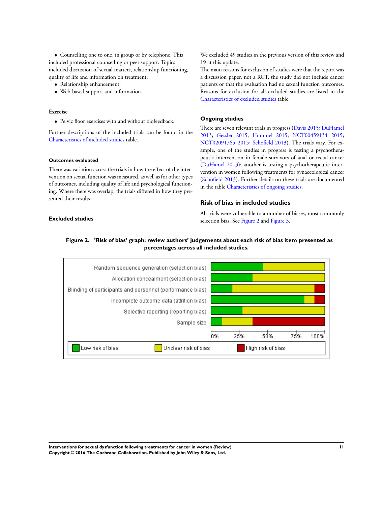• Counselling one to one, in group or by telephone. This included professional counselling or peer support. Topics included discussion of sexual matters, relationship functioning, quality of life and information on treatment;

- Relationship enhancement;
- Web-based support and information.

#### **Exercise**

• Pelvic floor exercises with and without biofeedback.

Further descriptions of the included trials can be found in the [Characteristics of included studies](#page-30-0) table.

## **Outcomes evaluated**

There was variation across the trials in how the effect of the intervention on sexual function was measured, as well as for other types of outcomes, including quality of life and psychological functioning. Where there was overlap, the trials differed in how they presented their results.

**Excluded studies**

We excluded 49 studies in the previous version of this review and 19 at this update.

The main reasons for exclusion of studies were that the report was a discussion paper, not a RCT, the study did not include cancer patients or that the evaluation had no sexual function outcomes. Reasons for exclusion for all excluded studies are listed in the [Characteristics of excluded studies](#page-43-0) table.

#### **Ongoing studies**

There are seven relevant trials in progress ([Davis 2015;](#page-22-0) [DuHamel](#page-22-0) [2013](#page-22-0); [Gessler 2015](#page-22-0); [Hummel 2015;](#page-22-0) [NCT00459134 2015;](#page-22-0) [NCT02091765 2015;](#page-22-0) [Schofield 2013](#page-22-0)). The trials vary. For example, one of the studies in progress is testing a psychotherapeutic intervention in female survivors of anal or rectal cancer [\(DuHamel 2013\)](#page-22-0); another is testing a psychotherapeutic intervention in women following treatments for gynaecological cancer [\(Schofield 2013\)](#page-22-0). Further details on these trials are documented in the table [Characteristics of ongoing studies](#page-49-0).

## **Risk of bias in included studies**

All trials were vulnerable to a number of biases, most commonly selection bias. See Figure 2 and [Figure 3.](#page-13-0)

## **Figure 2. 'Risk of bias' graph: review authors' judgements about each risk of bias item presented as percentages across all included studies.**

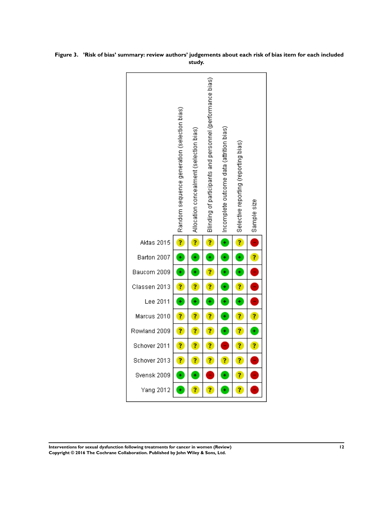

<span id="page-13-0"></span>**Figure 3. 'Risk of bias' summary: review authors' judgements about each risk of bias item for each included study.**

**Interventions for sexual dysfunction following treatments for cancer in women (Review) 12 Copyright © 2016 The Cochrane Collaboration. Published by John Wiley & Sons, Ltd.**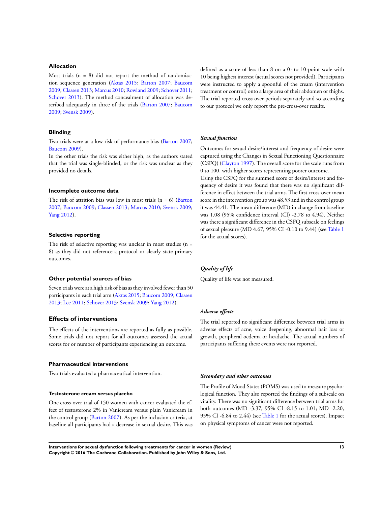## **Allocation**

Most trials  $(n = 8)$  did not report the method of randomisation sequence generation ([Aktas 2015](#page-22-0); [Barton 2007](#page-22-0); [Baucom](#page-22-0) [2009](#page-22-0); [Classen 2013](#page-22-0); [Marcus 2010](#page-22-0); [Rowland 2009](#page-22-0); [Schover 2011;](#page-22-0) [Schover 2013\)](#page-22-0). The method concealment of allocation was described adequately in three of the trials ([Barton 2007](#page-22-0); [Baucom](#page-22-0) [2009](#page-22-0); [Svensk 2009](#page-22-0)).

## **Blinding**

Two trials were at a low risk of performance bias [\(Barton 2007;](#page-22-0) [Baucom 2009](#page-22-0)).

In the other trials the risk was either high, as the authors stated that the trial was single-blinded, or the risk was unclear as they provided no details.

#### **Incomplete outcome data**

The risk of attrition bias was low in most trials  $(n = 6)$  [\(Barton](#page-22-0) [2007](#page-22-0); [Baucom 2009;](#page-22-0) [Classen 2013](#page-22-0); [Marcus 2010](#page-22-0); [Svensk 2009;](#page-22-0) [Yang 2012](#page-22-0)).

#### **Selective reporting**

The risk of selective reporting was unclear in most studies (n = 8) as they did not reference a protocol or clearly state primary outcomes.

#### **Other potential sources of bias**

Seven trials were at a high risk of bias as they involved fewer than 50 participants in each trial arm [\(Aktas 2015](#page-22-0); [Baucom 2009;](#page-22-0) [Classen](#page-22-0) [2013](#page-22-0); [Lee 2011](#page-22-0); [Schover 2013](#page-22-0); [Svensk 2009](#page-22-0); [Yang 2012](#page-22-0)).

## **Effects of interventions**

The effects of the interventions are reported as fully as possible. Some trials did not report for all outcomes assessed the actual scores for or number of participants experiencing an outcome.

## **Pharmaceutical interventions**

Two trials evaluated a pharmaceutical intervention.

#### **Testosterone cream versus placebo**

One cross-over trial of 150 women with cancer evaluated the effect of testosterone 2% in Vanicream versus plain Vanicream in the control group ([Barton 2007\)](#page-22-0). As per the inclusion criteria, at baseline all participants had a decrease in sexual desire. This was

defined as a score of less than 8 on a 0- to 10-point scale with 10 being highest interest (actual scores not provided). Participants were instructed to apply a spoonful of the cream (intervention treatment or control) onto a large area of their abdomen or thighs. The trial reported cross-over periods separately and so according to our protocol we only report the pre-cross-over results.

#### *Sexual function*

Outcomes for sexual desire/interest and frequency of desire were captured using the Changes in Sexual Functioning Questionnaire (CSFQ) [\(Clayton 1997](#page-22-0)). The overall score for the scale runs from 0 to 100, with higher scores representing poorer outcome.

Using the CSFQ for the summed score of desire/interest and frequency of desire it was found that there was no significant difference in effect between the trial arms. The first cross-over mean score in the intervention group was 48.53 and in the control group it was 44.41. The mean difference (MD) in change from baseline was 1.08 (95% confidence interval (CI) -2.78 to 4.94). Neither was there a significant difference in the CSFQ subscale on feelings of sexual pleasure (MD 4.67, 95% CI -0.10 to 9.44) (see [Table 1](#page-53-0) for the actual scores).

## *Quality of life*

Quality of life was not measured.

## *Adverse effects*

The trial reported no significant difference between trial arms in adverse effects of acne, voice deepening, abnormal hair loss or growth, peripheral oedema or headache. The actual numbers of participants suffering these events were not reported.

## *Secondary and other outcomes*

The Profile of Mood States (POMS) was used to measure psychological function. They also reported the findings of a subscale on vitality. There was no significant difference between trial arms for both outcomes (MD -3.37, 95% CI -8.15 to 1.01; MD -2.20, 95% CI -6.84 to 2.44) (see [Table 1](#page-53-0) for the actual scores). Impact on physical symptoms of cancer were not reported.

**Interventions for sexual dysfunction following treatments for cancer in women (Review) 13 Copyright © 2016 The Cochrane Collaboration. Published by John Wiley & Sons, Ltd.**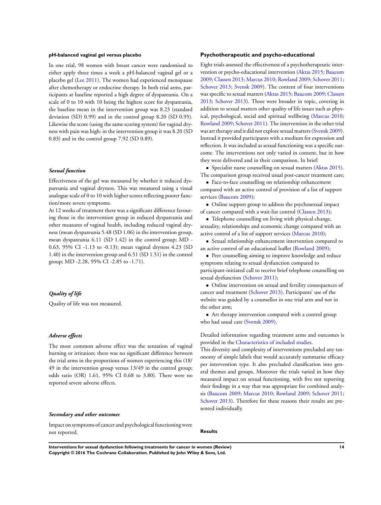#### **pH-balanced vaginal gel versus placebo**

In one trial, 98 women with breast cancer were randomised to either apply three times a week a pH-balanced vaginal gel or a placebo gel ([Lee 2011](#page-22-0)). The women had experienced menopause after chemotherapy or endocrine therapy. In both trial arms, participants at baseline reported a high degree of dyspareunia. On a scale of 0 to 10 with 10 being the highest score for dyspareunia, the baseline mean in the intervention group was 8.23 (standard deviation (SD) 0.99) and in the control group 8.20 (SD 0.95). Likewise the score (using the same scoring system) for vaginal dryness with pain was high: in the intervention group it was 8.20 (SD 0.83) and in the control group 7.92 (SD 0.89).

## *Sexual function*

Effectiveness of the gel was measured by whether it reduced dyspareunia and vaginal dryness. This was measured using a visual analogue scale of 0 to 10 with higher scores reflecting poorer function/more severe symptoms.

At 12 weeks of treatment there was a significant difference favouring those in the intervention group in reduced dyspareunia and other measures of vaginal health, including reduced vaginal dryness (mean dyspareunia 5.48 (SD 1.06) in the intervention group, mean dyspareunia 6.11 (SD 1.42) in the control group; MD - 0.63, 95% CI -1.13 to -0.13); mean vaginal dryness 4.23 (SD 1.40) in the intervention group and 6.51 (SD 1.51) in the control group; MD -2.28, 95% CI -2.85 to -1.71).

## *Quality of life*

Quality of life was not measured.

#### *Adverse effects*

The most common adverse effect was the sensation of vaginal burning or irritation; there was no significant difference between the trial arms in the proportions of women experiencing this (18/ 49 in the intervention group versus 13/49 in the control group; odds ratio (OR) 1.61, 95% CI 0.68 to 3.80). There were no reported severe adverse effects.

## *Secondary and other outcomes*

Impact on symptoms of cancer and psychological functioning were not reported.

#### **Psychotherapeutic and psycho-educational**

Eight trials assessed the effectiveness of a psychotherapeutic intervention or psycho-educational intervention [\(Aktas 2015;](#page-22-0) [Baucom](#page-22-0) [2009](#page-22-0); [Classen 2013](#page-22-0); [Marcus 2010](#page-22-0); [Rowland 2009](#page-22-0); [Schover 2011;](#page-22-0) [Schover 2013](#page-22-0); [Svensk 2009\)](#page-22-0). The content of four interventions was specific to sexual matters [\(Aktas 2015;](#page-22-0) [Baucom 2009;](#page-22-0) [Classen](#page-22-0) [2013](#page-22-0); [Schover 2013\)](#page-22-0). Three were broader in topic, covering in addition to sexual matters other quality of life issues such as physical, psychological, social and spiritual wellbeing [\(Marcus 2010;](#page-22-0) [Rowland 2009](#page-22-0); [Schover 2011](#page-22-0)). The intervention in the other trial was art therapy and it did not explore sexual matters ([Svensk 2009](#page-22-0)). Instead it provided participants with a medium for expression and reflection. It was included as sexual functioning was a specific outcome. The interventions not only varied in content, but in how they were delivered and in their comparison. In brief:

• Specialist nurse counselling on sexual matters [\(Aktas 2015\)](#page-22-0).

The comparison group received usual post-cancer treatment care; • Face-to-face counselling on relationship enhancement

compared with an active control of provision of a list of support services [\(Baucom 2009](#page-22-0));

• Online support group to address the psychosexual impact of cancer compared with a wait-list control [\(Classen 2013\)](#page-22-0);

• Telephone counselling on living with physical change, sexuality, relationships and economic change compared with an active control of a list of support services [\(Marcus 2010](#page-22-0));

• Sexual relationship enhancement intervention compared to an active control of an educational leaflet ([Rowland 2009](#page-22-0));

• Peer counselling aiming to improve knowledge and reduce symptoms relating to sexual dysfunction compared to participant-initiated call to receive brief telephone counselling on sexual dysfunction ([Schover 2011](#page-22-0));

• Online intervention on sexual and fertility consequences of cancer and treatment ([Schover 2013](#page-22-0)). Participants' use of the website was guided by a counsellor in one trial arm and not in the other arm;

• Art therapy intervention compared with a control group who had usual care ([Svensk 2009](#page-22-0)).

Detailed information regarding treatment arms and outcomes is provided in the [Characteristics of included studies](#page-30-0).

This diversity and complexity of interventions precluded any taxonomy of simple labels that would accurately summarise efficacy per intervention type. It also precluded classification into general themes and groups. Moreover the trials varied in how they measured impact on sexual functioning, with five not reporting their findings in a way that was appropriate for combined analysis ([Baucom 2009;](#page-22-0) [Marcus 2010;](#page-22-0) [Rowland 2009](#page-22-0); [Schover 2011;](#page-22-0) [Schover 2013](#page-22-0)). Therefore for these reasons their results are presented individually.

**Interventions for sexual dysfunction following treatments for cancer in women (Review) 14 Copyright © 2016 The Cochrane Collaboration. Published by John Wiley & Sons, Ltd.**

**Results**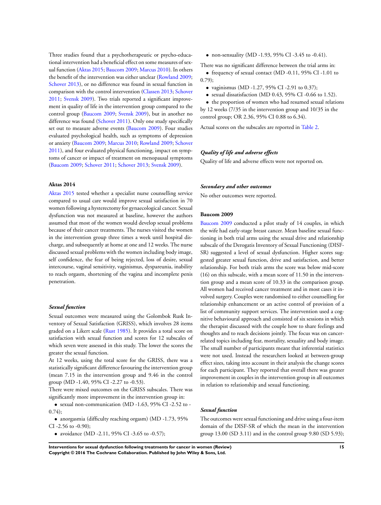Three studies found that a psychotherapeutic or psycho-educational intervention had a beneficial effect on some measures of sexual function ([Aktas 2015;](#page-22-0) [Baucom 2009](#page-22-0); [Marcus 2010\)](#page-22-0). In others the benefit of the intervention was either unclear ([Rowland 2009;](#page-22-0) [Schover 2013](#page-22-0)), or no difference was found in sexual function in comparison with the control intervention ([Classen 2013;](#page-22-0) [Schover](#page-22-0) [2011](#page-22-0); [Svensk 2009](#page-22-0)). Two trials reported a significant improvement in quality of life in the intervention group compared to the control group [\(Baucom 2009](#page-22-0); [Svensk 2009\)](#page-22-0), but in another no difference was found [\(Schover 2011\)](#page-22-0). Only one study specifically set out to measure adverse events [\(Baucom 2009\)](#page-22-0). Four studies evaluated psychological health, such as symptoms of depression or anxiety [\(Baucom 2009](#page-22-0); [Marcus 2010](#page-22-0); [Rowland 2009;](#page-22-0) [Schover](#page-22-0) [2011](#page-22-0)), and four evaluated physical functioning, impact on symptoms of cancer or impact of treatment on menopausal symptoms [\(Baucom 2009;](#page-22-0) [Schover 2011](#page-22-0); [Schover 2013;](#page-22-0) [Svensk 2009](#page-22-0)).

## **Aktas 2014**

[Aktas 2015](#page-22-0) tested whether a specialist nurse counselling service compared to usual care would improve sexual satisfaction in 70 women following a hysterectomy for gynaecological cancer. Sexual dysfunction was not measured at baseline, however the authors assumed that most of the women would develop sexual problems because of their cancer treatments. The nurses visited the women in the intervention group three times a week until hospital discharge, and subsequently at home at one and 12 weeks. The nurse discussed sexual problems with the women including body image, self confidence, the fear of being rejected, loss of desire, sexual intercourse, vaginal sensitivity, vaginismus, dyspareunia, inability to reach orgasm, shortening of the vagina and incomplete penis penetration.

#### *Sexual function*

Sexual outcomes were measured using the Golombok Rusk Inventory of Sexual Satisfaction (GRISS), which involves 28 items graded on a Likert scale [\(Rust 1985\)](#page-22-0). It provides a total score on satisfaction with sexual function and scores for 12 subscales of which seven were assessed in this study. The lower the scores the greater the sexual function.

At 12 weeks, using the total score for the GRISS, there was a statistically significant difference favouring the intervention group (mean 7.15 in the intervention group and 9.46 in the control group (MD -1.40, 95% CI -2.27 to -0.53).

There were mixed outcomes on the GRISS subscales. There was significantly more improvement in the intervention group in:

• sexual non-communication (MD -1.63, 95% CI -2.52 to - 0.74);

• anorgasmia (difficulty reaching orgasm) (MD -1.73, 95% CI -2.56 to -0.90);

• avoidance (MD -2.11, 95% CI -3.65 to -0.57);

• non-sensuality (MD -1.93, 95% CI -3.45 to -0.41).

There was no significant difference between the trial arms in: • frequency of sexual contact (MD -0.11, 95% CI -1.01 to

- 0.79); • vaginismus (MD -1.27, 95% CI -2.91 to 0.37);
	- sexual dissatisfaction (MD 0.43, 95% CI -0.66 to 1.52).
	- the proportion of women who had resumed sexual relations

by 12 weeks (7/35 in the intervention group and 10/35 in the control group; OR 2.36, 95% CI 0.88 to 6.34).

Actual scores on the subscales are reported in [Table 2.](#page-53-0)

## *Quality of life and adverse effects*

Quality of life and adverse effects were not reported on.

#### *Secondary and other outcomes*

No other outcomes were reported.

#### **Baucom 2009**

[Baucom 2009](#page-22-0) conducted a pilot study of 14 couples, in which the wife had early-stage breast cancer. Mean baseline sexual functioning in both trial arms using the sexual drive and relationship subscale of the Derogatis Inventory of Sexual Functioning (DISF-SR) suggested a level of sexual dysfunction. Higher scores suggested greater sexual function, drive and satisfaction, and better relationship. For both trials arms the score was below mid-score (16) on this subscale, with a mean score of 11.50 in the intervention group and a mean score of 10.33 in the comparison group. All women had received cancer treatment and in most cases it involved surgery. Couples were randomised to either counselling for relationship enhancement or an active control of provision of a list of community support services. The intervention used a cognitive behavioural approach and consisted of six sessions in which the therapist discussed with the couple how to share feelings and thoughts and to reach decisions jointly. The focus was on cancerrelated topics including fear, mortality, sexuality and body image. The small number of participants meant that inferential statistics were not used. Instead the researchers looked at between-group effect sizes, taking into account in their analysis the change scores for each participant. They reported that overall there was greater improvement in couples in the intervention group in all outcomes in relation to relationship and sexual functioning.

## *Sexual function*

The outcomes were sexual functioning and drive using a four-item domain of the DISF-SR of which the mean in the intervention group 13.00 (SD 3.11) and in the control group 9.80 (SD 5.93);

**Interventions for sexual dysfunction following treatments for cancer in women (Review) 15 Copyright © 2016 The Cochrane Collaboration. Published by John Wiley & Sons, Ltd.**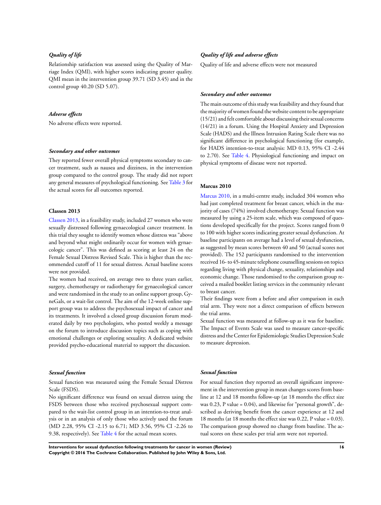## *Quality of life*

Relationship satisfaction was assessed using the Quality of Marriage Index (QMI), with higher scores indicating greater quality. QMI mean in the intervention group 39.71 (SD 3.45) and in the control group 40.20 (SD 5.07).

## *Adverse effects*

No adverse effects were reported.

#### *Secondary and other outcomes*

They reported fewer overall physical symptoms secondary to cancer treatment, such as nausea and dizziness, in the intervention group compared to the control group. The study did not report any general measures of psychological functioning. See [Table 3](#page-53-0) for the actual scores for all outcomes reported.

## **Classen 2013**

[Classen 2013](#page-22-0), in a feasibility study, included 27 women who were sexually distressed following gynaecological cancer treatment. In this trial they sought to identify women whose distress was "above and beyond what might ordinarily occur for women with gynaecologic cancer". This was defined as scoring at least 24 on the Female Sexual Distress Revised Scale. This is higher than the recommended cutoff of 11 for sexual distress. Actual baseline scores were not provided.

The women had received, on average two to three years earlier, surgery, chemotherapy or radiotherapy for gynaecological cancer and were randomised in the study to an online support group, GyneGals, or a wait-list control. The aim of the 12-week online support group was to address the psychosexual impact of cancer and its treatments. It involved a closed group discussion forum moderated daily by two psychologists, who posted weekly a message on the forum to introduce discussion topics such as coping with emotional challenges or exploring sexuality. A dedicated website provided psycho-educational material to support the discussion.

## *Sexual function*

Sexual function was measured using the Female Sexual Distress Scale (FSDS).

No significant difference was found on sexual distress using the FSDS between those who received psychosexual support compared to the wait-list control group in an intention-to-treat analysis or in an analysis of only those who actively used the forum (MD 2.28, 95% CI -2.15 to 6.71; MD 3.56, 95% CI -2.26 to 9.38, respectively). See [Table 4](#page-54-0) for the actual mean scores.

#### *Quality of life and adverse effects*

Quality of life and adverse effects were not measured

#### *Secondary and other outcomes*

The main outcome of this study was feasibility and they found that the majority of women found the website content to be appropriate  $(15/21)$  and felt comfortable about discussing their sexual concerns (14/21) in a forum. Using the Hospital Anxiety and Depression Scale (HADS) and the Illness Intrusion Rating Scale there was no significant difference in psychological functioning (for example, for HADS intention-to-treat analysis: MD 0.13, 95% CI -2.44 to 2.70). See [Table 4](#page-54-0). Physiological functioning and impact on physical symptoms of disease were not reported.

#### **Marcus 2010**

[Marcus 2010](#page-22-0), in a multi-centre study, included 304 women who had just completed treatment for breast cancer, which in the majority of cases (74%) involved chemotherapy. Sexual function was measured by using a 25-item scale, which was composed of questions developed specifically for the project. Scores ranged from 0 to 100 with higher scores indicating greater sexual dysfunction. At baseline participants on average had a level of sexual dysfunction, as suggested by mean scores between 40 and 50 (actual scores not provided). The 152 participants randomised to the intervention received 16- to 45-minute telephone counselling sessions on topics regarding living with physical change, sexuality, relationships and economic change. Those randomised to the comparison group received a mailed booklet listing services in the community relevant to breast cancer.

Their findings were from a before and after comparison in each trial arm. They were not a direct comparison of effects between the trial arms.

Sexual function was measured at follow-up as it was for baseline. The Impact of Events Scale was used to measure cancer-specific distress and the Center for Epidemiologic Studies Depression Scale to measure depression.

## *Sexual function*

For sexual function they reported an overall significant improvement in the intervention group in mean changes scores from baseline at 12 and 18 months follow-up (at 18 months the effect size was 0.23, P value = 0.04), and likewise for "personal growth", described as deriving benefit from the cancer experience at 12 and 18 months (at 18 months the effect size was 0.22, P value = 0.03). The comparison group showed no change from baseline. The actual scores on these scales per trial arm were not reported.

**Interventions for sexual dysfunction following treatments for cancer in women (Review) 16 Copyright © 2016 The Cochrane Collaboration. Published by John Wiley & Sons, Ltd.**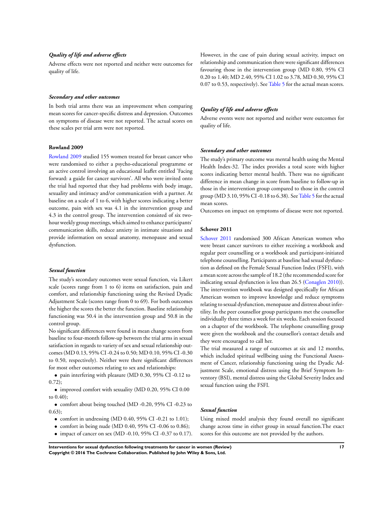## *Quality of life and adverse effects*

Adverse effects were not reported and neither were outcomes for quality of life.

#### *Secondary and other outcomes*

In both trial arms there was an improvement when comparing mean scores for cancer-specific distress and depression. Outcomes on symptoms of disease were not reported. The actual scores on these scales per trial arm were not reported.

#### **Rowland 2009**

[Rowland 2009](#page-22-0) studied 155 women treated for breast cancer who were randomised to either a psycho-educational programme or an active control involving an educational leaflet entitled 'Facing forward: a guide for cancer survivors'. All who were invited onto the trial had reported that they had problems with body image, sexuality and intimacy and/or communication with a partner. At baseline on a scale of 1 to 6, with higher scores indicating a better outcome, pain with sex was 4.1 in the intervention group and 4.3 in the control group. The intervention consisted of six twohour weekly group meetings, which aimed to enhance participants' communication skills, reduce anxiety in intimate situations and provide information on sexual anatomy, menopause and sexual dysfunction.

#### *Sexual function*

The study's secondary outcomes were sexual function, via Likert scale (scores range from 1 to 6) items on satisfaction, pain and comfort, and relationship functioning using the Revised Dyadic Adjustment Scale (scores range from 0 to 69). For both outcomes the higher the scores the better the function. Baseline relationship functioning was 50.4 in the intervention group and 50.8 in the control group.

No significant differences were found in mean change scores from baseline to four-month follow-up between the trial arms in sexual satisfaction in regards to variety of sex and sexual relationship outcomes (MD 0.13, 95% CI -0.24 to 0.50; MD 0.10, 95% CI -0.30 to 0.50, respectively). Neither were there significant differences for most other outcomes relating to sex and relationships:

• pain interfering with pleasure (MD 0.30, 95% CI -0.12 to 0.72);

• improved comfort with sexuality (MD 0.20, 95% CI 0.00 to 0.40);

• comfort about being touched (MD -0.20, 95% CI -0.23 to 0.63);

- comfort in undressing (MD 0.40, 95% CI -0.21 to 1.01);
- comfort in being nude (MD 0.40, 95% CI -0.06 to 0.86);
- impact of cancer on sex (MD -0.10, 95% CI -0.37 to 0.17).

However, in the case of pain during sexual activity, impact on relationship and communication there were significant differences favouring those in the intervention group (MD 0.80, 95% CI 0.20 to 1.40; MD 2.40, 95% CI 1.02 to 3.78, MD 0.30, 95% CI 0.07 to 0.53, respectively). See [Table 5](#page-55-0) for the actual mean scores.

## *Qaulity of life and adverse effects*

Adverse events were not reported and neither were outcomes for quality of life.

#### *Secondary and other outcomes*

The study's primary outcome was mental health using the Mental Health Index-32. The index provides a total score with higher scores indicating better mental health. There was no significant difference in mean change in score from baseline to follow-up in those in the intervention group compared to those in the control group (MD 3.10, 95% CI -0.18 to 6.38). See[Table 5](#page-55-0) for the actual mean scores.

Outcomes on impact on symptoms of disease were not reported.

## **Schover 2011**

[Schover 2011](#page-22-0) randomised 300 African American women who were breast cancer survivors to either receiving a workbook and regular peer counselling or a workbook and participant-initiated telephone counselling. Participants at baseline had sexual dysfunction as defined on the Female Sexual Function Index (FSFI), with a mean score across the sample of 18.2 (the recommended score for indicating sexual dysfunction is less than 26.5 ([Conaglen 2010](#page-22-0))). The intervention workbook was designed specifically for African American women to improve knowledge and reduce symptoms relating to sexual dysfunction, menopause and distress about infertility. In the peer counsellor group participants met the counsellor individually three times a week for six weeks. Each session focused on a chapter of the workbook. The telephone counselling group were given the workbook and the counsellor's contact details and they were encouraged to call her.

The trial measured a range of outcomes at six and 12 months, which included spiritual wellbeing using the Functional Assessment of Cancer, relationship functioning using the Dyadic Adjustment Scale, emotional distress using the Brief Symptom Inventory (BSI), mental distress using the Global Severity Index and sexual function using the FSFI.

## *Sexual function*

Using mixed model analysis they found overall no significant change across time in either group in sexual function.The exact scores for this outcome are not provided by the authors.

**Interventions for sexual dysfunction following treatments for cancer in women (Review) 17 Copyright © 2016 The Cochrane Collaboration. Published by John Wiley & Sons, Ltd.**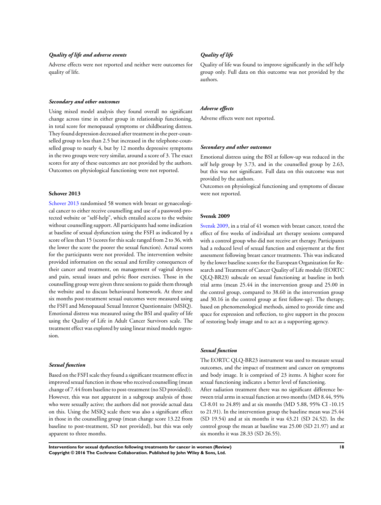## *Quality of life and adverse events*

Adverse effects were not reported and neither were outcomes for quality of life.

## *Secondary and other outcomes*

Using mixed model analysis they found overall no significant change across time in either group in relationship functioning, in total score for menopausal symptoms or childbearing distress. They found depression decreased after treatment in the peer-counselled group to less than 2.5 but increased in the telephone-counselled group to nearly 4, but by 12 months depressive symptoms in the two groups were very similar, around a score of 3. The exact scores for any of these outcomes are not provided by the authors. Outcomes on physiological functioning were not reported.

#### **Schover 2013**

[Schover 2013](#page-22-0) randomised 58 women with breast or gynaecological cancer to either receive counselling and use of a password-protected website or "self-help", which entailed access to the website without counselling support. All participants had some indication at baseline of sexual dysfunction using the FSFI as indicated by a score of less than 15 (scores for this scale ranged from 2 to 36, with the lower the score the poorer the sexual function). Actual scores for the participants were not provided. The intervention website provided information on the sexual and fertility consequences of their cancer and treatment, on management of vaginal dryness and pain, sexual issues and pelvic floor exercises. Those in the counselling group were given three sessions to guide them through the website and to discuss behavioural homework. At three and six months post-treatment sexual outcomes were measured using the FSFI and Menopausal Sexual Interest Questionnaire (MSIQ). Emotional distress was measured using the BSI and quality of life using the Quality of Life in Adult Cancer Survivors scale. The treatment effect was explored by using linear mixed models regression.

#### *Sexual function*

Based on the FSFI scale they found a significant treatment effect in improved sexual function in those who received counselling (mean change of 7.44 from baseline to post-treatment (no SD provided)). However, this was not apparent in a subgroup analysis of those who were sexually active; the authors did not provide actual data on this. Using the MSIQ scale there was also a significant effect in those in the counselling group (mean change score 13.22 from baseline to post-treatment, SD not provided), but this was only apparent to three months.

## *Quality of life*

Quality of life was found to improve significantly in the self help group only. Full data on this outcome was not provided by the authors.

## *Adverse effects*

Adverse effects were not reported.

#### *Secondary and other outcomes*

Emotional distress using the BSI at follow-up was reduced in the self help group by 3.73, and in the counselled group by 2.63, but this was not significant. Full data on this outcome was not provided by the authors.

Outcomes on physiological functioning and symptoms of disease were not reported.

## **Svensk 2009**

[Svensk 2009,](#page-22-0) in a trial of 41 women with breast cancer, tested the effect of five weeks of individual art therapy sessions compared with a control group who did not receive art therapy. Participants had a reduced level of sexual function and enjoyment at the first assessment following breast cancer treatments. This was indicated by the lower baseline scores for the European Organization for Research and Treatment of Cancer Quality of Life module (EORTC QLQ-BR23) subscale on sexual functioning at baseline in both trial arms (mean 25.44 in the intervention group and 25.00 in the control group, compared to 38.60 in the intervention group and 30.16 in the control group at first follow-up). The therapy, based on phenomenological methods, aimed to provide time and space for expression and reflection, to give support in the process of restoring body image and to act as a supporting agency.

#### *Sexual function*

The EORTC QLQ-BR23 instrument was used to measure sexual outcomes, and the impact of treatment and cancer on symptoms and body image. It is comprised of 23 items. A higher score for sexual functioning indicates a better level of functioning. After radiation treatment there was no significant difference between trial arms in sexual function at two months (MD 8.44, 95% CI-8.01 to 24.89) and at six months (MD 5.88, 95% CI -10.15 to 21.91). In the intervention group the baseline mean was 25.44 (SD 19.54) and at six months it was 43.21 (SD 24.52). In the control group the mean at baseline was 25.00 (SD 21.97) and at six months it was 28.33 (SD 26.55).

**Interventions for sexual dysfunction following treatments for cancer in women (Review) 18 Copyright © 2016 The Cochrane Collaboration. Published by John Wiley & Sons, Ltd.**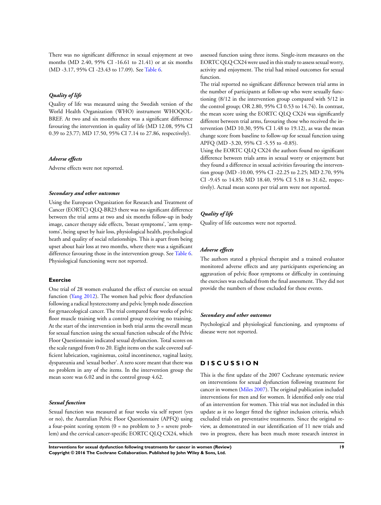There was no significant difference in sexual enjoyment at two months (MD 2.40, 95% CI -16.61 to 21.41) or at six months (MD -3.17, 95% CI -23.43 to 17.09). See [Table 6.](#page-55-0)

## *Quality of life*

Quality of life was measured using the Swedish version of the World Health Organization (WHO) instrument WHOQOL-BREF. At two and six months there was a significant difference favouring the intervention in quality of life (MD 12.08, 95% CI 0.39 to 23.77; MD 17.50, 95% CI 7.14 to 27.86, respectively).

## *Adverse effects*

Adverse effects were not reported.

#### *Secondary and other outcomes*

Using the European Organization for Research and Treatment of Cancer (EORTC) QLQ-BR23 there was no significant difference between the trial arms at two and six months follow-up in body image, cancer therapy side effects, 'breast symptoms', 'arm symptoms', being upset by hair loss, physiological health, psychological heath and quality of social relationships. This is apart from being upset about hair loss at two months, where there was a significant difference favouring those in the intervention group. See [Table 6.](#page-55-0) Physiological functioning were not reported.

## **Exercise**

One trial of 28 women evaluated the effect of exercise on sexual function [\(Yang 2012](#page-22-0)). The women had pelvic floor dysfunction following a radical hysterectomy and pelvic lymph node dissection for gynaecological cancer. The trial compared four weeks of pelvic floor muscle training with a control group receiving no training. At the start of the intervention in both trial arms the overall mean for sexual function using the sexual function subscale of the Pelvic Floor Questionnaire indicated sexual dysfunction. Total scores on the scale ranged from 0 to 20. Eight items on the scale covered sufficient lubrication, vaginismus, coital incontinence, vaginal laxity, dyspareunia and 'sexual bother'. A zero score meant that there was no problem in any of the items. In the intervention group the mean score was 6.02 and in the control group 4.62.

#### *Sexual function*

Sexual function was measured at four weeks via self report (yes or no), the Australian Pelvic Floor Questionnaire (APFQ) using a four-point scoring system  $(0 = no$  problem to  $3 =$  severe problem) and the cervical cancer-specific EORTC QLQ CX24, which assessed function using three items. Single-item measures on the EORTC QLQ CX24 were used in this study to assess sexual worry, activity and enjoyment. The trial had mixed outcomes for sexual function.

The trial reported no significant difference between trial arms in the number of participants at follow-up who were sexually functioning (8/12 in the intervention group compared with 5/12 in the control group; OR 2.80, 95% CI 0.53 to 14.74). In contrast, the mean score using the EORTC QLQ CX24 was significantly different between trial arms, favouring those who received the intervention (MD 10.30, 95% CI 1.48 to 19.12), as was the mean change score from baseline to follow-up for sexual function using APFQ (MD -3.20, 95% CI -5.55 to -0.85).

Using the EORTC QLQ CX24 the authors found no significant difference between trials arms in sexual worry or enjoyment but they found a difference in sexual activities favouring the intervention group (MD -10.00, 95% CI -22.25 to 2.25; MD 2.70, 95% CI -9.45 to 14.85; MD 18.40, 95% CI 5.18 to 31.62, respectively). Actual mean scores per trial arm were not reported.

## *Quality of life*

Quality of life outcomes were not reported.

## *Adverse effects*

The authors stated a physical therapist and a trained evaluator monitored adverse effects and any participants experiencing an aggravation of pelvic floor symptoms or difficulty in continuing the exercises was excluded from the final assessment. They did not provide the numbers of those excluded for these events.

#### *Secondary and other outcomes*

Psychological and physiological functioning, and symptoms of disease were not reported.

## **D I S C U S S I O N**

This is the first update of the 2007 Cochrane systematic review on interventions for sexual dysfunction following treatment for cancer in women [\(Miles 2007](#page-22-0)). The original publication included interventions for men and for women. It identified only one trial of an intervention for women. This trial was not included in this update as it no longer fitted the tighter inclusion criteria, which excluded trials on preventative treatments. Since the original review, as demonstrated in our identification of 11 new trials and two in progress, there has been much more research interest in

**Interventions for sexual dysfunction following treatments for cancer in women (Review) 19 Copyright © 2016 The Cochrane Collaboration. Published by John Wiley & Sons, Ltd.**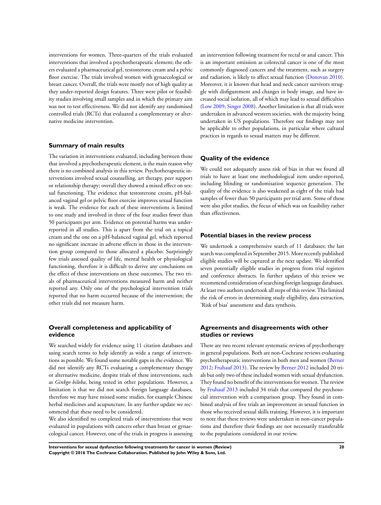interventions for women. Three-quarters of the trials evaluated interventions that involved a psychotherapeutic element; the others evaluated a pharmaceutical gel, testosterone cream and a pelvic floor exercise. The trials involved women with gynaecological or breast cancer. Overall, the trials were mostly not of high quality as they under-reported design features. Three were pilot or feasibility studies involving small samples and in which the primary aim was not to test effectiveness. We did not identify any randomised controlled trials (RCTs) that evaluated a complementary or alternative medicine intervention.

## **Summary of main results**

The variation in interventions evaluated, including between those that involved a psychotherapeutic element, is the main reason why there is no combined analysis in this review. Psychotherapeutic interventions involved sexual counselling, art therapy, peer support or relationship therapy; overall they showed a mixed effect on sexual functioning. The evidence that testosterone cream, pH-balanced vaginal gel or pelvic floor exercise improves sexual function is weak. The evidence for each of these interventions is limited to one study and involved in three of the four studies fewer than 50 participants per arm. Evidence on potential harms was underreported in all studies. This is apart from the trial on a topical cream and the one on a pH-balanced vaginal gel, which reported no significant increase in adverse effects in those in the intervention group compared to those allocated a placebo. Surprisingly few trials assessed quality of life, mental health or physiological functioning, therefore it is difficult to derive any conclusions on the effect of these interventions on these outcomes. The two trials of pharmaceutical interventions measured harm and neither reported any. Only one of the psychological intervention trials reported that no harm occurred because of the intervention; the other trials did not measure harm.

# **Overall completeness and applicability of evidence**

We searched widely for evidence using 11 citation databases and using search terms to help identify as wide a range of interventions as possible. We found some notable gaps in the evidence. We did not identify any RCTs evaluating a complementary therapy or alternative medicine, despite trials of these interventions, such as *Ginkgo biloba*, being tested in other populations. However, a limitation is that we did not search foreign language databases, therefore we may have missed some studies, for example Chinese herbal medicines and acupuncture. In any further update we recommend that these need to be considered.

We also identified no completed trials of interventions that were evaluated in populations with cancers other than breast or gynaecological cancer. However, one of the trials in progress is assessing an intervention following treatment for rectal or anal cancer. This is an important omission as colorectal cancer is one of the most commonly diagnosed cancers and the treatment, such as surgery and radiation, is likely to affect sexual function [\(Donovan 2010](#page-22-0)). Moreover, it is known that head and neck cancer survivors struggle with disfigurement and changes in body image, and have increased social isolation, all of which may lead to sexual difficulties [\(Low 2009](#page-22-0); [Singer 2008\)](#page-22-0). Another limitation is that all trials were undertaken in advanced western societies, with the majority being undertaken in US populations. Therefore our findings may not be applicable to other populations, in particular where cultural practices in regards to sexual matters may be different.

## **Quality of the evidence**

We could not adequately assess risk of bias in that we found all trials to have at least one methodological item under-reported, including blinding or randomisation sequence generation. The quality of the evidence is also weakened as eight of the trials had samples of fewer than 50 participants per trial arm. Some of these were also pilot studies, the focus of which was on feasibility rather than effectiveness.

## **Potential biases in the review process**

We undertook a comprehensive search of 11 databases; the last search was completed in September 2015.More recently published eligible studies will be captured at the next update. We identified seven potentially eligible studies in progress from trial registers and conference abstracts. In further updates of this review we recommend consideration of searching foreign language databases. At least two authors undertook all steps of this review. This limited the risk of errors in determining study eligibility, data extraction, 'Risk of bias' assessment and data synthesis.

## **Agreements and disagreements with other studies or reviews**

There are two recent relevant systematic reviews of psychotherapy in general populations. Both are non-Cochrane reviews evaluating psychotherapeutic interventions in both men and women ([Berner](#page-22-0) [2012](#page-22-0); [Fruhauf 2013\)](#page-22-0). The review by [Berner 2012](#page-22-0) included 20 trials but only two of these included women with sexual dysfunction. They found no benefit of the interventions for women. The review by [Fruhauf 2013](#page-22-0) included 34 trials that compared the psychosocial intervention with a comparison group. They found in combined analysis of five trials an improvement in sexual function in those who received sexual skills training. However, it is important to note that these reviews were undertaken in non-cancer populations and therefore their findings are not necessarily transferable to the populations considered in our review.

**Interventions for sexual dysfunction following treatments for cancer in women (Review) 20 Copyright © 2016 The Cochrane Collaboration. Published by John Wiley & Sons, Ltd.**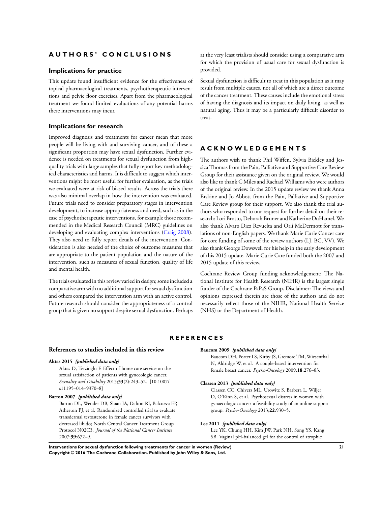# <span id="page-22-0"></span>**A U T H O R S ' C O N C L U S I O N S**

## **Implications for practice**

This update found insufficient evidence for the effectiveness of topical pharmacological treatments, psychotherapeutic interventions and pelvic floor exercises. Apart from the pharmacological treatment we found limited evaluations of any potential harms these interventions may incur.

## **Implications for research**

Improved diagnosis and treatments for cancer mean that more people will be living with and surviving cancer, and of these a significant proportion may have sexual dysfunction. Further evidence is needed on treatments for sexual dysfunction from highquality trials with large samples that fully report key methodological characteristics and harms. It is difficult to suggest which interventions might be most useful for further evaluation, as the trials we evaluated were at risk of biased results. Across the trials there was also minimal overlap in how the intervention was evaluated. Future trials need to consider preparatory stages in intervention development, to increase appropriateness and need, such as in the case of psychotherapeutic interventions, for example those recommended in the Medical Research Council (MRC) guidelines on developing and evaluating complex interventions (Craig 2008). They also need to fully report details of the intervention. Consideration is also needed of the choice of outcome measures that are appropriate to the patient population and the nature of the intervention, such as measures of sexual function, quality of life and mental health.

The trials evaluated in this review varied in design; some included a comparative arm with no additional support for sexual dysfunction and others compared the intervention arm with an active control. Future research should consider the appropriateness of a control group that is given no support despite sexual dysfunction. Perhaps

at the very least trialists should consider using a comparative arm for which the provision of usual care for sexual dysfunction is provided.

Sexual dysfunction is difficult to treat in this population as it may result from multiple causes, not all of which are a direct outcome of the cancer treatment. These causes include the emotional stress of having the diagnosis and its impact on daily living, as well as natural aging. Thus it may be a particularly difficult disorder to treat.

# **A C K N O W L E D G E M E N T S**

The authors wish to thank Phil Wiffen, Sylvia Bickley and Jessica Thomas from the Pain, Palliative and Supportive Care Review Group for their assistance given on the original review. We would also like to thank C Miles and Rachael Williams who were authors of the original review. In the 2015 update review we thank Anna Erskine and Jo Abbott from the Pain, Palliative and Supportive Care Review group for their support. We also thank the trial authors who responded to our request for further detail on their research: Lori Brotto, Deborah Bruner and Katherine DuHamel.We also thank Alvaro Diez Revuelta and Orii McDermott for translations of non-English papers. We thank Marie Curie Cancer care for core funding of some of the review authors (LJ, BC, VV). We also thank George Dowswell for his help in the early development of this 2015 update. Marie Curie Care funded both the 2007 and 2015 update of this review.

Cochrane Review Group funding acknowledgement: The National Institute for Health Research (NIHR) is the largest single funder of the Cochrane PaPaS Group. Disclaimer: The views and opinions expressed therein are those of the authors and do not necessarily reflect those of the NIHR, National Health Service (NHS) or the Department of Health.

## **R E F E R E N C E S**

## **References to studies included in this review**

## **Aktas 2015** *{published data only}*

Aktas D, Terzioglu F. Effect of home care service on the sexual satisfaction of patients with gynecologic cancer. *Sexuality and Disability* 2015;**33**(2):243–52. [10.1007/ s11195–014–9370–8]

#### **Barton 2007** *{published data only}*

Barton DL, Wender DB, Sloan JA, Dalton RJ, Balcueva EP, Atherton PJ, et al. Randomized controlled trial to evaluate transdermal testosterone in female cancer survivors with decreased libido; North Central Cancer Treatment Group Protocol N02C3. *Journal of the National Cancer Institute* 2007;**99**:672–9.

#### **Baucom 2009** *{published data only}*

Baucom DH, Porter LS, Kirby JS, Gremore TM, Wiesenthal N, Aldridge W, et al. A couple-based intervention for female breast cancer. *Psycho-Oncology* 2009;**18**:276–83.

## **Classen 2013** *{published data only}*

Classen CC, Chivers ML, Urowitz S, Barbera L, Wiljer D, O'Rinn S, et al. Psychosexual distress in women with gynaecologic cancer: a feasibility study of an online support group. *Psycho-Oncology* 2013;**22**:930–5.

#### **Lee 2011** *{published data only}*

Lee YK, Chung HH, Kim JW, Park NH, Song YS, Kang SB. Vaginal pH-balanced gel for the control of atrophic

**Interventions for sexual dysfunction following treatments for cancer in women (Review) 21 Copyright © 2016 The Cochrane Collaboration. Published by John Wiley & Sons, Ltd.**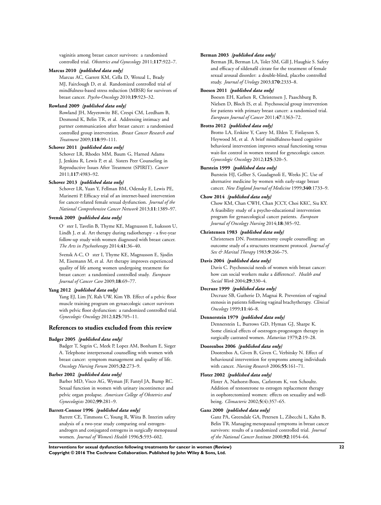vaginitis among breast cancer survivors: a randomised controlled trial. *Obstetrics and Gynecology* 2011;**117**:922–7.

#### **Marcus 2010** *{published data only}*

Marcus AC, Garrett KM, Cella D, Wenzal L, Brady MJ, Fairclough D, et al. Randomized controlled trial of mindfulness-based stress reduction (MBSR) for survivors of breast cancer. *Psycho-Oncology* 2010;**19**:923–32.

## **Rowland 2009** *{published data only}*

Rowland JH, Meyerowitz BE, Crespi CM, Leedham B, Desmond K, Belin TR, et al. Addressing intimacy and partner communication after breast cancer: a randomised controlled group intervention. *Breast Cancer Research and Treatment* 2009;**118**:99–111.

#### **Schover 2011** *{published data only}*

Schover LR, Rhodes MM, Baum G, Harned Adams J, Jenkins R, Lewis P, et al. Sisters Peer Counseling in Reproductive Issues After Treatment (SPIRIT). *Cancer* 2011;**117**:4983–92.

#### **Schover 2013** *{published data only}*

Schover LR, Yuan Y, Fellman BM, Odensky E, Lewis PE, Marinetti P. Efficacy trial of an internet-based intervention for cancer-related female sexual dysfunction. *Journal of the National Comprehensive Cancer Network* 2013;**11**:1389–97.

#### **Svensk 2009** *{published data only}*

O ster I, Tavelin B, Thyme KE, Magnusson E, Isaksson U, Lindh J, et al. Art therapy during radiotherapy - a five-year follow-up study with women diagnosed with breast cancer. *The Arts in Psychotherapy* 2014;**41**:36–40.

Svensk A-C, O ster I, Thyme KE, Magnusson E, Sjodin M, Eisemann M, et al. Art therapy improves experienced quality of life among women undergoing treatment for breast cancer: a randomized controlled study. *European Journal of Cancer Care* 2009;**18**:69–77.

## **Yang 2012** *{published data only}*

Yang EJ, Lim JY, Rah UW, Kim YB. Effect of a pelvic floor muscle training program on gynaecologic cancer survivors with pelvic floor dysfunction: a randomized controlled trial. *Gynecologic Oncology* 2012;**125**:705–11.

## **References to studies excluded from this review**

#### **Badger 2005** *{published data only}*

Badger T, Segrin C, Meek P, Lopez AM, Bonham E, Sieger A. Telephone interpersonal counselling with women with breast cancer: symptom management and quality of life. *Oncology Nursing Forum* 2005;**32**:273–9.

#### **Barber 2002** *{published data only}*

Barber MD, Visco AG, Wyman JF, Fantyl JA, Bump RC. Sexual function in women with urinary incontinence and pelvic organ prolapse. *American College of Obstetrics and Gynecologists* 2002;**99**:281–9.

## **Barrett-Connor 1996** *{published data only}*

Barrett CE, Timmons C, Young R, Wiita B. Interim safety analysis of a two-year study comparing oral estrogenandrogen and conjugated estrogens in surgically menopausal women. *Journal of Women's Health* 1996;**5**:593–602.

#### **Berman 2003** *{published data only}*

Berman JR, Berman LA, Toler SM, Gill J, Haughie S. Safety and efficacy of sildenafil citrate for the treatment of female sexual arousal disorder: a double-blind, placebo controlled study. *Journal of Urology* 2003;**170**:2333–8.

## **Boesen 2011** *{published data only}*

Boesen EH, Karlsen R, Christensen J, Paaschburg B, Nielsen D, Bloch IS, et al. Psychosocial group intervention for patients with primary breast cancer: a randomised trial. *European Journal of Cancer* 2011;**47**:1363–72.

## **Brotto 2012** *{published data only}*

Brotto LA, Erskine Y, Carey M, Ehlen T, Finlayson S, Heywood M, et al. A brief mindfulness-based cognitive behavioral intervention improves sexual functioning versus wait-list control in women treated for gynecologic cancer. *Gynecologic Oncology* 2012;**125**:320–5.

## **Burstein 1999** *{published data only}*

Burstein HJ, Gelber S, Guadagnoli E, Weeks JC. Use of alternative medicine by women with early-stage breast cancer. *New England Journal of Medicine* 1999;**340**:1733–9.

## **Chow 2014** *{published data only}*

Chow KM, Chan CWH, Chan JCCY, Choi KKC, Siu KY. A feasibility study of a psycho-educational intervention program for gynaecological cancer patients. *European Journal of Oncology Nursing* 2014;**18**:385–92.

## **Christensen 1983** *{published data only}*

Christensen DN. Postmastectomy couple counselling: an outcome study of a structures treatment protocol. *Journal of Sex & Marital Therapy* 1983;**9**:266–75.

## **Davis 2004** *{published data only}*

Davis C. Psychosocial needs of women with breast cancer: how can social workers make a difference?. *Health and Social Work* 2004;**29**:330–4.

## **Decruze 1999** *{published data only}*

Decruze SB, Gutherie D, Magnai R. Prevention of vaginal stenosis in patients following vaginal brachytherapy. *Clinical Oncology* 1999;**11**:46–8.

#### **Dennerstein 1979** *{published data only}*

Dennerstein L, Burrows GD, Hyman GJ, Sharpe K. Some clinical effects of oestrogen-progestogen therapy in surgically castrated women. *Maturitas* 1979;**2**:19–28.

#### **Doorenbos 2006** *{published data only}*

Doorenbos A, Given B, Given C, Verbitsky N. Effect of behavioural intervention for symptoms among individuals with cancer. *Nursing Research* 2006;**55**:161–71.

#### **Floter 2002** *{published data only}*

Floter A, Nathorst-Boos, Carlstrom K, von Schoultz. Addition of testosterone to estrogen replacement therapy in oophorectomized women: effects on sexuality and wellbeing. *Climacteric* 2002;**5**(4):357–65.

#### **Ganz 2000** *{published data only}*

Ganz PA, Greendale GA, Petersen L, Zibecchi L, Kahn B, Belin TR. Managing menopausal symptoms in breast cancer survivors: results of a randomized controlled trial. *Journal of the National Cancer Institute* 2000;**92**:1054–64.

**Interventions for sexual dysfunction following treatments for cancer in women (Review) 22 Copyright © 2016 The Cochrane Collaboration. Published by John Wiley & Sons, Ltd.**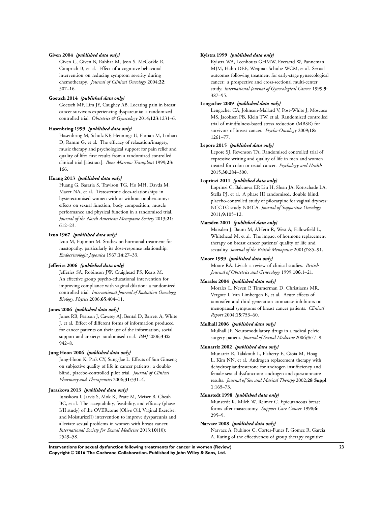## **Given 2004** *{published data only}*

Given C, Given B, Rahbar M, Jeon S, McCorkle R, Cimprich B, et al. Effect of a cognitive behavioral intervention on reducing symptom severity during chemotherapy. *Journal of Clinical Oncology* 2004;**22**: 507–16.

#### **Goetsch 2014** *{published data only}*

Goetsch MF, Lim JY, Caughey AB. Locating pain in breast cancer survivors experiencing dyspareunia: a randomized controlled trial. *Obstetrics & Gynecology* 2014;**123**:1231–6.

#### **Hasenbring 1999** *{published data only}*

Hasenbring M, Schulz KF, Hennings U, Florian M, Linhart D, Ramm G, et al. The efficacy of relaxation/imagery, music therapy and psychological support for pain relief and quality of life: first results from a randomized controlled clinical trial [abstract]. *Bone Marrow Transplant* 1999;**23**: 166.

#### **Huang 2013** *{published data only}*

Huang G, Basaria S, Travison TG, Ho MH, Davda M, Mazer NA, et al. Testosterone does-relationships in hysterectomised women with or without oopherctomy: effects on sexual function, body composition, muscle performance and physical function in a randomised trial. *Journal of the North American Menopause Society* 2013;**21**: 612–23.

#### **Izuo 1967** *{published data only}*

Izuo M, Fujimori M. Studies on hormonal treatment for mastopathy, particularly its dose-response relationship. *Endocrinologia Japonica* 1967;**14**:27–33.

#### **Jefferies 2006** *{published data only}*

Jefferies SA, Robinson JW, Craighead PS, Keats M. An effective group psycho-educational intervention for improving compliance with vaginal dilation: a randomized controlled trial. *International Journal of Radiation Oncology, Biology, Physics* 2006;**65**:404–11.

## **Jones 2006** *{published data only}*

Jones RB, Pearson J, Cawsey AJ, Bental D, Barrett A, White J, et al. Effect of different forms of information produced for cancer patients on their use of the information, social support and anxiety: randomised trial. *BMJ* 2006;**332**: 942–8.

## **Jung Hoon 2006** *{published data only}*

Jong-Hoon K, Park CY, Sung-Jae L. Effects of Sun Ginseng on subjective quality of life in cancer patients: a doubleblind, placebo-controlled pilot trial. *Journal of Clinical Pharmacy and Therapeutics* 2006;**31**:331–4.

## **Juraskova 2013** *{published data only}*

Juraskova I, Jarvis S, Mok K, Peate M, Meiser B, Cheah BC, et al. The acceptability, feasibility, and efficacy (phase I/II study) of the OVERcome (Olive Oil, Vaginal Exercise, and MoisturizeR) intervention to improve dyspareunia and alleviate sexual problems in women with breast cancer. *International Society for Sexual Medicine* 2013;**10**(10): 2549–58.

#### **Kylstra 1999** *{published data only}*

Kylstra WA, Leenhouts GHMW, Everaerd W, Panneman MJM, Hahn DEE, Weijmar-Schultz WCM, et al. Sexual outcomes following treatment for early-stage gynaecological cancer: a prospective and cross-sectional multi-center study. *International Journal of Gynecological Cancer* 1999;**9**: 387–95.

## **Lengacher 2009** *{published data only}*

Lengacher CA, Johnson-Mallard V, Post-White J, Moscoso MS, Jacobsen PB, Klein TW, et al. Randomized controlled trial of mindfulness-based stress reduction (MBSR) for survivors of breast cancer. *Psycho-Oncology* 2009;**18**: 1261–77.

## **Lepore 2015** *{published data only}*

Lepore SJ, Revenson TA. Randomised controlled trial of expressive writing and quality of life in men and women treated for colon or rectal cancer. *Psychology and Health* 2015;**30**:284–300.

#### **Loprinzi 2011** *{published data only}*

Loprinzi C, Balcueva EP, Liu H, Sloan JA, Kottschade LA, Stella PJ, et al. A phase III randomised, double blind, placebo-controlled study of pilocarpine for vaginal dryness: NCCTG study N04CA. *Journal of Supportive Oncology* 2011;**9**:105–12.

#### **Marsden 2001** *{published data only}*

Marsden J, Baum M, A'Hern R, West A, Fallowfield L, Whitehead M, et al. The impact of hormone replacement therapy on breast cancer patients' quality of life and sexuality. *Journal of the British Menopause* 2001;**7**:85–91.

### **Moore 1999** *{published data only}*

Moore RA. Livial: a review of clinical studies. *British Journal of Obstetrics and Gynecology* 1999;**106**:1–21.

## **Morales 2004** *{published data only}*

Morales L, Neven P, Timmerman D, Christiaens MR, Vergote I, Van Limbergen E, et al. Acute effects of tamoxifen and third-generation aromatase inhibitors on menopausal symptoms of breast cancer patients. *Clinical Report* 2004;**15**:753–60.

## **Mulhall 2006** *{published data only}*

Mulhall JP. Neuromodulatory drugs in a radical pelvic surgery patient. *Journal of Sexual Medicine* 2006;**3**:77–9.

#### **Munarriz 2002** *{published data only}*

Munarriz R, Talakoub L, Flaherty E, Gioia M, Hoag L, Kim NN, et al. Androgen replacement therapy with dehydroepiandrosterone for androgen insufficiency and female sexual dysfunction: androgen and questionnaire results. *Journal of Sex and Marital Therapy* 2002;**28 Suppl 1**:165–73.

#### **Munstedt 1998** *{published data only}*

Munstedt K, Milch W, Reimer C. Epicutaneous breast forms after mastectomy. *Support Care Cancer* 1998;**6**: 295–9.

#### **Narvaez 2008** *{published data only}*

Narvaez A, Rubinos C, Cortes-Funes F, Gomez R, Garcia A. Rating of the effectiveness of group therapy cognitive

**Interventions for sexual dysfunction following treatments for cancer in women (Review) 23 Copyright © 2016 The Cochrane Collaboration. Published by John Wiley & Sons, Ltd.**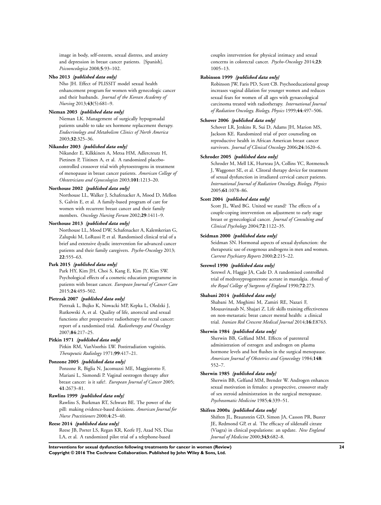image in body, self-esteem, sexual distress, and anxiety and depression in breast cancer patients. [Spanish]. *Psicooncologica* 2008;**5**:93–102.

#### **Nho 2013** *{published data only}*

Nho JH. Effect of PLISSIT model sexual health enhancement program for women with gynecologic cancer and their husbands. *Journal of the Korean Academy of Nursing* 2013;**43**(5):681–9.

## **Nieman 2003** *{published data only}*

Nieman LK. Management of surgically hypogonadal patients unable to take sex hormone replacement therapy. *Endocrinology and Metabolism Clinics of North America* 2003;**32**:325–36.

#### **Nikander 2003** *{published data only}*

Nikander E, Kilkkinen A, Metsa HM, Adlercreutz H, Pietinen P, Tiitinen A, et al. A randomized placebocontrolled crossover trial with phytoestrogens in treatment of menopause in breast cancer patients. *American College of Obstetricians and Gynecologists* 2003;**101**:1213–20.

#### **Northouse 2002** *{published data only}*

Northouse LL, Walker J, Schafenacker A, Mood D, Mellon S, Galvin E, et al. A family-based program of care for women with recurrent breast cancer and their family members. *Oncology Nursing Forum* 2002;**29**:1411–9.

#### **Northouse 2013** *{published data only}*

Northouse LL, Mood DW, Schafenacker A, Kalemkerian G, Zalupski M, LoRussi P, et al. Randomised clinical trial of a brief and extensive dyadic intervention for advanced cancer patients and their family caregivers. *Psycho-Oncology* 2013; **22**:555–63.

## **Park 2015** *{published data only}*

Park HY, Kim JH, Choi S, Kang E, Kim JY, Kim SW. Psychological effects of a cosmetic education programme in patients with breast cancer. *European Journal of Cancer Care* 2015;**24**:493–502.

#### **Pietrzak 2007** *{published data only}*

Pietrzak L, Bujko K, Nowacki MP, Kepka L, Oledzki J, Rutkowski A, et al. Quality of life, anorectal and sexual functions after preoperative radiotherapy for rectal cancer: report of a randomised trial. *Radiotherapy and Oncology* 2007;**84**:217–25.

## **Pitkin 1971** *{published data only}*

Pitkin RM, VanVoorhis LW. Postirradiation vaginitis. *Therapeutic Radiology* 1971;**99**:417–21.

#### **Ponzone 2005** *{published data only}*

Ponzone R, Biglia N, Jacomuzzi ME, Maggiorotto F, Mariani L, Sismondi P. Vaginal oestrogen therapy after breast cancer: is it safe?. *European Journal of Cancer* 2005; **41**:2673–81.

#### **Rawlins 1999** *{published data only}*

Rawlins S, Burkman RT, Schwarz BE. The power of the pill: making evidence-based decisions. *American Journal for Nurse Practitioners* 2000;**4**:25–40.

#### **Reese 2014** *{published data only}*

Reese JB, Porter LS, Regan KR, Keefe FJ, Azad NS, Diaz LA, et al. A randomized pilot trial of a telephone-based

couples intervention for physical intimacy and sexual concerns in colorectal cancer. *Psycho-Oncology* 2014;**23**: 1005–13.

#### **Robinson 1999** *{published data only}*

Robinson JW, Faris PD, Scott CB. Psychoeducational group increases vaginal dilation for younger women and reduces sexual fears for women of all ages with gynaecological carcinoma treated with radiotherapy. *International Journal of Radiation Oncology, Biology, Physics* 1999;**44**:497–506.

#### **Schover 2006** *{published data only}*

Schover LR, Jenkins R, Sui D, Adams JH, Marion MS, Jackson KE. Randomized trial of peer counseling on reproductive health in African American breast cancer survivors. *Journal of Clinical Oncology* 2006;**24**:1620–6.

#### **Schroder 2005** *{published data only}*

Schroder M, Mell LK, Hurteau JA, Collins YC, Rotmensch J, Waggoner SE, et al. Clitoral therapy device for treatment of sexual dysfunction in irradiated cervical cancer patients. *International Journal of Radiation Oncology, Biology, Physics* 2005;**61**:1078–86.

# **Scott 2004** *{published data only}*

Scott JL, Ward BG. United we stand? The effects of a couple-coping intervention on adjustment to early stage breast or gynecological cancer. *Journal of Consulting and Clinical Psychology* 2004;**72**:1122–35.

#### **Seidman 2000** *{published data only}*

Seidman SN. Hormonal aspects of sexual dysfunction: the therapeutic use of exogenous androgens in men and women. *Current Psychiatry Reports* 2000;**2**:215–22.

#### **Serewel 1990** *{published data only}*

Serewel A, Haggie JA, Cade D. A randomised controlled trial of medroxyprogesterone acetate in mastalgia. *Annals of the Royal College of Surgeons of England* 1990;**72**:273.

## **Shabani 2014** *{published data only}*

Shabani M, Moghimi M, Zamiri RE, Nazari F, Mousavinasab N, Shajari Z. Life skills training effectiveness on non-metastatic breat cancer mental health: a clinical trial. *Iranian Red Crescent Medical Journal* 2014;**16**:E8763.

## **Sherwin 1984** *{published data only}*

Sherwin BB, Gelfand MM. Effects of parenteral administration of estrogen and androgen on plasma hormone levels and hot flushes in the surgical menopause. *American Journal of Obstetrics and Gynecology* 1984;**148**: 552–7.

## **Sherwin 1985** *{published data only}*

Sherwin BB, Gelfand MM, Brender W. Androgen enhances sexual motivation in females: a prospective, crossover study of sex steroid administration in the surgical menopause. *Psychosomatic Medicine* 1985;**4**:339–51.

#### **Shifren 2000a** *{published data only}*

Shifren JL, Braunstein GD, Simon JA, Casson PR, Buster JE, Redmond GP, et al. The efficacy of sildenafil citrate (Viagra) in clinical populations: an update. *New England Journal of Medicine* 2000;**343**:682–8.

**Interventions for sexual dysfunction following treatments for cancer in women (Review) 24 Copyright © 2016 The Cochrane Collaboration. Published by John Wiley & Sons, Ltd.**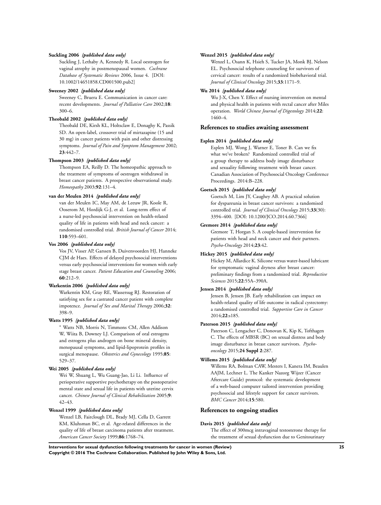## **Suckling 2006** *{published data only}*

Suckling J, Lethaby A, Kennedy R. Local oestrogen for vaginal atrophy in postmenopausal women. *Cochrane Database of Systematic Reviews* 2006, Issue 4. [DOI: 10.1002/14651858.CD001500.pub2]

## **Sweeney 2002** *{published data only}*

Sweeney C, Bruera E. Communication in cancer care: recent developments. *Journal of Palliative Care* 2002;**18**: 300–6.

#### **Theobald 2002** *{published data only}*

Theobald DE, Kirsh KL, Holtsclaw E, Donaghy K, Passik SD. An open-label, crossover trial of mirtazapine (15 and 30 mg) in cancer patients with pain and other distressing symptoms. *Journal of Pain and Symptom Management* 2002; **23**:442–7.

#### **Thompson 2003** *{published data only}*

Thompson EA, Reilly D. The homeopathic approach to the treatment of symptoms of oestrogen withdrawal in breast cancer patients. A prospective observational study. *Homeopathy* 2003;**92**:131–4.

#### **van der Meulen 2014** *{published data only}*

van der Meulen IC, May AM, de Leeuw JR, Koole R, Ooserom M, Hordijk G-J, et al. Long-term effect of a nurse-led psychosocial intervention on health-related quality of life in patients with head and neck cancer: a randomised controlled trial. *British Journal of Cancer* 2014; **110**:593–601.

## **Vos 2006** *{published data only}*

Vos JV, Visser AP, Garssen B, Duivenvoorden HJ, Hanneke CJM de Haes. Effects of delayed psychosocial interventions versus early psychosocial interventions for women with early stage breast cancer. *Patient Education and Counseling* 2006; **60**:212–9.

#### **Warkentin 2006** *{published data only}*

Warkentin KM, Gray RE, Wassersug RJ. Restoration of satisfying sex for a castrated cancer patient with complete impotence. *Journal of Sex and Marital Therapy* 2006;**32**: 398–9.

#### **Watts 1995** *{published data only}*

<sup>∗</sup> Watts NB, Morris N, Timmons CM, Allen Addison W, Wiita B, Downey LJ. Comparison of oral estrogens and estrogens plus androgen on bone mineral density, menopausal symptoms, and lipid-lipoprotein profiles in surgical menopause. *Obstetrics and Gynecology* 1995;**85**: 529–37.

#### **Wei 2005** *{published data only}*

Wei W, Shuang L, Wu Guang-Jao, Li Li. Influence of perioperative supportive psychotherapy on the postoperative mental state and sexual life in patients with uterine cervix cancer. *Chinese Journal of Clinical Rehabilitation* 2005;**9**: 42–43.

#### **Wenzel 1999** *{published data only}*

Wenzel LB, Fairclough DL, Brady MJ, Cella D, Garrett KM, Kluhsman BC, et al. Age-related differences in the quality of life of breast carcinoma patients after treatment. *American Cancer Society* 1999;**86**:1768–74.

#### **Wenzel 2015** *{published data only}*

Wenzel L, Osann K, Hsieh S, Tucker JA, Monk BJ, Nelson EL. Psychosocial telephone counseling for survivors of cervical cancer: results of a randomized biobehavioral trial. *Journal of Clinical Oncology* 2015;**33**:1171–9.

## **Wu 2014** *{published data only}*

Wu J-X, Chen Y. Effect of nursing intervention on mental and physical health in patients with rectal cancer after Miles operation. *World Chinese Journal of Digestology* 2014;**22**: 1460–4.

## **References to studies awaiting assessment**

## **Esplen 2014** *{published data only}*

Esplen MJ, Wong J, Warner E, Toner B. Can we fix what we've broken? Randomized controlled trial of a group therapy to address body image disturbance and sexuality following treatment with breast cancer. Canadian Association of Psychosocial Oncology Conference Proceedings. 2014:B–228.

## **Goetsch 2015** *{published data only}*

Goetsch M, Lim JY, Caughey AB. A practical solution for dyspareunia in breast cancer survivors: a randomised controlled trial. *Journal of Clinical Oncology* 2015;**33**(30): 3394–400. [DOI: 10.1200/JCO.2014.60.7366]

## **Gremore 2014** *{published data only}*

Gremore T, Horgan S. A couple-based intervention for patients with head and neck cancer and their partners. *Psycho-Oncology* 2014;**23**:42.

## **Hickey 2015** *{published data only}*

Hickey M, Allardice K. Silicone versus water-based lubricant for symptomatic vaginal dryness after breast cancer: preliminary findings from a randomized trial. *Reproductive Sciences* 2015;**22**:55A–390A.

## **Jensen 2014** *{published data only}*

Jensen B, Jensen JB. Early rehabilitation can impact on health-related quality of life outcome in radical cystectomy: a randomised controlled trial. *Supportive Care in Cancer* 2014;**22**:s185.

## **Paterson 2015** *{published data only}*

Paterson C, Lengacher C, Donovan K, Kip K, Tofthagen C. The effects of MBSR (BC) on sexual distress and body image disturbance in breast cancer survivors. *Psychooncology* 2015;**24 Suppl 2**:287.

## **Willems 2015** *{published data only}*

Willems RA, Bolman CAW, Mesters I, Kanera IM, Beaulen AAJM, Lechner L. The Kanker Nazorg Wijzer (Cancer Aftercare Guide) protocol: the systematic development of a web-based computer tailored intervention providing psychosocial and lifestyle support for cancer survivors. *BMC Cancer* 2014;**15**:580.

# **References to ongoing studies**

## **Davis 2015** *{published data only}*

The effect of 300mcg intravaginal testosterone therapy for the treatment of sexual dysfunction due to Genitourinary

**Interventions for sexual dysfunction following treatments for cancer in women (Review) 25 Copyright © 2016 The Cochrane Collaboration. Published by John Wiley & Sons, Ltd.**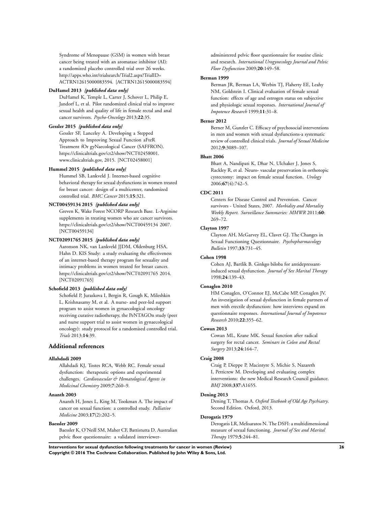Syndrome of Menopause (GSM) in women with breast cancer being treated with an aromatase inhibitor (AI): a randomized placebo controlled trial over 26 weeks. http://apps.who.int/trialsearch/Trial2.aspx?TrialID= ACTRN12615000083594. [ACTRN12615000083594]

#### **DuHamel 2013** *{published data only}*

DuHamel K, Temple L, Carter J, Schover L, Philip E, Jandorf L, et al. Pilot randomized clinical trial to improve sexual health and quality of life in female rectal and anal cancer survivors. *Psycho-Oncology* 2013;**22**:35.

#### **Gessler 2015** *{published data only}*

Gessler SF, Lanceley A. Developing a Stepped Approach to Improving Sexual Function aFteR Treatment fOr gyNaecological Cancer (SAFFRON). https://clinicaltrials.gov/ct2/show/NCT02458001. www.clinicaltrials.gov, 2015. [NCT02458001]

#### **Hummel 2015** *{published data only}*

Hummel SB, Lankveld J. Internet-based cognitive behavioral therapy for sexual dysfunctions in women treated for breast cancer: design of a multicenter, randomized controlled trial. *BMC Cancer* 2015;**15**:321.

#### **NCT00459134 2015** *{published data only}*

Greven K, Wake Forest NCORP Research Base. L-Arginine supplements in treating women who are cancer survivors. https://clinicaltrials.gov/ct2/show/NCT00459134 2007. [NCT00459134]

## **NCT02091765 2015** *{published data only}*

Aaronson NK, van Lankveld JJDM, Oldenburg HSA, Hahn D. KIS Study: a study evaluating the effectiveness of an internet-based therapy program for sexuality and intimacy problems in women treated for breast cancer. https://clinicaltrials.gov/ct2/show/NCT02091765 2014. [NCT02091765]

#### **Schofield 2013** *{published data only}*

Schofield P, Juraskova I, Bergin R, Gough K, Mileshkin L, Krishnasamy M, et al. A nurse- and peer-led support program to assist women in gynaecological oncology receiving curative radiotherapy, the PeNTAGOn study (peer and nurse support trial to assist women in gynaecological oncology): study protocol for a randomised controlled trial. *Trials* 2013;**14**:39.

#### **Additional references**

#### **Allahdadi 2009**

Allahdadi KJ, Tostes RCA, Webb RC. Female sexual dysfunction: therapeutic options and experimental challenges. *Cardiovascular & Hematological Agents in Medicinal Chemistry* 2009;**7**:260–9.

## **Ananth 2003**

Ananth H, Jones L, King M, Tookman A. The impact of cancer on sexual function: a controlled study. *Palliative Medicine* 2003;**17**(2):202–5.

#### **Baessler 2009**

Baessler K, O'Neill SM, Maher CF, Battistutta D. Australian pelvic floor questionnaire: a validated intervieweradministered pelvic floor questionnaire for routine clinic and research. *International Urogynecology Journal and Pelvic Floor Dysfunction* 2009;**20**:149–58.

#### **Berman 1999**

Berman JR, Berman LA, Werbin TJ, Flaherty EE, Leahy NM, Goldstein I. Clinical evaluation of female sexual function: effects of age and estrogen status on subjective and physiologic sexual responses. *International Journal of Impotence Research* 1999;**11**:31–8.

#### **Berner 2012**

Berner M, Gunzler C. Efficacy of psychosocial interventions in men and women with sexual dysfunctions-a systematic review of controlled clinical trials. *Journal of Sexual Medicine* 2012;**9**:3089–107.

#### **Bhatt 2006**

Bhatt A, Nandipati K, Dhar N, Ulchaker J, Jones S, Rackley R, et al. Neuro- vascular preservation in orthotopic cystectomy: impact on female sexual function. *Urology* 2006;**67**(4):742–5.

#### **CDC 2011**

Centers for Disease Control and Prevention. Cancer survivors - United States, 2007. *Morbidity and Mortality Weekly Report. Surveillance Summaries: MMWR* 2011;**60**: 269–72.

#### **Clayton 1997**

Clayton AH, McGarvey EL, Clavet GJ. The Changes in Sexual Functioning Questionnaire. *Psychopharmacology Bulletin* 1997;**33**:731–45.

#### **Cohen 1998**

Cohen AJ, Bartlik B. Ginkgo biloba for antidepressantinduced sexual dysfunction. *Journal of Sex Marital Therapy* 1998;**24**:139–43.

#### **Conaglen 2010**

HM Conaglen, O'Connor EJ, McCabe MP, Conaglen JV. An investigation of sexual dysfunction in female partners of men with erectile dysfunction: how interviews expand on questionnaire responses. *International Journal of Impotence Research* 2010;**22**:355–62.

## **Cowan 2013**

Cowan ML, Krane MK. Sexual function after radical surgery for rectal cancer. *Seminars in Colon and Rectal Surgery* 2013;**24**:164–7.

## **Craig 2008**

Craig P, Dieppe P, Macintyre S, Michie S, Nazareth I, Petticrew M. Developing and evaluating complex interventions: the new Medical Research Council guidance. *BMJ* 2008;**337**:A1655.

#### **Dening 2013**

Dening T, Thomas A. *Oxford Textbook of Old Age Psychiatry*. Second Edition. Oxford, 2013.

#### **Derogatis 1979**

Derogatis LR, Melisaratos N. The DSFI: a multidimensional measure of sexual functioning. *Journal of Sex and Marital Therapy* 1979;**5**:244–81.

**Interventions for sexual dysfunction following treatments for cancer in women (Review) 26 Copyright © 2016 The Cochrane Collaboration. Published by John Wiley & Sons, Ltd.**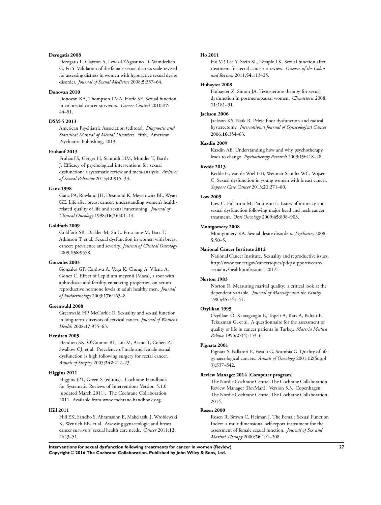## **Derogatis 2008**

Derogatis L, Clayton A, Lewis-D'Agostino D, Wunderlich G, Fu Y. Validation of the female sexual distress scale-revised for assessing distress in women with hypoactive sexual desire disorder. *Journal of Sexual Medicine* 2008;**5**:357–64.

#### **Donovan 2010**

Donovan KA, Thompson LMA, Hoffe SE. Sexual function in colorectal cancer survivors. *Cancer Control* 2010;**17**: 44–51.

#### **DSM-5 2013**

American Psychiatric Association (editors). *Diagnostic and Statistical Manual of Mental Disorders*. Fifth. American Psychiatric Publishing, 2013.

#### **Fruhauf 2013**

Fruhauf S, Gerger H, Schmidt HM, Munder T, Barth J. Efficacy of psychological interventions for sexual dysfunction: a systematic review and meta-analysis. *Archives of Sexual Behavior* 2013;**42**:915–33.

#### **Ganz 1998**

Ganz PA, Rowland JH, Desmond K, Meyerowitz BE, Wyatt GE. Life after breast cancer: understanding women's healthrelated quality of life and sexual functioning. *Journal of Clinical Oncology* 1998;**16**(2):501–14.

## **Goldfarb 2009**

Goldfarb SB, Dickler M, Sit L, Fruscione M, Barz T, Atkinson T, et al. Sexual dysfunction in women with breast cancer: prevalence and severity. *Journal of Clinical Oncology* 2009;**15S**:9558.

#### **Gonzales 2003**

Gonzales GF, Cordova A, Vega K, Chung A, Vilena A, Gonez C. Effect of Lepidium meyenii (Maca), a root with aphtodisiac and fertility-enhancing properties, on serum reproductive hormone levels in adult healthy men. *Journal of Endocrinology* 2003;**176**:163–8.

#### **Greenwald 2008**

Greenwald HP, McCorkle R. Sexuality and sexual function in long-term survivors of cervical cancer. *Journal of Women's Health* 2008;**17**:955–63.

#### **Hendren 2005**

Hendren SK, O'Connor BL, Liu M, Asano T, Cohen Z, Swallow CJ, et al. Prevalence of male and female sexual dysfunction is high following surgery for rectal cancer. *Annals of Surgery* 2005;**242**:212–23.

## **Higgins 2011**

Higgins JPT, Green S (editors). Cochrane Handbook for Systematic Reviews of Interventions Version 5.1.0 [updated March 2011]. The Cochrane Collaboration, 2011. Available from www.cochrane-handbook.org.

#### **Hill 2011**

Hill EK, Sandbo S, Abramsohn E, Makelarski J, Wroblewski K, Wenrich ER, et al. Assessing gynaecologic and breast cancer survivors' sexual health care needs. *Cancer* 2011;**12**: 2643–51.

#### **Ho 2011**

Ho VP, Lee Y, Stein SL, Temple LK. Sexual function after treatment for rectal cancer: a review. *Diseases of the Colon and Rectum* 2011;**54**:113–25.

#### **Hubayter 2008**

Hubayter Z, Simon JA. Testosterone therapy for sexual dysfunction in postmenopausal women. *Climacteric* 2008; **11**:181–91.

#### **Jackson 2006**

Jackson KS, Naik R. Pelvic floor dysfunction and radical hysterectomy. *International Journal of Gynecological Cancer* 2006;**16**:354–63.

#### **Kazdin 2009**

Kazdin AE. Understanding how and why psychotherapy leads to change. *Psychotherapy Research* 2009;**19**:418–28.

#### **Kedde 2013**

Kedde H, van de Wiel HB, Weijmar Schultz WC, Wijsen C. Sexual dysfunction in young women with breast cancer. *Support Care Cancer* 2013;**21**:271–80.

#### **Low 2009**

Low C, Fullarton M, Parkinson E. Issues of intimacy and sexual dysfunction following major head and neck cancer treatment. *Oral Oncology* 2009;**45**:898–903.

#### **Montgomery 2008**

Montgomery KA. Sexual desire disorders. *Psychiatry* 2008; **5**:50–5.

## **National Cancer Institute 2012**

National Cancer Institute. Sexuality and reproductive issues. http://www.cancer.gov/cancertopics/pdq/supportivecare/ sexuality/healthprofessional 2012.

#### **Norton 1983**

Norton R. Measuring marital quality: a critical look at the dependent variable. *Journal of Marriage and the Family* 1983;**45**:141–51.

#### **Ozyilkan 1995**

Ozyilkan O, Karaagaoglu E, Topeli A, Kars A, Baltali E, Tekuzman G, et al. A questionnaire for the assessment of quality of life in cancer patients in Turkey. *Materia Medica Polona* 1995;**27**(4):153–6.

#### **Pignata 2001**

Pignata S, Ballatori E, Favalli G, Scambia G. Quality of life: gynaecological cancers. *Annals of Oncology* 2001;**12**(Suppl 3):S37–S42.

#### **Review Manager 2014 [Computer program]**

The Nordic Cochrane Centre, The Cochrane Collaboration. Review Manager (RevMan). Version 5.3. Copenhagen: The Nordic Cochrane Centre, The Cochrane Collaboration, 2014.

## **Rosen 2000**

Rosen R, Brown C, Heiman J. The Female Sexual Function Index: a multidimensional self-report instrument for the assessment of female sexual function. *Journal of Sex and Marital Therapy* 2000;**26**:191–208.

**Interventions for sexual dysfunction following treatments for cancer in women (Review) 27 Copyright © 2016 The Cochrane Collaboration. Published by John Wiley & Sons, Ltd.**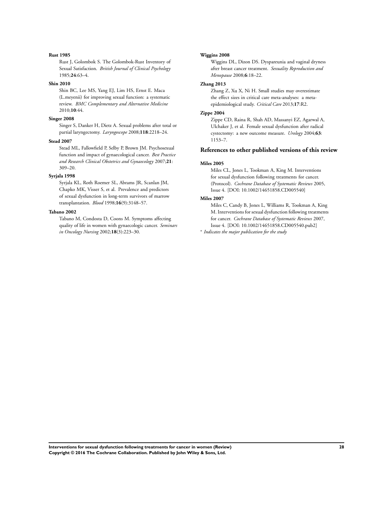#### **Rust 1985**

Rust J, Golombok S. The Golombok-Rust Inventory of Sexual Satisfaction. *British Journal of Clinical Psychology* 1985;**24**:63–4.

#### **Shin 2010**

Shin BC, Lee MS, Yang EJ, Lim HS, Ernst E. Maca (L.meyenii) for improving sexual function: a systematic review. *BMC Complementary and Alternative Medicine* 2010;**10**:44.

# **Singer 2008**

Singer S, Danker H, Dietz A. Sexual problems after total or partial laryngectomy. *Laryngoscope* 2008;**118**:2218–24.

## **Stead 2007**

Stead ML, Fallowfield P, Selby P, Brown JM. Psychosexual function and impact of gynaecological cancer. *Best Practice and Research Clinical Obstetrics and Gynaecology* 2007;**21**: 309–20.

## **Syrjala 1998**

Syrjala KL, Roth Roemer SL, Abrams JR, Scanlan JM, Chapko MK, Visser S, et al. Prevalence and predictors of sexual dysfunction in long-term survivors of marrow transplantation. *Blood* 1998;**16**(9):3148–57.

## **Tabano 2002**

Tabano M, Condosta D, Coons M. Symptoms affecting quality of life in women with gynaecologic cancer. *Seminars in Oncology Nursing* 2002;**18**(3):223–30.

#### **Wiggins 2008**

Wiggins DL, Dizon DS. Dyspareunia and vaginal dryness after breast cancer treatment. *Sexuality Reproduction and Menopause* 2008;**6**:18–22.

## **Zhang 2013**

Zhang Z, Xu X, Ni H. Small studies may overestimate the effect sizes in critical care meta-analyses: a metaepidemiological study. *Critical Care* 2013;**17**:R2.

#### **Zippe 2004**

Zippe CD, Raina R, Shah AD, Massanyi EZ, Agarwal A, Ulchaker J, et al. Female sexual dysfunction after radical cystectomy: a new outcome measure. *Urology* 2004;**63**: 1153–7.

## **References to other published versions of this review**

#### **Miles 2005**

Miles CL, Jones L, Tookman A, King M. Interventions for sexual dysfunction following treatments for cancer. (Protocol). *Cochrane Database of Systematic Reviews* 2005, Issue 4. [DOI: 10.1002/14651858.CD005540]

#### **Miles 2007**

Miles C, Candy B, Jones L, Williams R, Tookman A, King M. Interventions for sexual dysfunction following treatments for cancer. *Cochrane Database of Systematic Reviews* 2007, Issue 4. [DOI: 10.1002/14651858.CD005540.pub2]

∗ *Indicates the major publication for the study*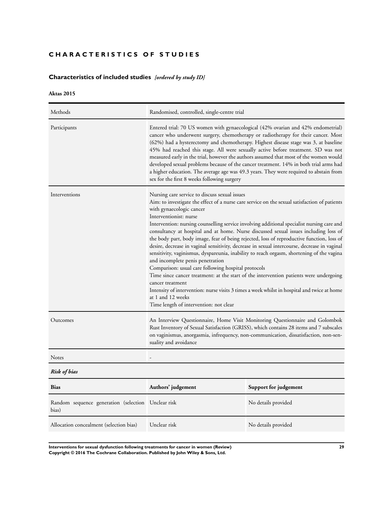# <span id="page-30-0"></span>**CHARACTERISTICS OF STUDIES**

# **Characteristics of included studies** *[ordered by study ID]*

# **Aktas 2015**

| Methods                                            | Randomised, controlled, single-centre trial                                                                                                                                                                                                                                                                                                                                                                                                                                                                                                                                                                                                                                                                                                                                                                                                                                                                                                                                                                                                                 |                       |
|----------------------------------------------------|-------------------------------------------------------------------------------------------------------------------------------------------------------------------------------------------------------------------------------------------------------------------------------------------------------------------------------------------------------------------------------------------------------------------------------------------------------------------------------------------------------------------------------------------------------------------------------------------------------------------------------------------------------------------------------------------------------------------------------------------------------------------------------------------------------------------------------------------------------------------------------------------------------------------------------------------------------------------------------------------------------------------------------------------------------------|-----------------------|
| Participants                                       | Entered trial: 70 US women with gynaecological (42% ovarian and 42% endometrial)<br>cancer who underwent surgery, chemotherapy or radiotherapy for their cancer. Most<br>(62%) had a hysterectomy and chemotherapy. Highest disease stage was 3, at baseline<br>45% had reached this stage. All were sexually active before treatment. SD was not<br>measured early in the trial, however the authors assumed that most of the women would<br>developed sexual problems because of the cancer treatment. 14% in both trial arms had<br>a higher education. The average age was 49.3 years. They were required to abstain from<br>sex for the first 8 weeks following surgery                                                                                                                                                                                                                                                                                                                                                                                |                       |
| Interventions                                      | Nursing care service to discuss sexual issues<br>Aim: to investigate the effect of a nurse care service on the sexual satisfaction of patients<br>with gynaecologic cancer<br>Interventionist: nurse<br>Intervention: nursing counselling service involving additional specialist nursing care and<br>consultancy at hospital and at home. Nurse discussed sexual issues including loss of<br>the body part, body image, fear of being rejected, loss of reproductive function, loss of<br>desire, decrease in vaginal sensitivity, decrease in sexual intercourse, decrease in vaginal<br>sensitivity, vaginismus, dyspareunia, inability to reach orgasm, shortening of the vagina<br>and incomplete penis penetration<br>Comparison: usual care following hospital protocols<br>Time since cancer treatment: at the start of the intervention patients were undergoing<br>cancer treatment<br>Intensity of intervention: nurse visits 3 times a week whilst in hospital and twice at home<br>at 1 and 12 weeks<br>Time length of intervention: not clear |                       |
| Outcomes                                           | An Interview Questionnaire, Home Visit Monitoring Questionnaire and Golombok<br>Rust Inventory of Sexual Satisfaction (GRISS), which contains 28 items and 7 subscales<br>on vaginismus, anorgasmia, infrequency, non-communication, dissatisfaction, non-sen-<br>suality and avoidance                                                                                                                                                                                                                                                                                                                                                                                                                                                                                                                                                                                                                                                                                                                                                                     |                       |
| <b>Notes</b>                                       |                                                                                                                                                                                                                                                                                                                                                                                                                                                                                                                                                                                                                                                                                                                                                                                                                                                                                                                                                                                                                                                             |                       |
| <b>Risk of bias</b>                                |                                                                                                                                                                                                                                                                                                                                                                                                                                                                                                                                                                                                                                                                                                                                                                                                                                                                                                                                                                                                                                                             |                       |
| <b>Bias</b>                                        | Authors' judgement                                                                                                                                                                                                                                                                                                                                                                                                                                                                                                                                                                                                                                                                                                                                                                                                                                                                                                                                                                                                                                          | Support for judgement |
| Random sequence generation (selection Unclear risk |                                                                                                                                                                                                                                                                                                                                                                                                                                                                                                                                                                                                                                                                                                                                                                                                                                                                                                                                                                                                                                                             | No details provided   |

| bias)                                   |              |                     |
|-----------------------------------------|--------------|---------------------|
| Allocation concealment (selection bias) | Unclear risk | No details provided |

**Interventions for sexual dysfunction following treatments for cancer in women (Review) 29 Copyright © 2016 The Cochrane Collaboration. Published by John Wiley & Sons, Ltd.**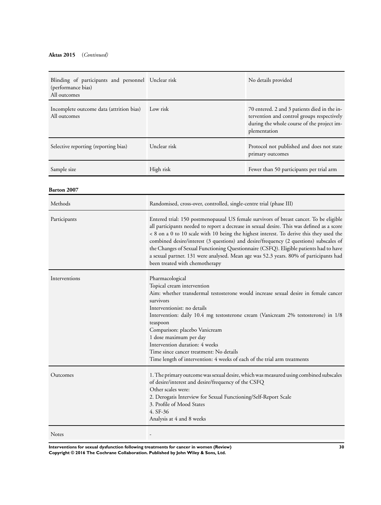| Blinding of participants and personnel Unclear risk<br>(performance bias)<br>All outcomes |                                                                                                                                                                                                                                                                                                                                                                                                                                                                                                                                                                                               | No details provided                                                                                                                                      |
|-------------------------------------------------------------------------------------------|-----------------------------------------------------------------------------------------------------------------------------------------------------------------------------------------------------------------------------------------------------------------------------------------------------------------------------------------------------------------------------------------------------------------------------------------------------------------------------------------------------------------------------------------------------------------------------------------------|----------------------------------------------------------------------------------------------------------------------------------------------------------|
| Incomplete outcome data (attrition bias)<br>All outcomes                                  | Low risk                                                                                                                                                                                                                                                                                                                                                                                                                                                                                                                                                                                      | 70 entered. 2 and 3 patients died in the in-<br>tervention and control groups respectively<br>during the whole course of the project im-<br>plementation |
| Selective reporting (reporting bias)                                                      | Unclear risk                                                                                                                                                                                                                                                                                                                                                                                                                                                                                                                                                                                  | Protocol not published and does not state<br>primary outcomes                                                                                            |
| Sample size                                                                               | High risk                                                                                                                                                                                                                                                                                                                                                                                                                                                                                                                                                                                     | Fewer than 50 participants per trial arm                                                                                                                 |
| Barton 2007                                                                               |                                                                                                                                                                                                                                                                                                                                                                                                                                                                                                                                                                                               |                                                                                                                                                          |
| Methods                                                                                   | Randomised, cross-over, controlled, single-centre trial (phase III)                                                                                                                                                                                                                                                                                                                                                                                                                                                                                                                           |                                                                                                                                                          |
| Participants                                                                              | Entered trial: 150 postmenopausal US female survivors of breast cancer. To be eligible<br>all participants needed to report a decrease in sexual desire. This was defined as a score<br>< 8 on a 0 to 10 scale with 10 being the highest interest. To derive this they used the<br>combined desire/interest (3 questions) and desire/frequency (2 questions) subscales of<br>the Changes of Sexual Functioning Questionnaire (CSFQ). Eligible patients had to have<br>a sexual partner. 131 were analysed. Mean age was 52.3 years. 80% of participants had<br>been treated with chemotherapy |                                                                                                                                                          |
| Interventions                                                                             | Pharmacological<br>Topical cream intervention<br>Aim: whether transdermal testosterone would increase sexual desire in female cancer<br>survivors<br>Interventionist: no details<br>Intervention: daily 10.4 mg testosterone cream (Vanicream 2% testosterone) in 1/8<br>teaspoon<br>Comparison: placebo Vanicream<br>1 dose maximum per day<br>Intervention duration: 4 weeks<br>Time since cancer treatment: No details<br>Time length of intervention: 4 weeks of each of the trial arm treatments                                                                                         |                                                                                                                                                          |
| Outcomes                                                                                  | 1. The primary outcome was sexual desire, which was measured using combined subscales<br>of desire/interest and desire/frequency of the CSFQ<br>Other scales were:<br>2. Derogatis Interview for Sexual Functioning/Self-Report Scale<br>3. Profile of Mood States<br>4. SF-36<br>Analysis at 4 and 8 weeks                                                                                                                                                                                                                                                                                   |                                                                                                                                                          |
| Notes                                                                                     | $\overline{\phantom{a}}$                                                                                                                                                                                                                                                                                                                                                                                                                                                                                                                                                                      |                                                                                                                                                          |

**Interventions for sexual dysfunction following treatments for cancer in women (Review) 30 Copyright © 2016 The Cochrane Collaboration. Published by John Wiley & Sons, Ltd.**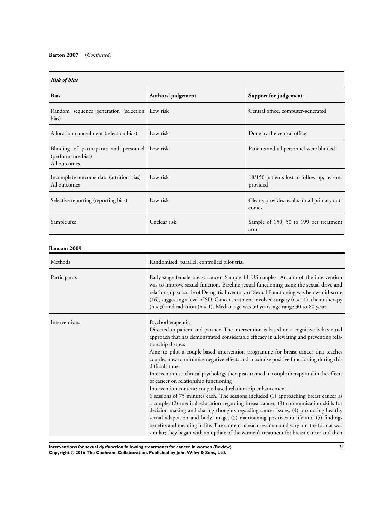## *Risk of bias*

| iusk of ours                                                                          |                                                                                                                                                                                                                                                                                                                                                                                                                                                                                                                                                                                                                                                                                                                                                                                                                                                                                                                                                                                                                                                                                                                                                                                             |                                                        |  |
|---------------------------------------------------------------------------------------|---------------------------------------------------------------------------------------------------------------------------------------------------------------------------------------------------------------------------------------------------------------------------------------------------------------------------------------------------------------------------------------------------------------------------------------------------------------------------------------------------------------------------------------------------------------------------------------------------------------------------------------------------------------------------------------------------------------------------------------------------------------------------------------------------------------------------------------------------------------------------------------------------------------------------------------------------------------------------------------------------------------------------------------------------------------------------------------------------------------------------------------------------------------------------------------------|--------------------------------------------------------|--|
| <b>Bias</b>                                                                           | Authors' judgement                                                                                                                                                                                                                                                                                                                                                                                                                                                                                                                                                                                                                                                                                                                                                                                                                                                                                                                                                                                                                                                                                                                                                                          | Support for judgement                                  |  |
| Random sequence generation (selection Low risk<br>bias)                               |                                                                                                                                                                                                                                                                                                                                                                                                                                                                                                                                                                                                                                                                                                                                                                                                                                                                                                                                                                                                                                                                                                                                                                                             | Central office, computer-generated                     |  |
| Allocation concealment (selection bias)                                               | Low risk                                                                                                                                                                                                                                                                                                                                                                                                                                                                                                                                                                                                                                                                                                                                                                                                                                                                                                                                                                                                                                                                                                                                                                                    | Done by the central office                             |  |
| Blinding of participants and personnel Low risk<br>(performance bias)<br>All outcomes |                                                                                                                                                                                                                                                                                                                                                                                                                                                                                                                                                                                                                                                                                                                                                                                                                                                                                                                                                                                                                                                                                                                                                                                             | Patients and all personnel were blinded                |  |
| Incomplete outcome data (attrition bias)<br>All outcomes                              | Low risk                                                                                                                                                                                                                                                                                                                                                                                                                                                                                                                                                                                                                                                                                                                                                                                                                                                                                                                                                                                                                                                                                                                                                                                    | 18/150 patients lost to follow-up; reasons<br>provided |  |
| Selective reporting (reporting bias)                                                  | Low risk                                                                                                                                                                                                                                                                                                                                                                                                                                                                                                                                                                                                                                                                                                                                                                                                                                                                                                                                                                                                                                                                                                                                                                                    | Clearly provides results for all primary out-<br>comes |  |
| Sample size                                                                           | Unclear risk                                                                                                                                                                                                                                                                                                                                                                                                                                                                                                                                                                                                                                                                                                                                                                                                                                                                                                                                                                                                                                                                                                                                                                                | Sample of 150; 50 to 199 per treatment<br>arm          |  |
| Baucom 2009                                                                           |                                                                                                                                                                                                                                                                                                                                                                                                                                                                                                                                                                                                                                                                                                                                                                                                                                                                                                                                                                                                                                                                                                                                                                                             |                                                        |  |
| Methods                                                                               | Randomised, parallel, controlled pilot trial                                                                                                                                                                                                                                                                                                                                                                                                                                                                                                                                                                                                                                                                                                                                                                                                                                                                                                                                                                                                                                                                                                                                                |                                                        |  |
| Participants                                                                          | Early-stage female breast cancer. Sample 14 US couples. An aim of the intervention<br>was to improve sexual function. Baseline sexual functioning using the sexual drive and<br>relationship subscale of Derogatis Inventory of Sexual Functioning was below mid-score<br>$(16)$ , suggesting a level of SD. Cancer treatment involved surgery (n = 11), chemotherapy<br>$(n = 3)$ and radiation $(n = 1)$ . Median age was 50 years, age range 30 to 80 years                                                                                                                                                                                                                                                                                                                                                                                                                                                                                                                                                                                                                                                                                                                              |                                                        |  |
| Interventions                                                                         | Psychotherapeutic<br>Directed to patient and partner. The intervention is based on a cognitive behavioural<br>approach that has demonstrated considerable efficacy in alleviating and preventing rela-<br>tionship distress<br>Aim: to pilot a couple-based intervention programme for breast cancer that teaches<br>couples how to minimise negative effects and maximise positive functioning during this<br>difficult time<br>Interventionist: clinical psychology therapists trained in couple therapy and in the effects<br>of cancer on relationship functioning<br>Intervention content: couple-based relationship enhancement<br>6 sessions of 75 minutes each. The sessions included (1) approaching breast cancer as<br>a couple, (2) medical education regarding breast cancer, (3) communication skills for<br>decision-making and sharing thoughts regarding cancer issues, (4) promoting healthy<br>sexual adaptation and body image, (5) maintaining positives in life and (5) findings<br>benefits and meaning in life. The content of each session could vary but the format was<br>similar; they began with an update of the women's treatment for breast cancer and then |                                                        |  |

**Interventions for sexual dysfunction following treatments for cancer in women (Review) 31 Copyright © 2016 The Cochrane Collaboration. Published by John Wiley & Sons, Ltd.**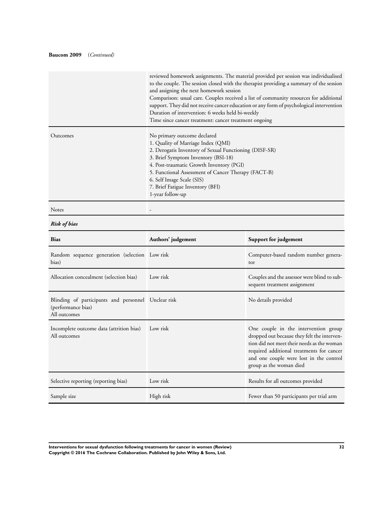# **Baucom 2009** (*Continued)*

|          | reviewed homework assignments. The material provided per session was individualised<br>to the couple. The session closed with the therapist providing a summary of the session<br>and assigning the next homework session<br>Comparison: usual care. Couples received a list of community resources for additional<br>support. They did not receive cancer education or any form of psychological intervention<br>Duration of intervention: 6 weeks held bi-weekly<br>Time since cancer treatment: cancer treatment ongoing |
|----------|-----------------------------------------------------------------------------------------------------------------------------------------------------------------------------------------------------------------------------------------------------------------------------------------------------------------------------------------------------------------------------------------------------------------------------------------------------------------------------------------------------------------------------|
| Outcomes | No primary outcome declared<br>1. Quality of Marriage Index (QMI)<br>2. Derogatis Inventory of Sexual Functioning (DISF-SR)<br>3. Brief Symptom Inventory (BSI-18)<br>4. Post-traumatic Growth Inventory (PGI)<br>5. Functional Assessment of Cancer Therapy (FACT-B)<br>6. Self Image Scale (SIS)<br>7. Brief Fatigue Inventory (BFI)<br>1-year follow-up                                                                                                                                                                  |

Notes -

# *Risk of bias*

| <b>Bias</b>                                                                               | Authors' judgement | Support for judgement                                                                                                                                                                                                                                |
|-------------------------------------------------------------------------------------------|--------------------|------------------------------------------------------------------------------------------------------------------------------------------------------------------------------------------------------------------------------------------------------|
| Random sequence generation (selection Low risk<br>bias)                                   |                    | Computer-based random number genera-<br>tor                                                                                                                                                                                                          |
| Allocation concealment (selection bias)                                                   | Low risk           | Couples and the assessor were blind to sub-<br>sequent treatment assignment                                                                                                                                                                          |
| Blinding of participants and personnel Unclear risk<br>(performance bias)<br>All outcomes |                    | No details provided                                                                                                                                                                                                                                  |
| Incomplete outcome data (attrition bias)<br>All outcomes                                  | Low risk           | One couple in the intervention group<br>dropped out because they felt the interven-<br>tion did not meet their needs as the woman<br>required additional treatments for cancer<br>and one couple were lost in the control<br>group as the woman died |
| Selective reporting (reporting bias)                                                      | Low risk           | Results for all outcomes provided                                                                                                                                                                                                                    |
| Sample size                                                                               | High risk          | Fewer than 50 participants per trial arm                                                                                                                                                                                                             |

**Interventions for sexual dysfunction following treatments for cancer in women (Review) 32 Copyright © 2016 The Cochrane Collaboration. Published by John Wiley & Sons, Ltd.**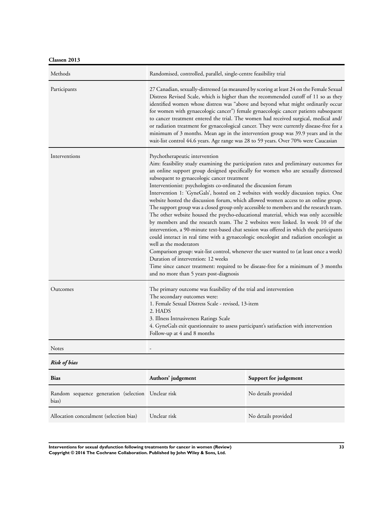**Classen 2013**

| Methods       | Randomised, controlled, parallel, single-centre feasibility trial                                                                                                                                                                                                                                                                                                                                                                                                                                                                                                                                                                                                                                                                                                                                                                                                                                                                                                                                                                                                                                                                                                                                                                                                    |
|---------------|----------------------------------------------------------------------------------------------------------------------------------------------------------------------------------------------------------------------------------------------------------------------------------------------------------------------------------------------------------------------------------------------------------------------------------------------------------------------------------------------------------------------------------------------------------------------------------------------------------------------------------------------------------------------------------------------------------------------------------------------------------------------------------------------------------------------------------------------------------------------------------------------------------------------------------------------------------------------------------------------------------------------------------------------------------------------------------------------------------------------------------------------------------------------------------------------------------------------------------------------------------------------|
| Participants  | 27 Canadian, sexually-distressed (as measured by scoring at least 24 on the Female Sexual<br>Distress Revised Scale, which is higher than the recommended cutoff of 11 so as they<br>identified women whose distress was "above and beyond what might ordinarily occur<br>for women with gynaecologic cancer") female gynaecologic cancer patients subsequent<br>to cancer treatment entered the trial. The women had received surgical, medical and/<br>or radiation treatment for gynaecological cancer. They were currently disease-free for a<br>minimum of 3 months. Mean age in the intervention group was 39.9 years and in the<br>wait-list control 44.6 years. Age range was 28 to 59 years. Over 70% were Caucasian                                                                                                                                                                                                                                                                                                                                                                                                                                                                                                                                        |
| Interventions | Psychotherapeutic intervention<br>Aim: feasibility study examining the participation rates and preliminary outcomes for<br>an online support group designed specifically for women who are sexually distressed<br>subsequent to gynaecologic cancer treatment<br>Interventionist: psychologists co-ordinated the discussion forum<br>Intervention 1: 'GyneGals', hosted on 2 websites with weekly discussion topics. One<br>website hosted the discussion forum, which allowed women access to an online group.<br>The support group was a closed group only accessible to members and the research team.<br>The other website housed the psycho-educational material, which was only accessible<br>by members and the research team. The 2 websites were linked. In week 10 of the<br>intervention, a 90-minute text-based chat session was offered in which the participants<br>could interact in real time with a gynaecologic oncologist and radiation oncologist as<br>well as the moderators<br>Comparison group: wait-list control, whenever the user wanted to (at least once a week)<br>Duration of intervention: 12 weeks<br>Time since cancer treatment: required to be disease-free for a minimum of 3 months<br>and no more than 5 years post-diagnosis |
| Outcomes      | The primary outcome was feasibility of the trial and intervention<br>The secondary outcomes were:<br>1. Female Sexual Distress Scale - revised, 13-item<br>2. HADS<br>3. Illness Intrusiveness Ratings Scale<br>4. GyneGals exit questionnaire to assess participant's satisfaction with intervention<br>Follow-up at 4 and 8 months                                                                                                                                                                                                                                                                                                                                                                                                                                                                                                                                                                                                                                                                                                                                                                                                                                                                                                                                 |
| <b>Notes</b>  |                                                                                                                                                                                                                                                                                                                                                                                                                                                                                                                                                                                                                                                                                                                                                                                                                                                                                                                                                                                                                                                                                                                                                                                                                                                                      |

*Risk of bias*

| <b>Bias</b>                                                 | Authors' judgement | Support for judgement |
|-------------------------------------------------------------|--------------------|-----------------------|
| Random sequence generation (selection Unclear risk<br>bias) |                    | No details provided   |
| Allocation concealment (selection bias)                     | Unclear risk       | No details provided   |

**Interventions for sexual dysfunction following treatments for cancer in women (Review) 33 Copyright © 2016 The Cochrane Collaboration. Published by John Wiley & Sons, Ltd.**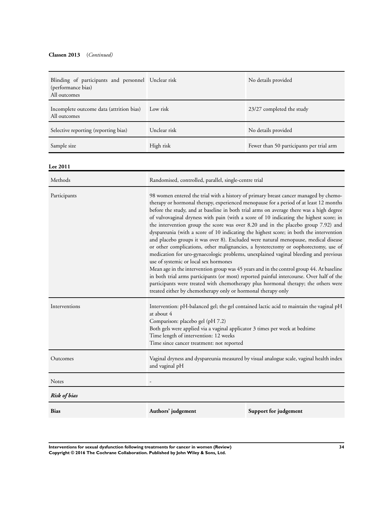# **Classen 2013** (*Continued)*

| Blinding of participants and personnel Unclear risk<br>(performance bias)<br>All outcomes |                                                                                                                                                                                                                                                                                                                                                                                                                                                                                                                                                                                                                                                                                                                                                                                                                                                                                                                                                                                                                                                                                                                                                                                                              | No details provided                      |  |
|-------------------------------------------------------------------------------------------|--------------------------------------------------------------------------------------------------------------------------------------------------------------------------------------------------------------------------------------------------------------------------------------------------------------------------------------------------------------------------------------------------------------------------------------------------------------------------------------------------------------------------------------------------------------------------------------------------------------------------------------------------------------------------------------------------------------------------------------------------------------------------------------------------------------------------------------------------------------------------------------------------------------------------------------------------------------------------------------------------------------------------------------------------------------------------------------------------------------------------------------------------------------------------------------------------------------|------------------------------------------|--|
| Incomplete outcome data (attrition bias)<br>All outcomes                                  | Low risk                                                                                                                                                                                                                                                                                                                                                                                                                                                                                                                                                                                                                                                                                                                                                                                                                                                                                                                                                                                                                                                                                                                                                                                                     | 23/27 completed the study                |  |
| Selective reporting (reporting bias)                                                      | Unclear risk                                                                                                                                                                                                                                                                                                                                                                                                                                                                                                                                                                                                                                                                                                                                                                                                                                                                                                                                                                                                                                                                                                                                                                                                 | No details provided                      |  |
| Sample size                                                                               | High risk                                                                                                                                                                                                                                                                                                                                                                                                                                                                                                                                                                                                                                                                                                                                                                                                                                                                                                                                                                                                                                                                                                                                                                                                    | Fewer than 50 participants per trial arm |  |
| <b>Lee 2011</b>                                                                           |                                                                                                                                                                                                                                                                                                                                                                                                                                                                                                                                                                                                                                                                                                                                                                                                                                                                                                                                                                                                                                                                                                                                                                                                              |                                          |  |
| Methods                                                                                   | Randomised, controlled, parallel, single-centre trial                                                                                                                                                                                                                                                                                                                                                                                                                                                                                                                                                                                                                                                                                                                                                                                                                                                                                                                                                                                                                                                                                                                                                        |                                          |  |
| Participants                                                                              | 98 women entered the trial with a history of primary breast cancer managed by chemo-<br>therapy or hormonal therapy, experienced menopause for a period of at least 12 months<br>before the study, and at baseline in both trial arms on average there was a high degree<br>of vulvovaginal dryness with pain (with a score of 10 indicating the highest score; in<br>the intervention group the score was over 8.20 and in the placebo group 7.92) and<br>dyspareunia (with a score of 10 indicating the highest score; in both the intervention<br>and placebo groups it was over 8). Excluded were natural menopause, medical disease<br>or other complications, other malignancies, a hysterectomy or oophorectomy, use of<br>medication for uro-gynaecologic problems, unexplained vaginal bleeding and previous<br>use of systemic or local sex hormones<br>Mean age in the intervention group was 45 years and in the control group 44. At baseline<br>in both trial arms participants (or most) reported painful intercourse. Over half of the<br>participants were treated with chemotherapy plus hormonal therapy; the others were<br>treated either by chemotherapy only or hormonal therapy only |                                          |  |
| Interventions                                                                             | Intervention: pH-balanced gel; the gel contained lactic acid to maintain the vaginal pH<br>at about 4<br>Comparison: placebo gel (pH 7.2)<br>Both gels were applied via a vaginal applicator 3 times per week at bedtime<br>Time length of intervention: 12 weeks<br>Time since cancer treatment: not reported                                                                                                                                                                                                                                                                                                                                                                                                                                                                                                                                                                                                                                                                                                                                                                                                                                                                                               |                                          |  |
| Outcomes                                                                                  | Vaginal dryness and dyspareunia measured by visual analogue scale, vaginal health index<br>and vaginal pH                                                                                                                                                                                                                                                                                                                                                                                                                                                                                                                                                                                                                                                                                                                                                                                                                                                                                                                                                                                                                                                                                                    |                                          |  |
| Notes                                                                                     | $\overline{a}$                                                                                                                                                                                                                                                                                                                                                                                                                                                                                                                                                                                                                                                                                                                                                                                                                                                                                                                                                                                                                                                                                                                                                                                               |                                          |  |
| <b>Risk of bias</b>                                                                       |                                                                                                                                                                                                                                                                                                                                                                                                                                                                                                                                                                                                                                                                                                                                                                                                                                                                                                                                                                                                                                                                                                                                                                                                              |                                          |  |
| <b>Bias</b>                                                                               | Authors' judgement                                                                                                                                                                                                                                                                                                                                                                                                                                                                                                                                                                                                                                                                                                                                                                                                                                                                                                                                                                                                                                                                                                                                                                                           | Support for judgement                    |  |

**Interventions for sexual dysfunction following treatments for cancer in women (Review) 34 Copyright © 2016 The Cochrane Collaboration. Published by John Wiley & Sons, Ltd.**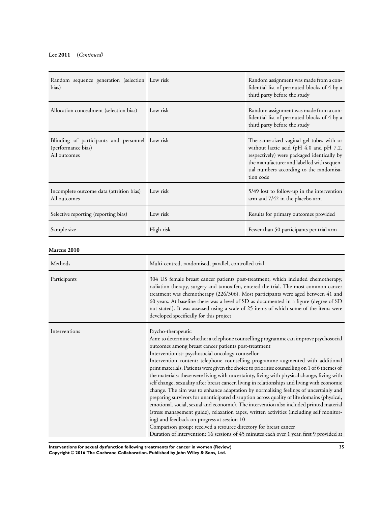## **Lee 2011** (*Continued)*

| Random sequence generation (selection Low risk<br>bias)                               |           | Random assignment was made from a con-<br>fidential list of permuted blocks of 4 by a<br>third party before the study                                                                                                                    |
|---------------------------------------------------------------------------------------|-----------|------------------------------------------------------------------------------------------------------------------------------------------------------------------------------------------------------------------------------------------|
| Allocation concealment (selection bias)                                               | Low risk  | Random assignment was made from a con-<br>fidential list of permuted blocks of 4 by a<br>third party before the study                                                                                                                    |
| Blinding of participants and personnel Low risk<br>(performance bias)<br>All outcomes |           | The same-sized vaginal gel tubes with or<br>without lactic acid (pH 4.0 and pH 7.2,<br>respectively) were packaged identically by<br>the manufacturer and labelled with sequen-<br>tial numbers according to the randomisa-<br>tion code |
| Incomplete outcome data (attrition bias)<br>All outcomes                              | Low risk  | 5/49 lost to follow-up in the intervention<br>arm and 7/42 in the placebo arm                                                                                                                                                            |
| Selective reporting (reporting bias)                                                  | Low risk  | Results for primary outcomes provided                                                                                                                                                                                                    |
| Sample size                                                                           | High risk | Fewer than 50 participants per trial arm                                                                                                                                                                                                 |

## **Marcus 2010**

| Methods       | Multi-centred, randomised, parallel, controlled trial                                                                                                                                                                                                                                                                                                                                                                                                                                                                                                                                                                                                                                                                                                                                                                                                                                                                                                                                                                                                                                                                                                                                                     |
|---------------|-----------------------------------------------------------------------------------------------------------------------------------------------------------------------------------------------------------------------------------------------------------------------------------------------------------------------------------------------------------------------------------------------------------------------------------------------------------------------------------------------------------------------------------------------------------------------------------------------------------------------------------------------------------------------------------------------------------------------------------------------------------------------------------------------------------------------------------------------------------------------------------------------------------------------------------------------------------------------------------------------------------------------------------------------------------------------------------------------------------------------------------------------------------------------------------------------------------|
| Participants  | 304 US female breast cancer patients post-treatment, which included chemotherapy,<br>radiation therapy, surgery and tamoxifen, entered the trial. The most common cancer<br>treatment was chemotherapy (226/306). Most participants were aged between 41 and<br>60 years. At baseline there was a level of SD as documented in a figure (degree of SD<br>not stated). It was assessed using a scale of 25 items of which some of the items were<br>developed specifically for this project                                                                                                                                                                                                                                                                                                                                                                                                                                                                                                                                                                                                                                                                                                                |
| Interventions | Psycho-therapeutic<br>Aim: to determine whether a telephone counselling programme can improve psychosocial<br>outcomes among breast cancer patients post-treatment<br>Interventionist: psychosocial oncology counsellor<br>Intervention content: telephone counselling programme augmented with additional<br>print materials. Patients were given the choice to prioritise counselling on 1 of 6 themes of<br>the materials: these were living with uncertainty, living with physical change, living with<br>self change, sexuality after breast cancer, living in relationships and living with economic<br>change. The aim was to enhance adaptation by normalising feelings of uncertainly and<br>preparing survivors for unanticipated disruption across quality of life domains (physical,<br>emotional, social, sexual and economic). The intervention also included printed material<br>(stress management guide), relaxation tapes, written activities (including self monitor-<br>ing) and feedback on progress at session 10<br>Comparison group: received a resource directory for breast cancer<br>Duration of intervention: 16 sessions of 45 minutes each over 1 year, first 9 provided at |

**Interventions for sexual dysfunction following treatments for cancer in women (Review) 35 Copyright © 2016 The Cochrane Collaboration. Published by John Wiley & Sons, Ltd.**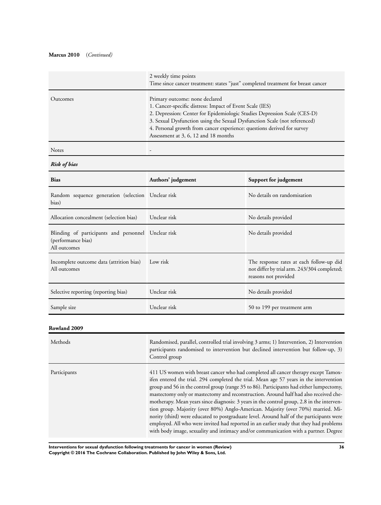## **Marcus 2010** (*Continued)*

|              | 2 weekly time points<br>Time since cancer treatment: states "just" completed treatment for breast cancer                                                                                                                                                                                                                                                               |
|--------------|------------------------------------------------------------------------------------------------------------------------------------------------------------------------------------------------------------------------------------------------------------------------------------------------------------------------------------------------------------------------|
| Outcomes     | Primary outcome: none declared<br>1. Cancer-specific distress: Impact of Event Scale (IES)<br>2. Depression: Center for Epidemiologic Studies Depression Scale (CES-D)<br>3. Sexual Dysfunction using the Sexual Dysfunction Scale (not referenced)<br>4. Personal growth from cancer experience: questions derived for survey<br>Assessment at 3, 6, 12 and 18 months |
| <b>Notes</b> |                                                                                                                                                                                                                                                                                                                                                                        |

## *Risk of bias*

| <b>Bias</b>                                                                               | Authors' judgement | Support for judgement                                                                                           |
|-------------------------------------------------------------------------------------------|--------------------|-----------------------------------------------------------------------------------------------------------------|
| Random sequence generation (selection Unclear risk<br>bias)                               |                    | No details on randomisation                                                                                     |
| Allocation concealment (selection bias)                                                   | Unclear risk       | No details provided                                                                                             |
| Blinding of participants and personnel Unclear risk<br>(performance bias)<br>All outcomes |                    | No details provided                                                                                             |
| Incomplete outcome data (attrition bias)<br>All outcomes                                  | Low risk           | The response rates at each follow-up did<br>not differ by trial arm. 243/304 completed;<br>reasons not provided |
| Selective reporting (reporting bias)                                                      | Unclear risk       | No details provided                                                                                             |
| Sample size                                                                               | Unclear risk       | 50 to 199 per treatment arm                                                                                     |

**Rowland 2009**

| Methods      | Randomised, parallel, controlled trial involving 3 arms; 1) Intervention, 2) Intervention<br>participants randomised to intervention but declined intervention but follow-up, 3)<br>Control group                                                                                                                                                                                                                                                                                                                                                                                                                                                                                                                                                                                                                             |
|--------------|-------------------------------------------------------------------------------------------------------------------------------------------------------------------------------------------------------------------------------------------------------------------------------------------------------------------------------------------------------------------------------------------------------------------------------------------------------------------------------------------------------------------------------------------------------------------------------------------------------------------------------------------------------------------------------------------------------------------------------------------------------------------------------------------------------------------------------|
| Participants | 411 US women with breast cancer who had completed all cancer therapy except Tamox-<br>ifen entered the trial. 294 completed the trial. Mean age 57 years in the intervention<br>group and 56 in the control group (range 35 to 86). Participants had either lumpectomy,<br>mastectomy only or mastectomy and reconstruction. Around half had also received che-<br>motherapy. Mean years since diagnosis: 3 years in the control group, 2.8 in the interven-<br>tion group. Majority (over 80%) Anglo-American. Majority (over 70%) married. Mi-<br>nority (third) were educated to postgraduate level. Around half of the participants were<br>employed. All who were invited had reported in an earlier study that they had problems<br>with body image, sexuality and intimacy and/or communication with a partner. Degree |

**Interventions for sexual dysfunction following treatments for cancer in women (Review) 36 Copyright © 2016 The Cochrane Collaboration. Published by John Wiley & Sons, Ltd.**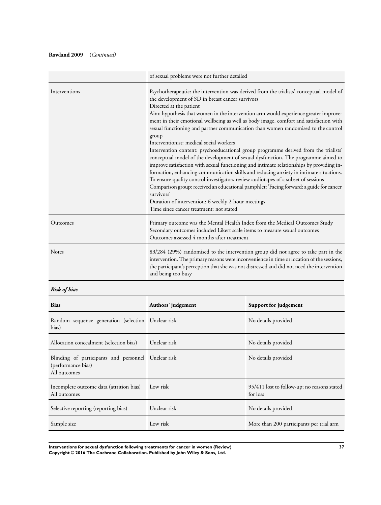## **Rowland 2009** (*Continued)*

|               | of sexual problems were not further detailed                                                                                                                                                                                                                                                                                                                                                                                                                                                                                                                                                                                                                                                                                                                                                                                                                                                                                                                                                                                                                                                                                                                       |
|---------------|--------------------------------------------------------------------------------------------------------------------------------------------------------------------------------------------------------------------------------------------------------------------------------------------------------------------------------------------------------------------------------------------------------------------------------------------------------------------------------------------------------------------------------------------------------------------------------------------------------------------------------------------------------------------------------------------------------------------------------------------------------------------------------------------------------------------------------------------------------------------------------------------------------------------------------------------------------------------------------------------------------------------------------------------------------------------------------------------------------------------------------------------------------------------|
| Interventions | Psychotherapeutic: the intervention was derived from the trialists' conceptual model of<br>the development of SD in breast cancer survivors<br>Directed at the patient<br>Aim: hypothesis that women in the intervention arm would experience greater improve-<br>ment in their emotional wellbeing as well as body image, comfort and satisfaction with<br>sexual functioning and partner communication than women randomised to the control<br>group<br>Interventionist: medical social workers<br>Intervention content: psychoeducational group programme derived from the trialists'<br>conceptual model of the development of sexual dysfunction. The programme aimed to<br>improve satisfaction with sexual functioning and intimate relationships by providing in-<br>formation, enhancing communication skills and reducing anxiety in intimate situations.<br>To ensure quality control investigators review audiotapes of a subset of sessions<br>Comparison group: received an educational pamphlet: 'Facing forward: a guide for cancer<br>survivors'<br>Duration of intervention: 6 weekly 2-hour meetings<br>Time since cancer treatment: not stated |
| Outcomes      | Primary outcome was the Mental Health Index from the Medical Outcomes Study<br>Secondary outcomes included Likert scale items to measure sexual outcomes<br>Outcomes assessed 4 months after treatment                                                                                                                                                                                                                                                                                                                                                                                                                                                                                                                                                                                                                                                                                                                                                                                                                                                                                                                                                             |
| <b>Notes</b>  | 83/284 (29%) randomised to the intervention group did not agree to take part in the<br>intervention. The primary reasons were inconvenience in time or location of the sessions,<br>the participant's perception that she was not distressed and did not need the intervention<br>and being too busy                                                                                                                                                                                                                                                                                                                                                                                                                                                                                                                                                                                                                                                                                                                                                                                                                                                               |

## *Risk of bias*

| <b>Bias</b>                                                                               | Authors' judgement | Support for judgement                                   |
|-------------------------------------------------------------------------------------------|--------------------|---------------------------------------------------------|
| Random sequence generation (selection Unclear risk<br>bias)                               |                    | No details provided                                     |
| Allocation concealment (selection bias)                                                   | Unclear risk       | No details provided                                     |
| Blinding of participants and personnel Unclear risk<br>(performance bias)<br>All outcomes |                    | No details provided                                     |
| Incomplete outcome data (attrition bias)<br>All outcomes                                  | Low risk           | 95/411 lost to follow-up; no reasons stated<br>for loss |
| Selective reporting (reporting bias)                                                      | Unclear risk       | No details provided                                     |
| Sample size                                                                               | Low risk           | More than 200 participants per trial arm                |

**Interventions for sexual dysfunction following treatments for cancer in women (Review) 37 Copyright © 2016 The Cochrane Collaboration. Published by John Wiley & Sons, Ltd.**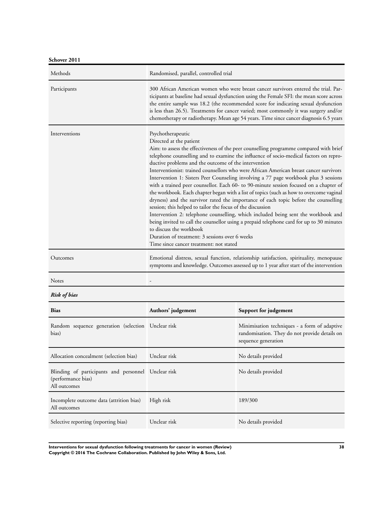**Schover 2011**

| Methods       | Randomised, parallel, controlled trial                                                                                                                                                                                                                                                                                                                                                                                                                                                                                                                                                                                                                                                                                                                                                                                                                                                                                                                                                                                                                                                                                      |
|---------------|-----------------------------------------------------------------------------------------------------------------------------------------------------------------------------------------------------------------------------------------------------------------------------------------------------------------------------------------------------------------------------------------------------------------------------------------------------------------------------------------------------------------------------------------------------------------------------------------------------------------------------------------------------------------------------------------------------------------------------------------------------------------------------------------------------------------------------------------------------------------------------------------------------------------------------------------------------------------------------------------------------------------------------------------------------------------------------------------------------------------------------|
| Participants  | 300 African American women who were breast cancer survivors entered the trial. Par-<br>ticipants at baseline had sexual dysfunction using the Female SFI: the mean score across<br>the entire sample was 18.2 (the recommended score for indicating sexual dysfunction<br>is less than 26.5). Treatments for cancer varied; most commonly it was surgery and/or<br>chemotherapy or radiotherapy. Mean age 54 years. Time since cancer diagnosis 6.5 years                                                                                                                                                                                                                                                                                                                                                                                                                                                                                                                                                                                                                                                                   |
| Interventions | Psychotherapeutic<br>Directed at the patient<br>Aim: to assess the effectiveness of the peer counselling programme compared with brief<br>telephone counselling and to examine the influence of socio-medical factors on repro-<br>ductive problems and the outcome of the intervention<br>Interventionist: trained counsellors who were African American breast cancer survivors<br>Intervention 1: Sisters Peer Counseling involving a 77 page workbook plus 3 sessions<br>with a trained peer counsellor. Each 60- to 90-minute session focused on a chapter of<br>the workbook. Each chapter began with a list of topics (such as how to overcome vaginal<br>dryness) and the survivor rated the importance of each topic before the counselling<br>session; this helped to tailor the focus of the discussion<br>Intervention 2: telephone counselling, which included being sent the workbook and<br>being invited to call the counsellor using a prepaid telephone card for up to 30 minutes<br>to discuss the workbook<br>Duration of treatment: 3 sessions over 6 weeks<br>Time since cancer treatment: not stated |
| Outcomes      | Emotional distress, sexual function, relationship satisfaction, spirituality, menopause<br>symptoms and knowledge. Outcomes assessed up to 1 year after start of the intervention                                                                                                                                                                                                                                                                                                                                                                                                                                                                                                                                                                                                                                                                                                                                                                                                                                                                                                                                           |
| Notes         |                                                                                                                                                                                                                                                                                                                                                                                                                                                                                                                                                                                                                                                                                                                                                                                                                                                                                                                                                                                                                                                                                                                             |

*Risk of bias*

| <b>Bias</b>                                                                               | Authors' judgement | Support for judgement                                                                                                |
|-------------------------------------------------------------------------------------------|--------------------|----------------------------------------------------------------------------------------------------------------------|
| Random sequence generation (selection Unclear risk<br>bias)                               |                    | Minimisation techniques - a form of adaptive<br>randomisation. They do not provide details on<br>sequence generation |
| Allocation concealment (selection bias)                                                   | Unclear risk       | No details provided                                                                                                  |
| Blinding of participants and personnel Unclear risk<br>(performance bias)<br>All outcomes |                    | No details provided                                                                                                  |
| Incomplete outcome data (attrition bias)<br>All outcomes                                  | High risk          | 189/300                                                                                                              |
| Selective reporting (reporting bias)                                                      | Unclear risk       | No details provided                                                                                                  |

**Interventions for sexual dysfunction following treatments for cancer in women (Review) 38 Copyright © 2016 The Cochrane Collaboration. Published by John Wiley & Sons, Ltd.**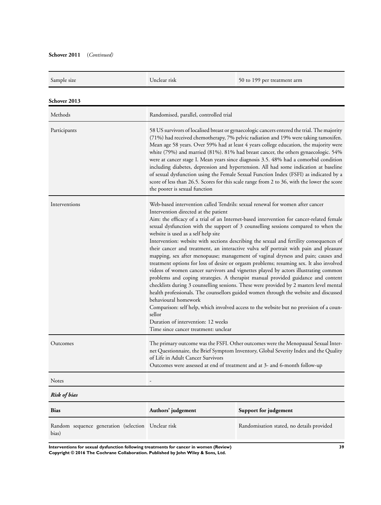## **Schover 2011** (*Continued)*

| Sample size                                                 | Unclear risk                                                                                                                                                                                                                                                                                                                                                                                                                                                                                                                                                                                                                                                                                                                                                                                                                                                                                                                                                                                                                                                                                                                                                                                                                                                                               | 50 to 199 per treatment arm               |  |
|-------------------------------------------------------------|--------------------------------------------------------------------------------------------------------------------------------------------------------------------------------------------------------------------------------------------------------------------------------------------------------------------------------------------------------------------------------------------------------------------------------------------------------------------------------------------------------------------------------------------------------------------------------------------------------------------------------------------------------------------------------------------------------------------------------------------------------------------------------------------------------------------------------------------------------------------------------------------------------------------------------------------------------------------------------------------------------------------------------------------------------------------------------------------------------------------------------------------------------------------------------------------------------------------------------------------------------------------------------------------|-------------------------------------------|--|
| Schover 2013                                                |                                                                                                                                                                                                                                                                                                                                                                                                                                                                                                                                                                                                                                                                                                                                                                                                                                                                                                                                                                                                                                                                                                                                                                                                                                                                                            |                                           |  |
| Methods                                                     | Randomised, parallel, controlled trial                                                                                                                                                                                                                                                                                                                                                                                                                                                                                                                                                                                                                                                                                                                                                                                                                                                                                                                                                                                                                                                                                                                                                                                                                                                     |                                           |  |
| Participants                                                | 58 US survivors of localised breast or gynaecologic cancers entered the trial. The majority<br>(71%) had received chemotherapy, 7% pelvic radiation and 19% were taking tamoxifen.<br>Mean age 58 years. Over 59% had at least 4 years college education, the majority were<br>white (79%) and married (81%). 81% had breast cancer, the others gynaecologic. 54%<br>were at cancer stage I. Mean years since diagnosis 3.5. 48% had a comorbid condition<br>including diabetes, depression and hypertension. All had some indication at baseline<br>of sexual dysfunction using the Female Sexual Function Index (FSFI) as indicated by a<br>score of less than 26.5. Scores for this scale range from 2 to 36, with the lower the score<br>the poorer is sexual function                                                                                                                                                                                                                                                                                                                                                                                                                                                                                                                 |                                           |  |
| Interventions                                               | Web-based intervention called Tendrils: sexual renewal for women after cancer<br>Intervention directed at the patient<br>Aim: the efficacy of a trial of an Internet-based intervention for cancer-related female<br>sexual dysfunction with the support of 3 counselling sessions compared to when the<br>website is used as a self help site<br>Intervention: website with sections describing the sexual and fertility consequences of<br>their cancer and treatment, an interactive vulva self portrait with pain and pleasure<br>mapping, sex after menopause; management of vaginal dryness and pain; causes and<br>treatment options for loss of desire or orgasm problems; resuming sex. It also involved<br>videos of women cancer survivors and vignettes played by actors illustrating common<br>problems and coping strategies. A therapist manual provided guidance and content<br>checklists during 3 counselling sessions. These were provided by 2 masters level mental<br>health professionals. The counsellors guided women through the website and discussed<br>behavioural homework<br>Comparison: self help, which involved access to the website but no provision of a coun-<br>sellor<br>Duration of intervention: 12 weeks<br>Time since cancer treatment: unclear |                                           |  |
| Outcomes                                                    | The primary outcome was the FSFI. Other outcomes were the Menopausal Sexual Inter-<br>net Questionnaire, the Brief Symptom Inventory, Global Severity Index and the Quality<br>of Life in Adult Cancer Survivors<br>Outcomes were assessed at end of treatment and at 3- and 6-month follow-up                                                                                                                                                                                                                                                                                                                                                                                                                                                                                                                                                                                                                                                                                                                                                                                                                                                                                                                                                                                             |                                           |  |
| Notes                                                       |                                                                                                                                                                                                                                                                                                                                                                                                                                                                                                                                                                                                                                                                                                                                                                                                                                                                                                                                                                                                                                                                                                                                                                                                                                                                                            |                                           |  |
| Risk of bias                                                |                                                                                                                                                                                                                                                                                                                                                                                                                                                                                                                                                                                                                                                                                                                                                                                                                                                                                                                                                                                                                                                                                                                                                                                                                                                                                            |                                           |  |
| <b>Bias</b>                                                 | Authors' judgement                                                                                                                                                                                                                                                                                                                                                                                                                                                                                                                                                                                                                                                                                                                                                                                                                                                                                                                                                                                                                                                                                                                                                                                                                                                                         | Support for judgement                     |  |
| Random sequence generation (selection Unclear risk<br>bias) |                                                                                                                                                                                                                                                                                                                                                                                                                                                                                                                                                                                                                                                                                                                                                                                                                                                                                                                                                                                                                                                                                                                                                                                                                                                                                            | Randomisation stated, no details provided |  |

**Interventions for sexual dysfunction following treatments for cancer in women (Review) 39 Copyright © 2016 The Cochrane Collaboration. Published by John Wiley & Sons, Ltd.**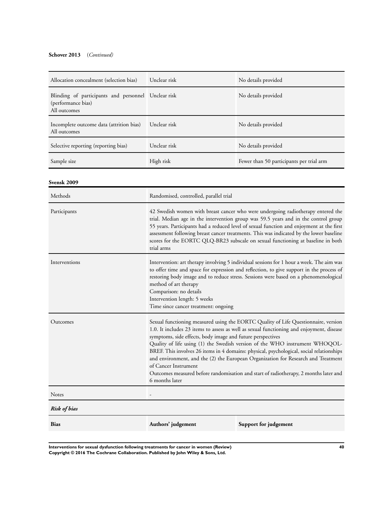## **Schover 2013** (*Continued)*

| Allocation concealment (selection bias)                                                   | Unclear risk | No details provided                      |
|-------------------------------------------------------------------------------------------|--------------|------------------------------------------|
| Blinding of participants and personnel Unclear risk<br>(performance bias)<br>All outcomes |              | No details provided                      |
| Incomplete outcome data (attrition bias)<br>All outcomes                                  | Unclear risk | No details provided                      |
| Selective reporting (reporting bias)                                                      | Unclear risk | No details provided                      |
| Sample size                                                                               | High risk    | Fewer than 50 participants per trial arm |

## **Svensk 2009**

| Methods             | Randomised, controlled, parallel trial                                                                                                                                                                                                                                                                                                                                                                                                                                                                                                                                                                                                         |                       |
|---------------------|------------------------------------------------------------------------------------------------------------------------------------------------------------------------------------------------------------------------------------------------------------------------------------------------------------------------------------------------------------------------------------------------------------------------------------------------------------------------------------------------------------------------------------------------------------------------------------------------------------------------------------------------|-----------------------|
| Participants        | 42 Swedish women with breast cancer who were undergoing radiotherapy entered the<br>trial. Median age in the intervention group was 59.5 years and in the control group<br>55 years. Participants had a reduced level of sexual function and enjoyment at the first<br>assessment following breast cancer treatments. This was indicated by the lower baseline<br>scores for the EORTC QLQ-BR23 subscale on sexual functioning at baseline in both<br>trial arms                                                                                                                                                                               |                       |
| Interventions       | Intervention: art therapy involving 5 individual sessions for 1 hour a week. The aim was<br>to offer time and space for expression and reflection, to give support in the process of<br>restoring body image and to reduce stress. Sessions were based on a phenomenological<br>method of art therapy<br>Comparison: no details<br>Intervention length: 5 weeks<br>Time since cancer treatment: ongoing                                                                                                                                                                                                                                        |                       |
| Outcomes            | Sexual functioning measured using the EORTC Quality of Life Questionnaire, version<br>1.0. It includes 23 items to assess as well as sexual functioning and enjoyment, disease<br>symptoms, side effects, body image and future perspectives<br>Quality of life using (1) the Swedish version of the WHO instrument WHOQOL-<br>BREF. This involves 26 items in 4 domains: physical, psychological, social relationships<br>and environment, and the (2) the European Organization for Research and Treatment<br>of Cancer Instrument<br>Outcomes measured before randomisation and start of radiotherapy, 2 months later and<br>6 months later |                       |
| <b>Notes</b>        |                                                                                                                                                                                                                                                                                                                                                                                                                                                                                                                                                                                                                                                |                       |
| <b>Risk of bias</b> |                                                                                                                                                                                                                                                                                                                                                                                                                                                                                                                                                                                                                                                |                       |
| <b>Bias</b>         | Authors' judgement                                                                                                                                                                                                                                                                                                                                                                                                                                                                                                                                                                                                                             | Support for judgement |

**Interventions for sexual dysfunction following treatments for cancer in women (Review) 40 Copyright © 2016 The Cochrane Collaboration. Published by John Wiley & Sons, Ltd.**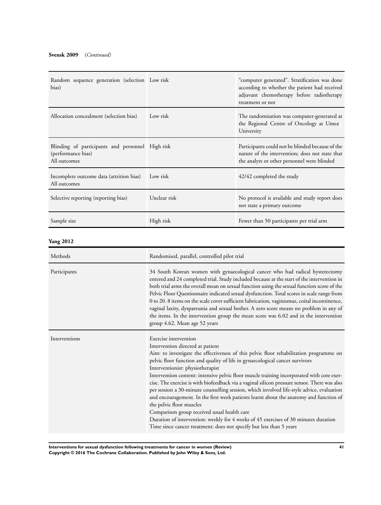| Random sequence generation (selection Low risk<br>bias)                                |              | "computer generated". Stratification was done<br>according to whether the patient had received<br>adjuvant chemotherapy before radiotherapy<br>treatment or not |
|----------------------------------------------------------------------------------------|--------------|-----------------------------------------------------------------------------------------------------------------------------------------------------------------|
| Allocation concealment (selection bias)                                                | Low risk     | The randomisation was computer-generated at<br>the Regional Centre of Oncology at Umea<br>University                                                            |
| Blinding of participants and personnel High risk<br>(performance bias)<br>All outcomes |              | Participants could not be blinded because of the<br>nature of the intervention; does not state that<br>the analyst or other personnel were blinded              |
| Incomplete outcome data (attrition bias)<br>All outcomes                               | Low risk     | 42/42 completed the study                                                                                                                                       |
| Selective reporting (reporting bias)                                                   | Unclear risk | No protocol is available and study report does<br>not state a primary outcome                                                                                   |
| Sample size                                                                            | High risk    | Fewer than 50 participants per trial arm                                                                                                                        |

## **Yang 2012**

| Methods       | Randomised, parallel, controlled pilot trial                                                                                                                                                                                                                                                                                                                                                                                                                                                                                                                                                                                                                                                                                                                                                                                                                                                         |
|---------------|------------------------------------------------------------------------------------------------------------------------------------------------------------------------------------------------------------------------------------------------------------------------------------------------------------------------------------------------------------------------------------------------------------------------------------------------------------------------------------------------------------------------------------------------------------------------------------------------------------------------------------------------------------------------------------------------------------------------------------------------------------------------------------------------------------------------------------------------------------------------------------------------------|
| Participants  | 34 South Korean women with gynaecological cancer who had radical hysterectomy<br>entered and 24 completed trial. Study included because at the start of the intervention in<br>both trial arms the overall mean on sexual function using the sexual function score of the<br>Pelvic Floor Questionnaire indicated sexual dysfunction. Total scores in scale range from<br>0 to 20. 8 items on the scale cover sufficient lubrication, vaginismus, coital incontinence,<br>vaginal laxity, dyspareunia and sexual bother. A zero score means no problem in any of<br>the items. In the intervention group the mean score was 6.02 and in the intervention<br>group 4.62. Mean age 52 years                                                                                                                                                                                                            |
| Interventions | Exercise intervention<br>Intervention directed at patient<br>Aim: to investigate the effectiveness of this pelvic floor rehabilitation programme on<br>pelvic floor function and quality of life in gynaecological cancer survivors<br>Interventionist: physiotherapist<br>Intervention content: intensive pelvic floor muscle training incorporated with core exer-<br>cise. The exercise is with biofeedback via a vaginal silicon pressure sensor. There was also<br>per session a 30-minute counselling session, which involved life-style advice, evaluation<br>and encouragement. In the first week patients learnt about the anatomy and function of<br>the pelvic floor muscles<br>Comparison group received usual health care<br>Duration of intervention: weekly for 4 weeks of 45 exercises of 30 minutes duration<br>Time since cancer treatment: does not specify but less than 5 years |

**Interventions for sexual dysfunction following treatments for cancer in women (Review) 41 Copyright © 2016 The Cochrane Collaboration. Published by John Wiley & Sons, Ltd.**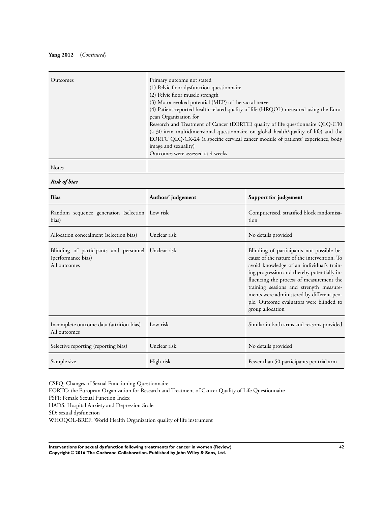#### **Yang 2012** (*Continued)*

| Outcomes | Primary outcome not stated                                                           |
|----------|--------------------------------------------------------------------------------------|
|          | (1) Pelvic floor dysfunction questionnaire                                           |
|          | (2) Pelvic floor muscle strength                                                     |
|          | (3) Motor evoked potential (MEP) of the sacral nerve                                 |
|          | (4) Patient-reported health-related quality of life (HRQOL) measured using the Euro- |
|          | pean Organization for                                                                |
|          | Research and Treatment of Cancer (EORTC) quality of life questionnaire QLQ-C30       |
|          | (a 30-item multidimensional questionnaire on global health/quality of life) and the  |
|          | EORTC QLQ-CX-24 (a specific cervical cancer module of patients' experience, body     |
|          | image and sexuality)                                                                 |
|          | Outcomes were assessed at 4 weeks                                                    |
|          |                                                                                      |

Notes -

*Risk of bias*

| <b>Bias</b>                                                                               | Authors' judgement | Support for judgement                                                                                                                                                                                                                                                                                                                                                                   |
|-------------------------------------------------------------------------------------------|--------------------|-----------------------------------------------------------------------------------------------------------------------------------------------------------------------------------------------------------------------------------------------------------------------------------------------------------------------------------------------------------------------------------------|
| Random sequence generation (selection Low risk<br>bias)                                   |                    | Computerised, stratified block randomisa-<br>tion                                                                                                                                                                                                                                                                                                                                       |
| Allocation concealment (selection bias)                                                   | Unclear risk       | No details provided                                                                                                                                                                                                                                                                                                                                                                     |
| Blinding of participants and personnel Unclear risk<br>(performance bias)<br>All outcomes |                    | Blinding of participants not possible be-<br>cause of the nature of the intervention. To<br>avoid knowledge of an individual's train-<br>ing progression and thereby potentially in-<br>fluencing the process of measurement the<br>training sessions and strength measure-<br>ments were administered by different peo-<br>ple. Outcome evaluators were blinded to<br>group allocation |
| Incomplete outcome data (attrition bias)<br>All outcomes                                  | Low risk           | Similar in both arms and reasons provided                                                                                                                                                                                                                                                                                                                                               |
| Selective reporting (reporting bias)                                                      | Unclear risk       | No details provided                                                                                                                                                                                                                                                                                                                                                                     |
| Sample size                                                                               | High risk          | Fewer than 50 participants per trial arm                                                                                                                                                                                                                                                                                                                                                |

CSFQ: Changes of Sexual Functioning Questionnaire

EORTC: the European Organization for Research and Treatment of Cancer Quality of Life Questionnaire

FSFI: Female Sexual Function Index

HADS: Hospital Anxiety and Depression Scale

SD: sexual dysfunction

WHOQOL-BREF: World Health Organization quality of life instrument

**Interventions for sexual dysfunction following treatments for cancer in women (Review) 42 Copyright © 2016 The Cochrane Collaboration. Published by John Wiley & Sons, Ltd.**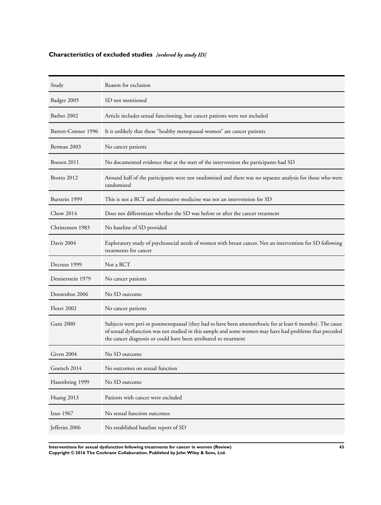# **Characteristics of excluded studies** *[ordered by study ID]*

| Study               | Reason for exclusion                                                                                                                                                                                                                                                                     |
|---------------------|------------------------------------------------------------------------------------------------------------------------------------------------------------------------------------------------------------------------------------------------------------------------------------------|
| Badger 2005         | SD not mentioned                                                                                                                                                                                                                                                                         |
| Barber 2002         | Article includes sexual functioning, but cancer patients were not included                                                                                                                                                                                                               |
| Barrett-Connor 1996 | It is unlikely that these "healthy menopausal women" are cancer patients                                                                                                                                                                                                                 |
| Berman 2003         | No cancer patients                                                                                                                                                                                                                                                                       |
| Boesen 2011         | No documented evidence that at the start of the intervention the participants had SD                                                                                                                                                                                                     |
| Brotto 2012         | Around half of the participants were not randomised and there was no separate analysis for those who were<br>randomised                                                                                                                                                                  |
| Burstein 1999       | This is not a RCT and alternative medicine was not an intervention for SD                                                                                                                                                                                                                |
| Chow 2014           | Does not differentiate whether the SD was before or after the cancer treatment                                                                                                                                                                                                           |
| Christensen 1983    | No baseline of SD provided                                                                                                                                                                                                                                                               |
| Davis 2004          | Exploratory study of psychosocial needs of women with breast cancer. Not an intervention for SD following<br>treatments for cancer                                                                                                                                                       |
| Decruze 1999        | Not a RCT                                                                                                                                                                                                                                                                                |
| Dennerstein 1979    | No cancer patients                                                                                                                                                                                                                                                                       |
| Doorenbos 2006      | No SD outcome                                                                                                                                                                                                                                                                            |
| Floter 2002         | No cancer patients                                                                                                                                                                                                                                                                       |
| <b>Ganz 2000</b>    | Subjects were peri or postmenopausal (they had to have been amenorrhoeic for at least 6 months). The cause<br>of sexual dysfunction was not studied in this sample and some women may have had problems that preceded<br>the cancer diagnosis or could have been attributed to treatment |
| Given 2004          | No SD outcome                                                                                                                                                                                                                                                                            |
| Goetsch 2014        | No outcomes on sexual function                                                                                                                                                                                                                                                           |
| Hasenbring 1999     | No SD outcome                                                                                                                                                                                                                                                                            |
| Huang 2013          | Patients with cancer were excluded                                                                                                                                                                                                                                                       |
| Izuo 1967           | No sexual function outcomes                                                                                                                                                                                                                                                              |
| Jefferies 2006      | No established baseline report of SD                                                                                                                                                                                                                                                     |

**Interventions for sexual dysfunction following treatments for cancer in women (Review) 43 Copyright © 2016 The Cochrane Collaboration. Published by John Wiley & Sons, Ltd.**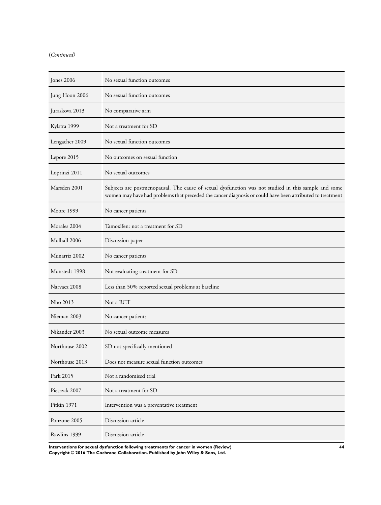## (*Continued)*

| Jones 2006     | No sexual function outcomes                                                                                                                                                                                       |
|----------------|-------------------------------------------------------------------------------------------------------------------------------------------------------------------------------------------------------------------|
| Jung Hoon 2006 | No sexual function outcomes                                                                                                                                                                                       |
| Juraskova 2013 | No comparative arm                                                                                                                                                                                                |
| Kylstra 1999   | Not a treatment for SD                                                                                                                                                                                            |
| Lengacher 2009 | No sexual function outcomes                                                                                                                                                                                       |
| Lepore 2015    | No outcomes on sexual function                                                                                                                                                                                    |
| Loprinzi 2011  | No sexual outcomes                                                                                                                                                                                                |
| Marsden 2001   | Subjects are postmenopausal. The cause of sexual dysfunction was not studied in this sample and some<br>women may have had problems that preceded the cancer diagnosis or could have been attributed to treatment |
| Moore 1999     | No cancer patients                                                                                                                                                                                                |
| Morales 2004   | Tamoxifen: not a treatment for SD                                                                                                                                                                                 |
| Mulhall 2006   | Discussion paper                                                                                                                                                                                                  |
| Munarriz 2002  | No cancer patients                                                                                                                                                                                                |
| Munstedt 1998  | Not evaluating treatment for SD                                                                                                                                                                                   |
| Narvaez 2008   | Less than 50% reported sexual problems at baseline                                                                                                                                                                |
| Nho 2013       | Not a RCT                                                                                                                                                                                                         |
| Nieman 2003    | No cancer patients                                                                                                                                                                                                |
| Nikander 2003  | No sexual outcome measures                                                                                                                                                                                        |
| Northouse 2002 | SD not specifically mentioned                                                                                                                                                                                     |
| Northouse 2013 | Does not measure sexual function outcomes                                                                                                                                                                         |
| Park 2015      | Not a randomised trial                                                                                                                                                                                            |
| Pietrzak 2007  | Not a treatment for SD                                                                                                                                                                                            |
| Pitkin 1971    | Intervention was a preventative treatment                                                                                                                                                                         |
| Ponzone 2005   | Discussion article                                                                                                                                                                                                |
| Rawlins 1999   | Discussion article                                                                                                                                                                                                |

**Interventions for sexual dysfunction following treatments for cancer in women (Review) 44 Copyright © 2016 The Cochrane Collaboration. Published by John Wiley & Sons, Ltd.**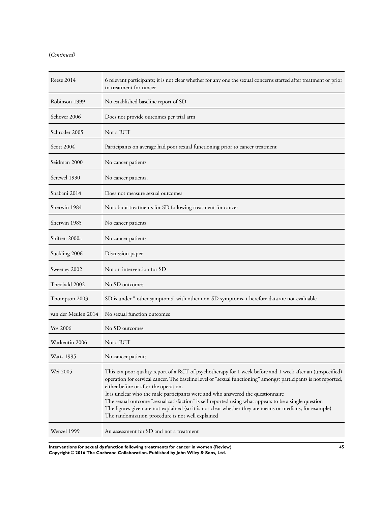(*Continued)*

| Reese 2014          | 6 relevant participants; it is not clear whether for any one the sexual concerns started after treatment or prior<br>to treatment for cancer                                                                                                                                                                                                                                                                                                                                                                                                                                                                                       |
|---------------------|------------------------------------------------------------------------------------------------------------------------------------------------------------------------------------------------------------------------------------------------------------------------------------------------------------------------------------------------------------------------------------------------------------------------------------------------------------------------------------------------------------------------------------------------------------------------------------------------------------------------------------|
| Robinson 1999       | No established baseline report of SD                                                                                                                                                                                                                                                                                                                                                                                                                                                                                                                                                                                               |
| Schover 2006        | Does not provide outcomes per trial arm                                                                                                                                                                                                                                                                                                                                                                                                                                                                                                                                                                                            |
| Schroder 2005       | Not a RCT                                                                                                                                                                                                                                                                                                                                                                                                                                                                                                                                                                                                                          |
| Scott 2004          | Participants on average had poor sexual functioning prior to cancer treatment                                                                                                                                                                                                                                                                                                                                                                                                                                                                                                                                                      |
| Seidman 2000        | No cancer patients                                                                                                                                                                                                                                                                                                                                                                                                                                                                                                                                                                                                                 |
| Serewel 1990        | No cancer patients.                                                                                                                                                                                                                                                                                                                                                                                                                                                                                                                                                                                                                |
| Shabani 2014        | Does not measure sexual outcomes                                                                                                                                                                                                                                                                                                                                                                                                                                                                                                                                                                                                   |
| Sherwin 1984        | Not about treatments for SD following treatment for cancer                                                                                                                                                                                                                                                                                                                                                                                                                                                                                                                                                                         |
| Sherwin 1985        | No cancer patients                                                                                                                                                                                                                                                                                                                                                                                                                                                                                                                                                                                                                 |
| Shifren 2000a       | No cancer patients                                                                                                                                                                                                                                                                                                                                                                                                                                                                                                                                                                                                                 |
| Suckling 2006       | Discussion paper                                                                                                                                                                                                                                                                                                                                                                                                                                                                                                                                                                                                                   |
| Sweeney 2002        | Not an intervention for SD                                                                                                                                                                                                                                                                                                                                                                                                                                                                                                                                                                                                         |
| Theobald 2002       | No SD outcomes                                                                                                                                                                                                                                                                                                                                                                                                                                                                                                                                                                                                                     |
| Thompson 2003       | SD is under " other symptoms" with other non-SD symptoms, t herefore data are not evaluable                                                                                                                                                                                                                                                                                                                                                                                                                                                                                                                                        |
| van der Meulen 2014 | No sexual function outcomes                                                                                                                                                                                                                                                                                                                                                                                                                                                                                                                                                                                                        |
| Vos 2006            | No SD outcomes                                                                                                                                                                                                                                                                                                                                                                                                                                                                                                                                                                                                                     |
| Warkentin 2006      | Not a RCT                                                                                                                                                                                                                                                                                                                                                                                                                                                                                                                                                                                                                          |
| <b>Watts 1995</b>   | No cancer patients                                                                                                                                                                                                                                                                                                                                                                                                                                                                                                                                                                                                                 |
| Wei 2005            | This is a poor quality report of a RCT of psychotherapy for 1 week before and 1 week after an (unspecified)<br>operation for cervical cancer. The baseline level of "sexual functioning" amongst participants is not reported,<br>either before or after the operation.<br>It is unclear who the male participants were and who answered the questionnaire<br>The sexual outcome "sexual satisfaction" is self reported using what appears to be a single question<br>The figures given are not explained (so it is not clear whether they are means or medians, for example)<br>The randomisation procedure is not well explained |
| Wenzel 1999         | An assessment for SD and not a treatment                                                                                                                                                                                                                                                                                                                                                                                                                                                                                                                                                                                           |

**Interventions for sexual dysfunction following treatments for cancer in women (Review) 45 Copyright © 2016 The Cochrane Collaboration. Published by John Wiley & Sons, Ltd.**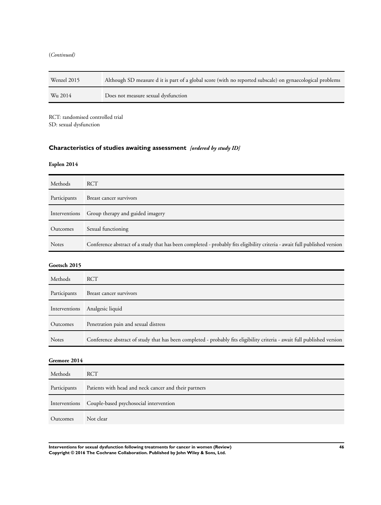#### (*Continued)*

| Wenzel 2015         | Although SD measure d it is part of a global score (with no reported subscale) on gynaecological problems |
|---------------------|-----------------------------------------------------------------------------------------------------------|
| W <sub>U</sub> 2014 | Does not measure sexual dysfunction                                                                       |

RCT: randomised controlled trial SD: sexual dysfunction

# **Characteristics of studies awaiting assessment** *[ordered by study ID]*

## **Esplen 2014**

| Methods      | <b>RCT</b>                                                                                                                 |
|--------------|----------------------------------------------------------------------------------------------------------------------------|
| Participants | Breast cancer survivors                                                                                                    |
|              | Interventions Group therapy and guided imagery                                                                             |
| Outcomes     | Sexual functioning                                                                                                         |
| <b>Notes</b> | Conference abstract of a study that has been completed - probably fits eligibility criteria - await full published version |

#### **Goetsch 2015**

| Methods       | <b>RCT</b>                                                                                                               |
|---------------|--------------------------------------------------------------------------------------------------------------------------|
| Participants  | Breast cancer survivors                                                                                                  |
| Interventions | Analgesic liquid                                                                                                         |
| Outcomes      | Penetration pain and sexual distress                                                                                     |
| <b>Notes</b>  | Conference abstract of study that has been completed - probably fits eligibility criteria - await full published version |

**Gremore 2014**

| Methods      | <b>RCT</b>                                            |
|--------------|-------------------------------------------------------|
| Participants | Patients with head and neck cancer and their partners |
|              | Interventions Couple-based psychosocial intervention  |
| Outcomes     | Not clear                                             |

**Interventions for sexual dysfunction following treatments for cancer in women (Review) 46 Copyright © 2016 The Cochrane Collaboration. Published by John Wiley & Sons, Ltd.**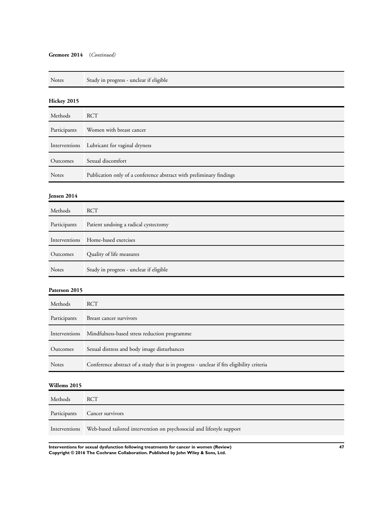## **Gremore 2014** (*Continued)*

| Notes | Study in progress - unclear if eligible |  |
|-------|-----------------------------------------|--|
|       |                                         |  |

## **Hickey 2015**

| Methods      | <b>RCT</b>                                                          |
|--------------|---------------------------------------------------------------------|
| Participants | Women with breast cancer                                            |
|              | Interventions Lubricant for vaginal dryness                         |
| Outcomes     | Sexual discomfort                                                   |
| <b>Notes</b> | Publication only of a conference abstract with preliminary findings |

## **Jensen 2014**

| Methods      | <b>RCT</b>                              |
|--------------|-----------------------------------------|
| Participants | Patient undoing a radical cystectomy    |
|              | Interventions Home-based exercises      |
| Outcomes     | Quality of life measures                |
| <b>Notes</b> | Study in progress - unclear if eligible |

## **Paterson 2015**

| Methods      | <b>RCT</b>                                                                                |
|--------------|-------------------------------------------------------------------------------------------|
| Participants | Breast cancer survivors                                                                   |
|              | Interventions Mindfulness-based stress reduction programme                                |
| Outcomes     | Sexual distress and body image disturbances                                               |
| <b>Notes</b> | Conference abstract of a study that is in progress - unclear if fits eligibility criteria |

#### **Willems 2015**

| Methods      | <b>RCT</b>                                                                          |
|--------------|-------------------------------------------------------------------------------------|
| Participants | Cancer survivors                                                                    |
|              | Interventions Web-based tailored intervention on psychosocial and lifestyle support |
|              |                                                                                     |

**Interventions for sexual dysfunction following treatments for cancer in women (Review) 47 Copyright © 2016 The Cochrane Collaboration. Published by John Wiley & Sons, Ltd.**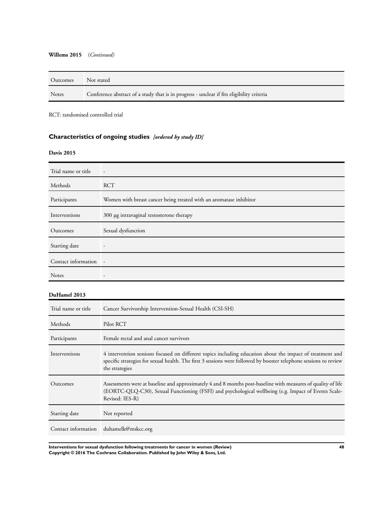## **Willems 2015** (*Continued)*

| Outcomes     | Not stated                                                                                |
|--------------|-------------------------------------------------------------------------------------------|
| <b>Notes</b> | Conference abstract of a study that is in progress - unclear if fits eligibility criteria |

RCT: randomised controlled trial

# **Characteristics of ongoing studies** *[ordered by study ID]*

#### **Davis 2015**

| Trial name or title   | $\overline{\phantom{a}}$                                           |
|-----------------------|--------------------------------------------------------------------|
| Methods               | <b>RCT</b>                                                         |
| Participants          | Women with breast cancer being treated with an aromatase inhibitor |
| Interventions         | 300 µg intravaginal testosterone therapy                           |
| Outcomes              | Sexual dysfunction                                                 |
| Starting date         | $\overline{\phantom{a}}$                                           |
| Contact information - |                                                                    |
| <b>Notes</b>          |                                                                    |

#### **DuHamel 2013**

| Trial name or title | Cancer Survivorship Intervention-Sexual Health (CSI-SH)                                                                                                                                                                                          |
|---------------------|--------------------------------------------------------------------------------------------------------------------------------------------------------------------------------------------------------------------------------------------------|
| Methods             | Pilot RCT                                                                                                                                                                                                                                        |
| Participants        | Female rectal and anal cancer survivors                                                                                                                                                                                                          |
| Interventions       | 4 intervention sessions focused on different topics including education about the impact of treatment and<br>specific strategies for sexual health. The first 3 sessions were followed by booster telephone sessions to review<br>the strategies |
| Outcomes            | Assessments were at baseline and approximately 4 and 8 months post-baseline with measures of quality of life<br>(EORTC-QLQ-C30), Sexual Functioning (FSFI) and psychological wellbeing (e.g. Impact of Events Scale-<br>Revised: IES-R)          |
| Starting date       | Not reported                                                                                                                                                                                                                                     |
| Contact information | duhamelk@mskcc.org                                                                                                                                                                                                                               |

**Interventions for sexual dysfunction following treatments for cancer in women (Review) 48 Copyright © 2016 The Cochrane Collaboration. Published by John Wiley & Sons, Ltd.**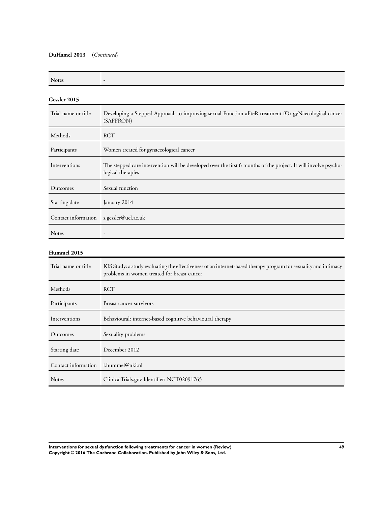## **DuHamel 2013** (*Continued)*

| <b>Notes</b>        |                                                                                                                                      |
|---------------------|--------------------------------------------------------------------------------------------------------------------------------------|
| Gessler 2015        |                                                                                                                                      |
| Trial name or title | Developing a Stepped Approach to improving sexual Function aFteR treatment fOr gyNaecological cancer<br>(SAFFRON)                    |
| Methods             | <b>RCT</b>                                                                                                                           |
| Participants        | Women treated for gynaecological cancer                                                                                              |
| Interventions       | The stepped care intervention will be developed over the first 6 months of the project. It will involve psycho-<br>logical therapies |
| Outcomes            | Sexual function                                                                                                                      |
| Starting date       | January 2014                                                                                                                         |
| Contact information | s.gessler@ucl.ac.uk                                                                                                                  |
| <b>Notes</b>        |                                                                                                                                      |

## **Hummel 2015**

| Trial name or title | KIS Study: a study evaluating the effectiveness of an internet-based therapy program for sexuality and intimacy<br>problems in women treated for breast cancer |
|---------------------|----------------------------------------------------------------------------------------------------------------------------------------------------------------|
| Methods             | <b>RCT</b>                                                                                                                                                     |
| Participants        | Breast cancer survivors                                                                                                                                        |
| Interventions       | Behavioural: internet-based cognitive behavioural therapy                                                                                                      |
| Outcomes            | Sexuality problems                                                                                                                                             |
| Starting date       | December 2012                                                                                                                                                  |
| Contact information | $l$ .hummel@nki.nl                                                                                                                                             |
| <b>Notes</b>        | ClinicalTrials.gov Identifier: NCT02091765                                                                                                                     |

**Interventions for sexual dysfunction following treatments for cancer in women (Review) 49 Copyright © 2016 The Cochrane Collaboration. Published by John Wiley & Sons, Ltd.**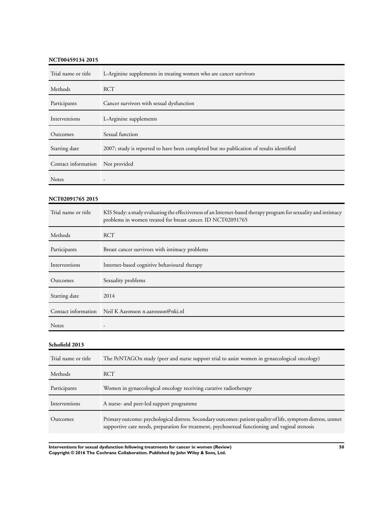## **NCT00459134 2015**

| Trial name or title | L-Arginine supplements in treating women who are cancer survivors                       |
|---------------------|-----------------------------------------------------------------------------------------|
| Methods             | <b>RCT</b>                                                                              |
| Participants        | Cancer survivors with sexual dysfunction                                                |
| Interventions       | L-Arginine supplements                                                                  |
| Outcomes            | Sexual function                                                                         |
| Starting date       | 2007; study is reported to have been completed but no publication of results identified |
| Contact information | Not provided                                                                            |
| <b>Notes</b>        |                                                                                         |

## **NCT02091765 2015**

| Trial name or title | KIS Study: a study evaluating the effectiveness of an Internet-based therapy program for sexuality and intimacy<br>problems in women treated for breast cancer. ID NCT02091765 |
|---------------------|--------------------------------------------------------------------------------------------------------------------------------------------------------------------------------|
| Methods             | <b>RCT</b>                                                                                                                                                                     |
| Participants        | Breast cancer survivors with intimacy problems                                                                                                                                 |
| Interventions       | Internet-based cognitive behavioural therapy                                                                                                                                   |
| Outcomes            | Sexuality problems                                                                                                                                                             |
| Starting date       | 2014                                                                                                                                                                           |
|                     | Contact information Neil K Aaronson n.aaronson@nki.nl                                                                                                                          |
| <b>Notes</b>        |                                                                                                                                                                                |

## **Schofield 2013**

| Trial name or title | The PeNTAGOn study (peer and nurse support trial to assist women in gynaecological oncology)                                                                                                                     |
|---------------------|------------------------------------------------------------------------------------------------------------------------------------------------------------------------------------------------------------------|
| Methods             | RCT                                                                                                                                                                                                              |
| Participants        | Women in gynaecological oncology receiving curative radiotherapy                                                                                                                                                 |
| Interventions       | A nurse- and peer-led support programme                                                                                                                                                                          |
| Outcomes            | Primary outcome: psychological distress. Secondary outcomes: patient quality of life, symptom distress, unmet<br>supportive care needs, preparation for treatment, psychosexual functioning and vaginal stenosis |
|                     |                                                                                                                                                                                                                  |

**Interventions for sexual dysfunction following treatments for cancer in women (Review) 50 Copyright © 2016 The Cochrane Collaboration. Published by John Wiley & Sons, Ltd.**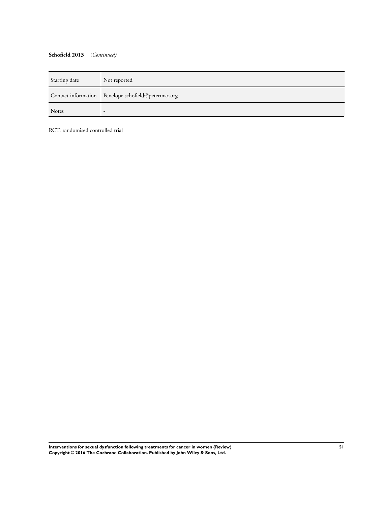## **Schofield 2013** (*Continued)*

| Starting date | Not reported                                        |
|---------------|-----------------------------------------------------|
|               | Contact information Penelope.schofield@petermac.org |
| <b>Notes</b>  | -                                                   |

RCT: randomised controlled trial

**Interventions for sexual dysfunction following treatments for cancer in women (Review) 51 Copyright © 2016 The Cochrane Collaboration. Published by John Wiley & Sons, Ltd.**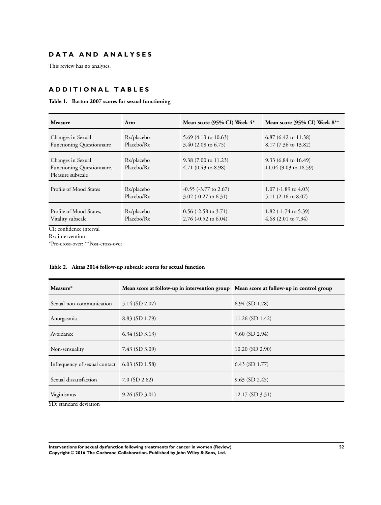## **D A T A A N D A N A L Y S E S**

This review has no analyses.

## **A D D I T I O N A L T A B L E S**

## **Table 1. Barton 2007 scores for sexual functioning**

| <b>Measure</b>                                                       | Arm                      | Mean score (95% CI) Week 4*                                     | Mean score (95% CI) Week 8**                            |
|----------------------------------------------------------------------|--------------------------|-----------------------------------------------------------------|---------------------------------------------------------|
| Changes in Sexual                                                    | Rx/placebo               | 5.69 $(4.13 \text{ to } 10.63)$                                 | $6.87(6.42 \text{ to } 11.38)$                          |
| Functioning Questionnaire                                            | Placebo/Rx               | $3.40$ (2.08 to 6.75)                                           | 8.17 (7.36 to 13.82)                                    |
| Changes in Sexual<br>Functioning Questionnaire,<br>Pleasure subscale | Rx/placebo<br>Placebo/Rx | $9.38(7.00 \text{ to } 11.23)$<br>$4.71(0.43 \text{ to } 8.98)$ | $9.33(6.84 \text{ to } 16.49)$<br>11.04 (9.03 to 18.59) |
| Profile of Mood States                                               | Rx/placebo               | $-0.55$ ( $-3.77$ to 2.67)                                      | $1.07$ (-1.89 to 4.03)                                  |
|                                                                      | Placebo/Rx               | 3.02 $(-0.27 \text{ to } 6.31)$                                 | 5.11 $(2.16 \text{ to } 8.07)$                          |
| Profile of Mood States,                                              | Rx/placebo               | $0.56$ (-2.58 to 3.71)                                          | 1.82 $(-1.74 \text{ to } 5.39)$                         |
| Vitality subscale                                                    | Placebo/Rx               | 2.76 $(-0.52 \text{ to } 6.04)$                                 | $4.68$ (2.01 to 7.34)                                   |

CI: confidence interval

Rx: intervention

\*Pre-cross-over; \*\*Post-cross-over

## **Table 2. Aktas 2014 follow-up subscale scores for sexual function**

| $Measure^*$                                  | Mean score at follow-up in intervention group Mean score at follow-up in control group |                      |
|----------------------------------------------|----------------------------------------------------------------------------------------|----------------------|
| Sexual non-communication                     | $5.14$ (SD 2.07)                                                                       | $6.94$ (SD 1.28)     |
| Anorgasmia                                   | 8.83 (SD 1.79)                                                                         | $11.26$ (SD $1.42$ ) |
| Avoidance                                    | $6.34$ (SD 3.13)                                                                       | $9.60$ (SD 2.94)     |
| Non-sensuality                               | $7.43$ (SD 3.09)                                                                       | $10.20$ (SD $2.90$ ) |
| Infrequency of sexual contact 6.03 (SD 1.58) |                                                                                        | $6.43$ (SD 1.77)     |
| Sexual dissatisfaction                       | $7.0$ (SD 2.82)                                                                        | $9.63$ (SD 2.45)     |
| Vaginismus<br>$CD$ , standard deviation      | $9.26$ (SD $3.01$ )                                                                    | $12.17$ (SD $3.31$ ) |

SD: standard deviation

**Interventions for sexual dysfunction following treatments for cancer in women (Review) 52 Copyright © 2016 The Cochrane Collaboration. Published by John Wiley & Sons, Ltd.**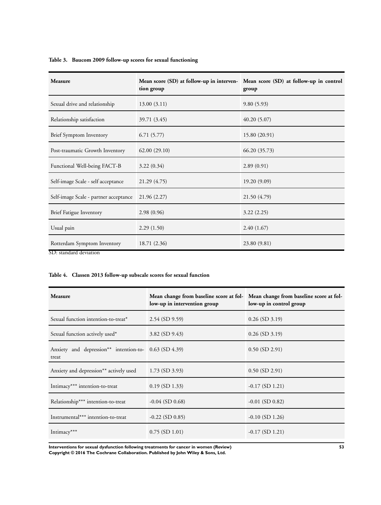## **Table 3. Baucom 2009 follow-up scores for sexual functioning**

| <b>Measure</b>                        | tion group   | Mean score (SD) at follow-up in interven- Mean score (SD) at follow-up in control<br>group |
|---------------------------------------|--------------|--------------------------------------------------------------------------------------------|
| Sexual drive and relationship         | 13.00(3.11)  | 9.80(5.93)                                                                                 |
| Relationship satisfaction             | 39.71 (3.45) | 40.20(5.07)                                                                                |
| Brief Symptom Inventory               | 6.71(5.77)   | 15.80 (20.91)                                                                              |
| Post-traumatic Growth Inventory       | 62.00(29.10) | 66.20 (35.73)                                                                              |
| Functional Well-being FACT-B          | 3.22(0.34)   | 2.89(0.91)                                                                                 |
| Self-image Scale - self acceptance    | 21.29 (4.75) | 19.20 (9.09)                                                                               |
| Self-image Scale - partner acceptance | 21.96 (2.27) | 21.50 (4.79)                                                                               |
| Brief Fatigue Inventory               | 2.98(0.96)   | 3.22(2.25)                                                                                 |
| Usual pain                            | 2.29(1.50)   | 2.40(1.67)                                                                                 |
| Rotterdam Symptom Inventory           | 18.71 (2.36) | 23.80 (9.81)                                                                               |
| SD: standard deviation                |              |                                                                                            |

## **Table 4. Classen 2013 follow-up subscale scores for sexual function**

| Measure                                                                    | Mean change from baseline score at fol- Mean change from baseline score at fol-<br>low-up in intervention group | low-up in control group |
|----------------------------------------------------------------------------|-----------------------------------------------------------------------------------------------------------------|-------------------------|
| Sexual function intention-to-treat*                                        | $2.54$ (SD $9.59$ )                                                                                             | $0.26$ (SD $3.19$ )     |
| Sexual function actively used*                                             | $3.82$ (SD $9.43$ )                                                                                             | $0.26$ (SD 3.19)        |
| Anxiety and depression <sup>**</sup> intention-to- 0.63 (SD 4.39)<br>treat |                                                                                                                 | $0.50$ (SD 2.91)        |
| Anxiety and depression <sup>**</sup> actively used                         | $1.73$ (SD 3.93)                                                                                                | $0.50$ (SD 2.91)        |
| Intimacy*** intention-to-treat                                             | $0.19$ (SD 1.33)                                                                                                | $-0.17$ (SD 1.21)       |
| Relationship*** intention-to-treat                                         | $-0.04$ (SD 0.68)                                                                                               | $-0.01$ (SD 0.82)       |
| Instrumental*** intention-to-treat                                         | $-0.22$ (SD 0.85)                                                                                               | $-0.10$ (SD 1.26)       |
| Intimacy***                                                                | $0.75$ (SD 1.01)                                                                                                | $-0.17$ (SD 1.21)       |

**Interventions for sexual dysfunction following treatments for cancer in women (Review) 53 Copyright © 2016 The Cochrane Collaboration. Published by John Wiley & Sons, Ltd.**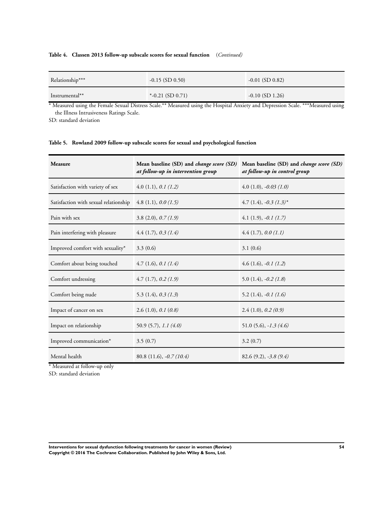#### **Table 4. Classen 2013 follow-up subscale scores for sexual function** (*Continued)*

| Relationship*** | $-0.15$ (SD 0.50)   | $-0.01$ (SD 0.82) |
|-----------------|---------------------|-------------------|
| Instrumental**  | $*$ -0.21 (SD 0.71) | $-0.10$ (SD 1.26) |

\* Measured using the Female Sexual Distress Scale.\*\* Measured using the Hospital Anxiety and Depression Scale. \*\*\*Measured using the Illness Intrusiveness Ratings Scale.

SD: standard deviation

#### **Table 5. Rowland 2009 follow-up subscale scores for sexual and psychological function**

| <b>Measure</b>                        | Mean baseline (SD) and <i>change score (SD)</i><br>at follow-up in intervention group | Mean baseline (SD) and <i>change score (SD)</i><br>at follow-up in control group |
|---------------------------------------|---------------------------------------------------------------------------------------|----------------------------------------------------------------------------------|
| Satisfaction with variety of sex      | 4.0(1.1), 0.1(1.2)                                                                    | $(4.0 (1.0), -0.03 (1.0))$                                                       |
| Satisfaction with sexual relationship | 4.8 $(1.1)$ , 0.0 $(1.5)$                                                             | $4.7(1.4), -0.3(1.3)^{*}$                                                        |
| Pain with sex                         | 3.8(2.0), 0.7(1.9)                                                                    | 4.1 $(1.9)$ , $-0.1$ $(1.7)$                                                     |
| Pain interfering with pleasure        | 4.4(1.7), 0.3(1.4)                                                                    | 4.4(1.7), 0.0(1.1)                                                               |
| Improved comfort with sexuality*      | 3.3(0.6)                                                                              | 3.1(0.6)                                                                         |
| Comfort about being touched           | 4.7(1.6), 0.1(1.4)                                                                    | 4.6 $(1.6)$ , $-0.1$ $(1.2)$                                                     |
| Comfort undressing                    | 4.7(1.7), 0.2(1.9)                                                                    | 5.0 $(1.4)$ , $-0.2$ $(1.8)$                                                     |
| Comfort being nude                    | 5.3 $(1.4)$ , 0.3 $(1.3)$                                                             | $5.2(1.4), -0.1(1.6)$                                                            |
| Impact of cancer on sex               | 2.6(1.0), 0.1(0.8)                                                                    | 2.4(1.0), 0.2(0.9)                                                               |
| Impact on relationship                | 50.9(5.7), 1.1(4.0)                                                                   | $51.0(5.6), -1.3(4.6)$                                                           |
| Improved communication*               | 3.5(0.7)                                                                              | 3.2(0.7)                                                                         |
| Mental health                         | 80.8 $(11.6)$ , $-0.7$ $(10.4)$                                                       | $82.6(9.2), -3.8(9.4)$                                                           |

\* Measured at follow-up only

SD: standard deviation

**Interventions for sexual dysfunction following treatments for cancer in women (Review) 54 Copyright © 2016 The Cochrane Collaboration. Published by John Wiley & Sons, Ltd.**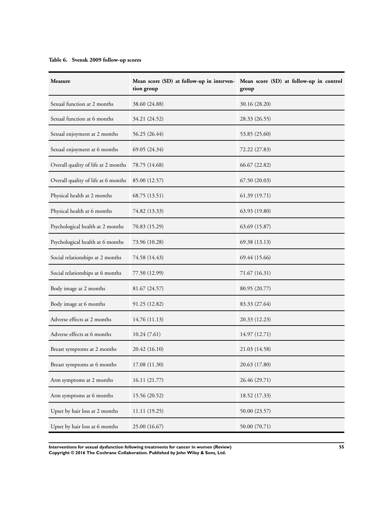## **Table 6. Svensk 2009 follow-up scores**

| <b>Measure</b>                      | Mean score (SD) at follow-up in interven- Mean score (SD) at follow-up in control<br>tion group | group         |
|-------------------------------------|-------------------------------------------------------------------------------------------------|---------------|
| Sexual function at 2 months         | 38.60 (24.88)                                                                                   | 30.16 (28.20) |
| Sexual function at 6 months         | 34.21 (24.52)                                                                                   | 28.33 (26.55) |
| Sexual enjoyment at 2 months        | 56.25 (26.44)                                                                                   | 53.85 (25.60) |
| Sexual enjoyment at 6 months        | 69.05 (24.34)                                                                                   | 72.22 (27.83) |
| Overall quality of life at 2 months | 78.75 (14.68)                                                                                   | 66.67 (22.82) |
| Overall quality of life at 6 months | 85.00 (12.57)                                                                                   | 67.50 (20.03) |
| Physical health at 2 months         | 68.75 (13.51)                                                                                   | 61.39 (19.71) |
| Physical health at 6 months         | 74.82 (13.33)                                                                                   | 63.93 (19.80) |
| Psychological health at 2 months    | 70.83 (15.29)                                                                                   | 63.69 (15.87) |
| Psychological health at 6 months    | 73.96 (10.28)                                                                                   | 69.38 (13.13) |
| Social relationships at 2 months    | 74.58 (14.43)                                                                                   | 69.44 (15.66) |
| Social relationships at 6 months    | 77.50 (12.99)                                                                                   | 71.67 (16.31) |
| Body image at 2 months              | 81.67 (24.57)                                                                                   | 80.95 (20.77) |
| Body image at 6 months              | 91.25 (12.82)                                                                                   | 83.33 (27.64) |
| Adverse effects at 2 months         | 14.76 (11.13)                                                                                   | 20.33 (12.23) |
| Adverse effects at 6 months         | 10.24(7.61)                                                                                     | 14.97 (12.71) |
| Breast symptoms at 2 months         | 20.42 (16.10)                                                                                   | 21.03 (14.58) |
| Breast symptoms at 6 months         | 17.08 (11.30)                                                                                   | 20.63 (17.80) |
| Arm symptoms at 2 months            | 16.11(21.77)                                                                                    | 26.46 (29.71) |
| Arm symptoms at 6 months            | 15.56 (20.52)                                                                                   | 18.52 (17.33) |
| Upset by hair loss at 2 months      | 11.11(19.25)                                                                                    | 50.00 (23.57) |
| Upset by hair loss at 6 months      | 25.00 (16.67)                                                                                   | 50.00 (70.71) |

**Interventions for sexual dysfunction following treatments for cancer in women (Review) 55 Copyright © 2016 The Cochrane Collaboration. Published by John Wiley & Sons, Ltd.**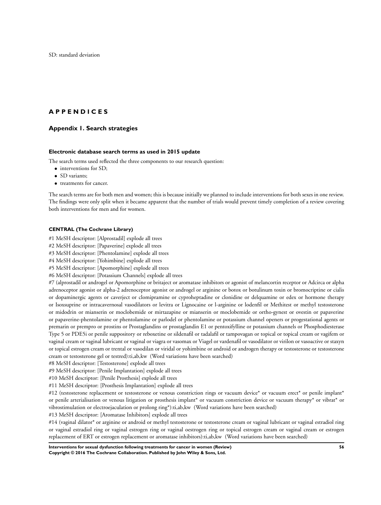SD: standard deviation

## **A P P E N D I C E S**

#### **Appendix 1. Search strategies**

#### **Electronic database search terms as used in 2015 update**

The search terms used reflected the three components to our research question:

- interventions for SD;
- SD variants;
- treatments for cancer.

The search terms are for both men and women; this is because initially we planned to include interventions for both sexes in one review. The findings were only split when it became apparent that the number of trials would prevent timely completion of a review covering both interventions for men and for women.

#### **CENTRAL (The Cochrane Library)**

#1 MeSH descriptor: [Alprostadil] explode all trees

#2 MeSH descriptor: [Papaverine] explode all trees

#3 MeSH descriptor: [Phentolamine] explode all trees

#4 MeSH descriptor: [Yohimbine] explode all trees

#5 MeSH descriptor: [Apomorphine] explode all trees

#6 MeSH descriptor: [Potassium Channels] explode all trees

#7 (alprostadil or androgel or Apomorphine or britaject or aromatase inhibitors or agonist of melancortin receptor or Adcirca or alpha adrenoceptor agonist or alpha-2 adrenoceptor agonist or androgel or arginine or botox or botulinum toxin or bromocriptine or cialis or dopaminergic agents or caverject or clomipramine or cyproheptadine or clonidine or delquamine or edex or hormone therapy or Isoxsuprine or intracavernosal vasodilators or levitra or Lignocaine or l-arginine or lodenfil or Methitest or methyl testosterone or midodrin or mianserin or moclobemide or mirtazapine or mianserin or moclobemide or ortho-gynest or ovestin or papaverine or papaverine-phentolamine or phentolamine or parlodel or phentolamine or potassium channel openers or progestational agents or premarin or prempro or prostins or Prostaglandins or prostaglandin E1 or pentoxifylline or potassium channels or Phosphodiesterase Type 5 or PDE5i or penile suppository or reboxetine or sildenafil or tadalafil or tampovagan or topical or topical cream or vagifem or vaginal cream or vaginal lubricant or vaginal or viagra or vasomax or Viagel or vardenafil or vasodilator or virilon or vasoactive or staxyn or topical estrogen cream or trental or vasodilan or viridal or yohimbine or android or androgen therapy or testosterone or testosterone cream or testosterone gel or testred):ti,ab,kw (Word variations have been searched)

#8 MeSH descriptor: [Testosterone] explode all trees

#9 MeSH descriptor: [Penile Implantation] explode all trees

#10 MeSH descriptor: [Penile Prosthesis] explode all trees

#11 MeSH descriptor: [Prosthesis Implantation] explode all trees

#12 (testosterone replacement or testosterone or venous constriction rings or vacuum device\* or vacuum erect\* or penile implant\* or penile arterialisation or venous litigation or prosthesis implant\* or vacuum constriction device or vacuum therapy\* or vibrat\* or vibrostimulation or electroejaculation or prolong ring\*):ti,ab,kw (Word variations have been searched)

#13 MeSH descriptor: [Aromatase Inhibitors] explode all trees

#14 (vaginal dilator\* or arginine or android or methyl testosterone or testosterone cream or vaginal lubricant or vaginal estradiol ring or vaginal estradiol ring or vaginal estrogen ring or vaginal oestrogen ring or topical estrogen cream or vaginal cream or estrogen replacement of ERT or estrogen replacement or aromatase inhibitors):ti,ab,kw (Word variations have been searched)

**Interventions for sexual dysfunction following treatments for cancer in women (Review) 56 Copyright © 2016 The Cochrane Collaboration. Published by John Wiley & Sons, Ltd.**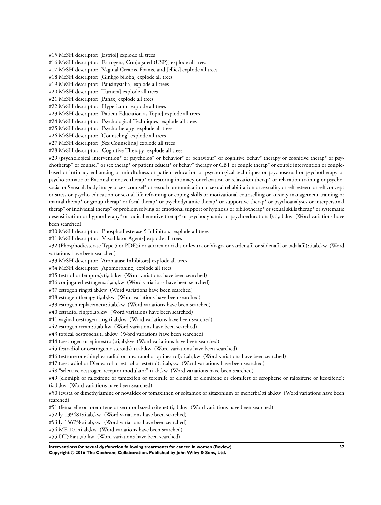#15 MeSH descriptor: [Estriol] explode all trees

#16 MeSH descriptor: [Estrogens, Conjugated (USP)] explode all trees

#17 MeSH descriptor: [Vaginal Creams, Foams, and Jellies] explode all trees

#18 MeSH descriptor: [Ginkgo biloba] explode all trees

#19 MeSH descriptor: [Pausinystalia] explode all trees

#20 MeSH descriptor: [Turnera] explode all trees

#21 MeSH descriptor: [Panax] explode all trees

#22 MeSH descriptor: [Hypericum] explode all trees

#23 MeSH descriptor: [Patient Education as Topic] explode all trees

#24 MeSH descriptor: [Psychological Techniques] explode all trees

#25 MeSH descriptor: [Psychotherapy] explode all trees

#26 MeSH descriptor: [Counseling] explode all trees

#27 MeSH descriptor: [Sex Counseling] explode all trees

#28 MeSH descriptor: [Cognitive Therapy] explode all trees

#29 (psychological intervention\* or psycholog\* or behavior\* or behaviour\* or cognitive behav\* therapy or cognitive therap\* or psychotherap\* or counsel\* or sex therap\* or patient educat\* or behav\* therapy or CBT or couple therap\* or couple intervention or couplebased or intimacy enhancing or mindfulness or patient education or psychological techniques or psychosexual or psychotherapy or psycho-somatic or Rational emotive therap\* or restoring intimacy or relaxation or relaxation therap\* or relaxation training or psychosocial or Sensual, body image or sex-counsel\* or sexual communication or sexual rehabilitation or sexuality or self-esteem or self concept or stress or psycho-education or sexual life reframing or coping skills or motivational counselling or anxiety management training or marital therap\* or group therap\* or focal therap\* or psychodynamic therap\* or supportive therap\* or psychoanalyses or interpersonal therap\* or individual therap\* or problem solving or emotional support or hypnosis or bibliotherap\* or sexual skills therap\* or systematic desensitization or hypnotherapy\* or radical emotive therap\* or psychodynamic or psychoeducational):ti,ab,kw (Word variations have been searched)

#30 MeSH descriptor: [Phosphodiesterase 5 Inhibitors] explode all trees

#31 MeSH descriptor: [Vasodilator Agents] explode all trees

#32 (Phosphodiesterase Type 5 or PDE5i or adcirca or cialis or levitra or Viagra or vardenafil or sildenafil or tadalafil):ti,ab,kw (Word variations have been searched)

#33 MeSH descriptor: [Aromatase Inhibitors] explode all trees

#34 MeSH descriptor: [Apomorphine] explode all trees

#35 (estriol or femprox):ti,ab,kw (Word variations have been searched)

#36 conjugated estrogens:ti,ab,kw (Word variations have been searched)

#37 estrogen ring:ti,ab,kw (Word variations have been searched)

#38 estrogen therapy:ti,ab,kw (Word variations have been searched)

#39 estrogen replacement:ti,ab,kw (Word variations have been searched)

#40 estradiol ring:ti,ab,kw (Word variations have been searched)

#41 vaginal oestrogen ring:ti,ab,kw (Word variations have been searched)

#42 estrogen cream:ti,ab,kw (Word variations have been searched)

#43 topical oestrogens:ti,ab,kw (Word variations have been searched)

#44 (oestrogen or epimestrol):ti,ab,kw (Word variations have been searched)

#45 (estradiol or oestrogenic steroids):ti,ab,kw (Word variations have been searched)

#46 (estrone or ethinyl estradiol or mestranol or quinestrol):ti,ab,kw (Word variations have been searched)

#47 (oestradiol or Dienestrol or estriol or estetrol):ti,ab,kw (Word variations have been searched)

#48 "selective oestrogen receptor modulator":ti,ab,kw (Word variations have been searched)

#49 (clomiph or raloxifene or tamoxifen or toremife or clomid or clomifene or clomifert or serophene or raloxifene or keoxifene): ti,ab,kw (Word variations have been searched)

#50 (evista or dimethylamine or novaldex or tomaxithen or soltamox or zitazonium or menerba):ti,ab,kw (Word variations have been searched)

#51 (femarelle or toremifene or serm or bazedoxifene):ti,ab,kw (Word variations have been searched)

#52 ly-139481:ti,ab,kw (Word variations have been searched)

#53 ly-156758:ti,ab,kw (Word variations have been searched)

#54 MF-101:ti,ab,kw (Word variations have been searched)

#55 DT56a:ti,ab,kw (Word variations have been searched)

**Interventions for sexual dysfunction following treatments for cancer in women (Review) 57 Copyright © 2016 The Cochrane Collaboration. Published by John Wiley & Sons, Ltd.**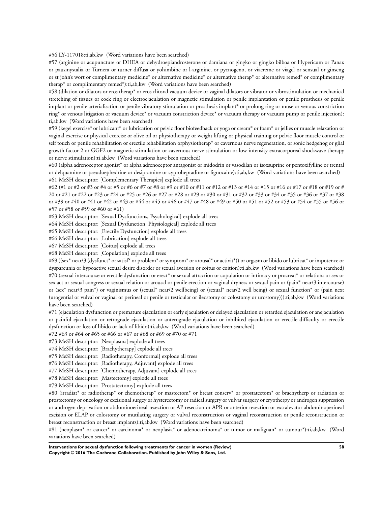#56 LY-117018:ti,ab,kw (Word variations have been searched)

#57 (arginine or acupuncture or DHEA or dehydroepiandrosterone or damiana or gingko or gingko bilboa or Hypericum or Panax or pausinystalia or Turnera or turner diffusa or yohimbine or l-arginine, or pycnogeno, or viacreme or viagel or sensual or ginseng or st john's wort or complimentary medicine\* or alternative medicine\* or alternative therap\* or alternative remed\* or complimentary therap\* or complimentary remed\*):ti,ab,kw (Word variations have been searched)

#58 (dilation or dilators or eros therap\* or eros clitoral vacuum device or vaginal dilators or vibrator or vibrostimulation or mechanical stretching of tissues or cock ring or electroejaculation or magnetic stimulation or penile implantation or penile prosthesis or penile implant or penile arterialisation or penile vibratory stimulation or prosthesis implant\* or prolong ring or muse or venous constriction ring\* or venous litigation or vacuum device\* or vacuum constriction device\* or vacuum therapy or vacuum pump or penile injection): ti,ab,kw (Word variations have been searched)

#59 (kegel exercise\* or lubricant\* or lubrication or pelvic floor biofeedback or yoga or cream\* or foam\* or jellies or muscle relaxation or vaginal exercise or physical exercise or olive oil or physiotherapy or weight lifting or physical training or pelvic floor muscle control or self touch or penile rehabilitation or erectile rehabilitation orphysiotherap\* or cavernous nerve regeneration, or sonic hedgehog or glial growth factor 2 or GGF2 or magnetic stimulation or cavernous nerve stimulation or low-intensity extracorporeal shockwave therapy or nerve stimulation):ti,ab,kw (Word variations have been searched)

#60 (alpha adrenoceptor agonist\* or alpha adrenoceptor antagonist or midodrin or vasodilan or isoxsuprine or pentoxifylline or trental or delquamine or pseudoephedrine or desipramine or cyproheptadine or lignocaine):ti,ab,kw (Word variations have been searched) #61 MeSH descriptor: [Complementary Therapies] explode all trees

#62 (#1 or #2 or #3 or #4 or #5 or #6 or #7 or #8 or #9 or #10 or #11 or #12 or #13 or #14 or #15 or #16 or #17 or #18 or #19 or # 20 or #21 or #22 or #23 or #24 or #25 or #26 or #27 or #28 or #29 or #30 or #31 or #32 or #33 or #34 or #35 or #36 or #37 or #38 or #39 or #40 or #41 or #42 or #43 or #44 or #45 or #46 or #47 or #48 or #49 or #50 or #51 or #52 or #53 or #54 or #55 or #56 or #57 or #58 or #59 or #60 or #61)

#63 MeSH descriptor: [Sexual Dysfunctions, Psychological] explode all trees

#64 MeSH descriptor: [Sexual Dysfunction, Physiological] explode all trees

#65 MeSH descriptor: [Erectile Dysfunction] explode all trees

#66 MeSH descriptor: [Lubrication] explode all trees

#67 MeSH descriptor: [Coitus] explode all trees

#68 MeSH descriptor: [Copulation] explode all trees

#69 ((sex\* near/3 (dysfunct\* or satisf\* or problem\* or symptom\* or arousal\* or activit\*)) or orgasm or libido or lubricat\* or impotence or dyspareunia or hypoactive sexual desire disorder or sexual aversion or coitus or coition):ti,ab,kw (Word variations have been searched) #70 (sexual intercourse or erectile dysfunction or erect\* or sexual attraction or copulation or intimacy or procreat\* or relations or sex or sex act or sexual congress or sexual relation or arousal or penile erection or vaginal dryness or sexual pain or (pain\* near/3 intercourse) or (sex\* near/3 pain\*) or vaginismus or (sexual\* near/2 wellbeing) or (sexual\* near/2 well being) or sexual function\* or (pain next (urogential or vulval or vaginal or perineal or penile or testicular or ileostomy or colostomy or urostomy))):ti,ab,kw (Word variations have been searched)

#71 (ejaculation dysfunction or premature ejaculation or early ejaculation or delayed ejaculation or retarded ejaculation or anejaculation or painful ejaculation or retrograde ejaculation or anterograde ejaculation or inhibited ejaculation or erectile difficulty or erectile dysfunction or loss of libido or lack of libido):ti,ab,kw (Word variations have been searched)

#72 #63 or #64 or #65 or #66 or #67 or #68 or #69 or #70 or #71

#73 MeSH descriptor: [Neoplasms] explode all trees

#74 MeSH descriptor: [Brachytherapy] explode all trees

#75 MeSH descriptor: [Radiotherapy, Conformal] explode all trees

#76 MeSH descriptor: [Radiotherapy, Adjuvant] explode all trees

#77 MeSH descriptor: [Chemotherapy, Adjuvant] explode all trees

#78 MeSH descriptor: [Mastectomy] explode all trees

#79 MeSH descriptor: [Prostatectomy] explode all trees

#80 (irradiat\* or radiotherap\* or chemotherap\* or mastectom\* or breast conserv\* or prostatectom\* or brachytherp or radiation or prostectomy or oncology or excisional surgey or hysterectomy or radical surgery or vulvar surgery or cryotherpy or androgen suppression or androgen deprivation or abdominoerineal resection or AP resection or APR or anterior resection or extralevator abdominoperineal excision or ELAP or colostomy or mutilating surgery or vulval reconstruction or vaginal reconstruction or penile reconstruction or breast reconstruction or breast implants):ti,ab,kw (Word variations have been searched)

#81 (neoplasm\* or cancer\* or carcinoma\* or neoplasia\* or adenocarcinoma\* or tumor or malignan\* or tumour\*):ti,ab,kw (Word variations have been searched)

**Interventions for sexual dysfunction following treatments for cancer in women (Review) 58 Copyright © 2016 The Cochrane Collaboration. Published by John Wiley & Sons, Ltd.**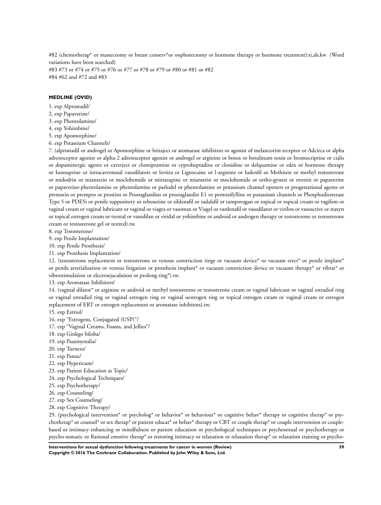#82 (chemotherap\* or mastectomy or breast conserv\*or oophorectomy or hormone therapy or hormone treatment):ti,ab,kw (Word variations have been searched)

#83 #73 or #74 or #75 or #76 or #77 or #78 or #79 or #80 or #81 or #82 #84 #62 and #72 and #83

#### **MEDLINE (OVID)**

- 1. exp Alprostadil/
- 2. exp Papaverine/
- 3. exp Phentolamine/
- 4. exp Yohimbine/
- 5. exp Apomorphine/
- 6. exp Potassium Channels/

7. (alprostadil or androgel or Apomorphine or britaject or aromatase inhibitors or agonist of melancortin receptor or Adcirca or alpha adrenoceptor agonist or alpha-2 adrenoceptor agonist or androgel or arginine or botox or botulinum toxin or bromocriptine or cialis or dopaminergic agents or caverject or clomipramine or cyproheptadine or clonidine or delquamine or edex or hormone therapy or Isoxsuprine or intracavernosal vasodilators or levitra or Lignocaine or l-arginine or lodenfil or Methitest or methyl testosterone or midodrin or mianserin or moclobemide or mirtazapine or mianserin or moclobemide or ortho-gynest or ovestin or papaverine or papaverine-phentolamine or phentolamine or parlodel or phentolamine or potassium channel openers or progestational agents or premarin or prempro or prostins or Prostaglandins or prostaglandin E1 or pentoxifylline or potassium channels or Phosphodiesterase Type 5 or PDE5i or penile suppository or reboxetine or sildenafil or tadalafil or tampovagan or topical or topical cream or vagifem or vaginal cream or vaginal lubricant or vaginal or viagra or vasomax or Viagel or vardenafil or vasodilator or virilon or vasoactive or staxyn or topical estrogen cream or trental or vasodilan or viridal or yohimbine or android or androgen therapy or testosterone or testosterone cream or testosterone gel or testred).tw.

8. exp Testosterone/

9. exp Penile Implantation/

10. exp Penile Prosthesis/

11. exp Prosthesis Implantation/

12. (testosterone replacement or testosterone or venous constriction rings or vacuum device\* or vacuum erect\* or penile implant\* or penile arterialisation or venous litigation or prosthesis implant\* or vacuum constriction device or vacuum therapy\* or vibrat\* or vibrostimulation or electroejaculation or prolong ring\*).tw.

13. exp Aromatase Inhibitors/

14. (vaginal dilator\* or arginine or android or methyl testosterone or testosterone cream or vaginal lubricant or vaginal estradiol ring or vaginal estradiol ring or vaginal estrogen ring or vaginal oestrogen ring or topical estrogen cream or vaginal cream or estrogen replacement of ERT or estrogen replacement or aromatase inhibitors).tw.

15. exp Estriol/

- 16. exp "Estrogens, Conjugated (USP)"/
- 17. exp "Vaginal Creams, Foams, and Jellies"/

18. exp Ginkgo biloba/

- 19. exp Pausinystalia/
- 20. exp Turnera/

21. exp Panax/

- 22. exp Hypericum/
- 23. exp Patient Education as Topic/
- 24. exp Psychological Techniques/
- 25. exp Psychotherapy/
- 26. exp Counseling/

27. exp Sex Counseling/

28. exp Cognitive Therapy/

29. (psychological intervention\* or psycholog\* or behavior\* or behaviour\* or cognitive behav\* therapy or cognitive therap\* or psychotherap\* or counsel\* or sex therap\* or patient educat\* or behav\* therapy or CBT or couple therap\* or couple intervention or couplebased or intimacy enhancing or mindfulness or patient education or psychological techniques or psychosexual or psychotherapy or psycho-somatic or Rational emotive therap\* or restoring intimacy or relaxation or relaxation therap\* or relaxation training or psycho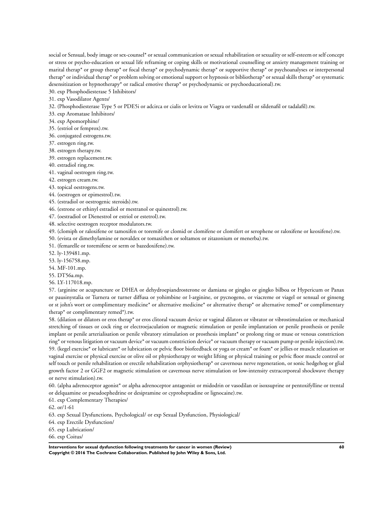social or Sensual, body image or sex-counsel\* or sexual communication or sexual rehabilitation or sexuality or self-esteem or self concept or stress or psycho-education or sexual life reframing or coping skills or motivational counselling or anxiety management training or marital therap\* or group therap\* or focal therap\* or psychodynamic therap\* or supportive therap\* or psychoanalyses or interpersonal therap\* or individual therap\* or problem solving or emotional support or hypnosis or bibliotherap\* or sexual skills therap\* or systematic desensitization or hypnotherapy\* or radical emotive therap\* or psychodynamic or psychoeducational).tw.

30. exp Phosphodiesterase 5 Inhibitors/

31. exp Vasodilator Agents/

32. (Phosphodiesterase Type 5 or PDE5i or adcirca or cialis or levitra or Viagra or vardenafil or sildenafil or tadalafil).tw.

- 33. exp Aromatase Inhibitors/
- 34. exp Apomorphine/
- 35. (estriol or femprox).tw.
- 36. conjugated estrogens.tw.
- 37. estrogen ring.tw.
- 38. estrogen therapy.tw.
- 39. estrogen replacement.tw.
- 40. estradiol ring.tw.
- 41. vaginal oestrogen ring.tw.
- 42. estrogen cream.tw.
- 43. topical oestrogens.tw.
- 44. (oestrogen or epimestrol).tw.
- 45. (estradiol or oestrogenic steroids).tw.
- 46. (estrone or ethinyl estradiol or mestranol or quinestrol).tw.
- 47. (oestradiol or Dienestrol or estriol or estetrol).tw.
- 48. selective oestrogen receptor modulators.tw.
- 49. (clomiph or raloxifene or tamoxifen or toremife or clomid or clomifene or clomifert or serophene or raloxifene or keoxifene).tw.
- 50. (evista or dimethylamine or novaldex or tomaxithen or soltamox or zitazonium or menerba).tw.
- 51. (femarelle or toremifene or serm or bazedoxifene).tw.
- 52. ly-139481.mp.
- 53. ly-156758.mp.
- 54. MF-101.mp.
- 55. DT56a.mp.
- 56. LY-117018.mp.

57. (arginine or acupuncture or DHEA or dehydroepiandrosterone or damiana or gingko or gingko bilboa or Hypericum or Panax or pausinystalia or Turnera or turner diffusa or yohimbine or l-arginine, or pycnogeno, or viacreme or viagel or sensual or ginseng or st john's wort or complimentary medicine\* or alternative medicine\* or alternative therap\* or alternative remed\* or complimentary therap\* or complimentary remed\*).tw.

58. (dilation or dilators or eros therap\* or eros clitoral vacuum device or vaginal dilators or vibrator or vibrostimulation or mechanical stretching of tissues or cock ring or electroejaculation or magnetic stimulation or penile implantation or penile prosthesis or penile implant or penile arterialisation or penile vibratory stimulation or prosthesis implant\* or prolong ring or muse or venous constriction ring\* or venous litigation or vacuum device\* or vacuum constriction device\* or vacuum therapy or vacuum pump or penile injection).tw. 59. (kegel exercise\* or lubricant\* or lubrication or pelvic floor biofeedback or yoga or cream\* or foam\* or jellies or muscle relaxation or vaginal exercise or physical exercise or olive oil or physiotherapy or weight lifting or physical training or pelvic floor muscle control or self touch or penile rehabilitation or erectile rehabilitation orphysiotherap\* or cavernous nerve regeneration, or sonic hedgehog or glial growth factor 2 or GGF2 or magnetic stimulation or cavernous nerve stimulation or low-intensity extracorporeal shockwave therapy or nerve stimulation).tw.

60. (alpha adrenoceptor agonist\* or alpha adrenoceptor antagonist or midodrin or vasodilan or isoxsuprine or pentoxifylline or trental or delquamine or pseudoephedrine or desipramine or cyproheptadine or lignocaine).tw.

- 61. exp Complementary Therapies/
- 62. or/1-61

63. exp Sexual Dysfunctions, Psychological/ or exp Sexual Dysfunction, Physiological/

- 64. exp Erectile Dysfunction/
- 65. exp Lubrication/
- 66. exp Coitus/

**Interventions for sexual dysfunction following treatments for cancer in women (Review) 60 Copyright © 2016 The Cochrane Collaboration. Published by John Wiley & Sons, Ltd.**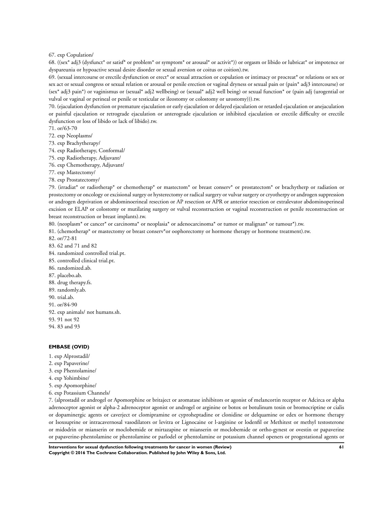67. exp Copulation/

68. ((sex\* adj3 (dysfunct\* or satisf\* or problem\* or symptom\* or arousal\* or activit\*)) or orgasm or libido or lubricat\* or impotence or dyspareunia or hypoactive sexual desire disorder or sexual aversion or coitus or coition).tw.

69. (sexual intercourse or erectile dysfunction or erect\* or sexual attraction or copulation or intimacy or procreat\* or relations or sex or sex act or sexual congress or sexual relation or arousal or penile erection or vaginal dryness or sexual pain or (pain\* adj3 intercourse) or (sex\* adj3 pain\*) or vaginismus or (sexual\* adj2 wellbeing) or (sexual\* adj2 well being) or sexual function\* or (pain adj (urogential or vulval or vaginal or perineal or penile or testicular or ileostomy or colostomy or urostomy))).tw.

70. (ejaculation dysfunction or premature ejaculation or early ejaculation or delayed ejaculation or retarded ejaculation or anejaculation or painful ejaculation or retrograde ejaculation or anterograde ejaculation or inhibited ejaculation or erectile difficulty or erectile dysfunction or loss of libido or lack of libido).tw.

71. or/63-70

72. exp Neoplasms/

73. exp Brachytherapy/

74. exp Radiotherapy, Conformal/

75. exp Radiotherapy, Adjuvant/

76. exp Chemotherapy, Adjuvant/

77. exp Mastectomy/

78. exp Prostatectomy/

79. (irradiat\* or radiotherap\* or chemotherap\* or mastectom\* or breast conserv\* or prostatectom\* or brachytherp or radiation or prostectomy or oncology or excisional surgey or hysterectomy or radical surgery or vulvar surgery or cryotherpy or androgen suppression or androgen deprivation or abdominoerineal resection or AP resection or APR or anterior resection or extralevator abdominoperineal excision or ELAP or colostomy or mutilating surgery or vulval reconstruction or vaginal reconstruction or penile reconstruction or breast reconstruction or breast implants).tw.

80. (neoplasm\* or cancer\* or carcinoma\* or neoplasia\* or adenocarcinoma\* or tumor or malignan\* or tumour\*).tw.

81. (chemotherap\* or mastectomy or breast conserv\*or oophorectomy or hormone therapy or hormone treatment).tw.

82. or/72-81

83. 62 and 71 and 82

84. randomized controlled trial.pt.

85. controlled clinical trial.pt.

86. randomized.ab.

87. placebo.ab.

88. drug therapy.fs.

89. randomly.ab.

90. trial.ab.

91. or/84-90

92. exp animals/ not humans.sh.

93. 91 not 92

94. 83 and 93

#### **EMBASE (OVID)**

- 1. exp Alprostadil/
- 2. exp Papaverine/
- 3. exp Phentolamine/
- 4. exp Yohimbine/
- 5. exp Apomorphine/
- 6. exp Potassium Channels/

7. (alprostadil or androgel or Apomorphine or britaject or aromatase inhibitors or agonist of melancortin receptor or Adcirca or alpha adrenoceptor agonist or alpha-2 adrenoceptor agonist or androgel or arginine or botox or botulinum toxin or bromocriptine or cialis or dopaminergic agents or caverject or clomipramine or cyproheptadine or clonidine or delquamine or edex or hormone therapy or Isoxsuprine or intracavernosal vasodilators or levitra or Lignocaine or l-arginine or lodenfil or Methitest or methyl testosterone or midodrin or mianserin or moclobemide or mirtazapine or mianserin or moclobemide or ortho-gynest or ovestin or papaverine or papaverine-phentolamine or phentolamine or parlodel or phentolamine or potassium channel openers or progestational agents or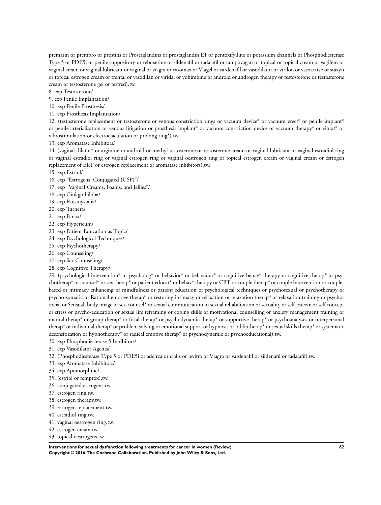premarin or prempro or prostins or Prostaglandins or prostaglandin E1 or pentoxifylline or potassium channels or Phosphodiesterase Type 5 or PDE5i or penile suppository or reboxetine or sildenafil or tadalafil or tampovagan or topical or topical cream or vagifem or vaginal cream or vaginal lubricant or vaginal or viagra or vasomax or Viagel or vardenafil or vasodilator or virilon or vasoactive or staxyn or topical estrogen cream or trental or vasodilan or viridal or yohimbine or android or androgen therapy or testosterone or testosterone cream or testosterone gel or testred).tw.

8. exp Testosterone/

9. exp Penile Implantation/

10. exp Penile Prosthesis/

11. exp Prosthesis Implantation/

12. (testosterone replacement or testosterone or venous constriction rings or vacuum device\* or vacuum erect\* or penile implant\* or penile arterialisation or venous litigation or prosthesis implant\* or vacuum constriction device or vacuum therapy\* or vibrat\* or vibrostimulation or electroejaculation or prolong ring\*).tw.

13. exp Aromatase Inhibitors/

14. (vaginal dilator\* or arginine or android or methyl testosterone or testosterone cream or vaginal lubricant or vaginal estradiol ring or vaginal estradiol ring or vaginal estrogen ring or vaginal oestrogen ring or topical estrogen cream or vaginal cream or estrogen replacement of ERT or estrogen replacement or aromatase inhibitors).tw.

15. exp Estriol/

16. exp "Estrogens, Conjugated (USP)"/

17. exp "Vaginal Creams, Foams, and Jellies"/

18. exp Ginkgo biloba/

19. exp Pausinystalia/

20. exp Turnera/

21. exp Panax/

22. exp Hypericum/

23. exp Patient Education as Topic/

24. exp Psychological Techniques/

25. exp Psychotherapy/

26. exp Counseling/

27. exp Sex Counseling/

28. exp Cognitive Therapy/

29. (psychological intervention\* or psycholog\* or behavior\* or behaviour\* or cognitive behav\* therapy or cognitive therap\* or psychotherap\* or counsel\* or sex therap\* or patient educat\* or behav\* therapy or CBT or couple therap\* or couple intervention or couplebased or intimacy enhancing or mindfulness or patient education or psychological techniques or psychosexual or psychotherapy or psycho-somatic or Rational emotive therap\* or restoring intimacy or relaxation or relaxation therap\* or relaxation training or psychosocial or Sensual, body image or sex-counsel\* or sexual communication or sexual rehabilitation or sexuality or self-esteem or self concept or stress or psycho-education or sexual life reframing or coping skills or motivational counselling or anxiety management training or marital therap\* or group therap\* or focal therap\* or psychodynamic therap\* or supportive therap\* or psychoanalyses or interpersonal therap\* or individual therap\* or problem solving or emotional support or hypnosis or bibliotherap\* or sexual skills therap\* or systematic desensitization or hypnotherapy\* or radical emotive therap\* or psychodynamic or psychoeducational).tw.

30. exp Phosphodiesterase 5 Inhibitors/

31. exp Vasodilator Agents/

32. (Phosphodiesterase Type 5 or PDE5i or adcirca or cialis or levitra or Viagra or vardenafil or sildenafil or tadalafil).tw.

33. exp Aromatase Inhibitors/

34. exp Apomorphine/

35. (estriol or femprox).tw.

36. conjugated estrogens.tw.

37. estrogen ring.tw.

38. estrogen therapy.tw.

39. estrogen replacement.tw.

40. estradiol ring.tw.

41. vaginal oestrogen ring.tw.

42. estrogen cream.tw.

43. topical oestrogens.tw.

**Interventions for sexual dysfunction following treatments for cancer in women (Review) 62 Copyright © 2016 The Cochrane Collaboration. Published by John Wiley & Sons, Ltd.**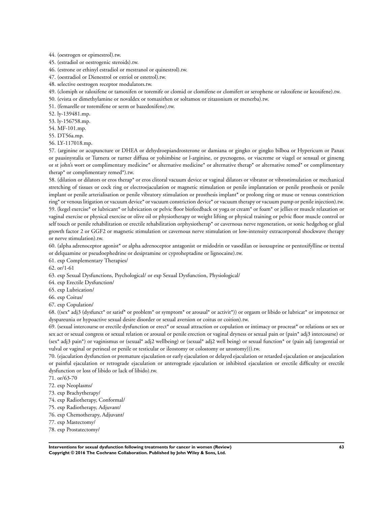44. (oestrogen or epimestrol).tw.

45. (estradiol or oestrogenic steroids).tw.

46. (estrone or ethinyl estradiol or mestranol or quinestrol).tw.

47. (oestradiol or Dienestrol or estriol or estetrol).tw.

48. selective oestrogen receptor modulators.tw.

49. (clomiph or raloxifene or tamoxifen or toremife or clomid or clomifene or clomifert or serophene or raloxifene or keoxifene).tw.

50. (evista or dimethylamine or novaldex or tomaxithen or soltamox or zitazonium or menerba).tw.

51. (femarelle or toremifene or serm or bazedoxifene).tw.

52. ly-139481.mp.

53. ly-156758.mp.

54. MF-101.mp.

55. DT56a.mp.

56. LY-117018.mp.

57. (arginine or acupuncture or DHEA or dehydroepiandrosterone or damiana or gingko or gingko bilboa or Hypericum or Panax or pausinystalia or Turnera or turner diffusa or yohimbine or l-arginine, or pycnogeno, or viacreme or viagel or sensual or ginseng or st john's wort or complimentary medicine\* or alternative medicine\* or alternative therap\* or alternative remed\* or complimentary therap\* or complimentary remed\*).tw.

58. (dilation or dilators or eros therap\* or eros clitoral vacuum device or vaginal dilators or vibrator or vibrostimulation or mechanical stretching of tissues or cock ring or electroejaculation or magnetic stimulation or penile implantation or penile prosthesis or penile implant or penile arterialisation or penile vibratory stimulation or prosthesis implant\* or prolong ring or muse or venous constriction ring\* or venous litigation or vacuum device\* or vacuum constriction device\* or vacuum therapy or vacuum pump or penile injection).tw. 59. (kegel exercise\* or lubricant\* or lubrication or pelvic floor biofeedback or yoga or cream\* or foam\* or jellies or muscle relaxation or vaginal exercise or physical exercise or olive oil or physiotherapy or weight lifting or physical training or pelvic floor muscle control or self touch or penile rehabilitation or erectile rehabilitation orphysiotherap\* or cavernous nerve regeneration, or sonic hedgehog or glial growth factor 2 or GGF2 or magnetic stimulation or cavernous nerve stimulation or low-intensity extracorporeal shockwave therapy or nerve stimulation).tw.

60. (alpha adrenoceptor agonist\* or alpha adrenoceptor antagonist or midodrin or vasodilan or isoxsuprine or pentoxifylline or trental or delquamine or pseudoephedrine or desipramine or cyproheptadine or lignocaine).tw.

61. exp Complementary Therapies/

62. or/1-61

63. exp Sexual Dysfunctions, Psychological/ or exp Sexual Dysfunction, Physiological/

64. exp Erectile Dysfunction/

65. exp Lubrication/

66. exp Coitus/

67. exp Copulation/

68. ((sex\* adj3 (dysfunct\* or satisf\* or problem\* or symptom\* or arousal\* or activit\*)) or orgasm or libido or lubricat\* or impotence or dyspareunia or hypoactive sexual desire disorder or sexual aversion or coitus or coition).tw.

69. (sexual intercourse or erectile dysfunction or erect\* or sexual attraction or copulation or intimacy or procreat\* or relations or sex or sex act or sexual congress or sexual relation or arousal or penile erection or vaginal dryness or sexual pain or (pain\* adj3 intercourse) or (sex\* adj3 pain\*) or vaginismus or (sexual\* adj2 wellbeing) or (sexual\* adj2 well being) or sexual function\* or (pain adj (urogential or vulval or vaginal or perineal or penile or testicular or ileostomy or colostomy or urostomy))).tw.

70. (ejaculation dysfunction or premature ejaculation or early ejaculation or delayed ejaculation or retarded ejaculation or anejaculation or painful ejaculation or retrograde ejaculation or anterograde ejaculation or inhibited ejaculation or erectile difficulty or erectile dysfunction or loss of libido or lack of libido).tw.

71. or/63-70

72. exp Neoplasms/

73. exp Brachytherapy/

74. exp Radiotherapy, Conformal/

75. exp Radiotherapy, Adjuvant/

76. exp Chemotherapy, Adjuvant/

77. exp Mastectomy/

78. exp Prostatectomy/

**Interventions for sexual dysfunction following treatments for cancer in women (Review) 63 Copyright © 2016 The Cochrane Collaboration. Published by John Wiley & Sons, Ltd.**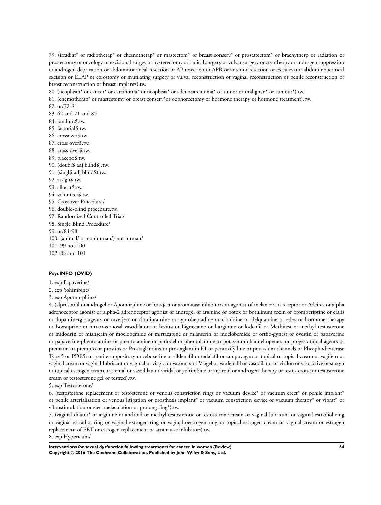79. (irradiat\* or radiotherap\* or chemotherap\* or mastectom\* or breast conserv\* or prostatectom\* or brachytherp or radiation or prostectomy or oncology or excisional surgey or hysterectomy or radical surgery or vulvar surgery or cryotherpy or androgen suppression or androgen deprivation or abdominoerineal resection or AP resection or APR or anterior resection or extralevator abdominoperineal excision or ELAP or colostomy or mutilating surgery or vulval reconstruction or vaginal reconstruction or penile reconstruction or breast reconstruction or breast implants).tw.

80. (neoplasm\* or cancer\* or carcinoma\* or neoplasia\* or adenocarcinoma\* or tumor or malignan\* or tumour\*).tw.

81. (chemotherap\* or mastectomy or breast conserv\*or oophorectomy or hormone therapy or hormone treatment).tw.

82. or/72-81

83. 62 and 71 and 82

84. random\$.tw.

- 85. factorial\$.tw.
- 86. crossover\$.tw.
- 87. cross over\$.tw.
- 88. cross-over\$.tw.
- 89. placebo\$.tw.
- 90. (doubl\$ adj blind\$).tw.
- 91. (singl\$ adj blind\$).tw.
- 92. assign\$.tw.
- 93. allocat\$.tw.
- 94. volunteer\$.tw.
- 95. Crossover Procedure/
- 96. double-blind procedure.tw.
- 97. Randomized Controlled Trial/
- 98. Single Blind Procedure/
- 99. or/84-98
- 100. (animal/ or nonhuman/) not human/
- 101. 99 not 100
- 102. 83 and 101

#### **PsycINFO (OVID)**

- 1. exp Papaverine/
- 2. exp Yohimbine/
- 3. exp Apomorphine/

4. (alprostadil or androgel or Apomorphine or britaject or aromatase inhibitors or agonist of melancortin receptor or Adcirca or alpha adrenoceptor agonist or alpha-2 adrenoceptor agonist or androgel or arginine or botox or botulinum toxin or bromocriptine or cialis or dopaminergic agents or caverject or clomipramine or cyproheptadine or clonidine or delquamine or edex or hormone therapy or Isoxsuprine or intracavernosal vasodilators or levitra or Lignocaine or l-arginine or lodenfil or Methitest or methyl testosterone or midodrin or mianserin or moclobemide or mirtazapine or mianserin or moclobemide or ortho-gynest or ovestin or papaverine or papaverine-phentolamine or phentolamine or parlodel or phentolamine or potassium channel openers or progestational agents or premarin or prempro or prostins or Prostaglandins or prostaglandin E1 or pentoxifylline or potassium channels or Phosphodiesterase Type 5 or PDE5i or penile suppository or reboxetine or sildenafil or tadalafil or tampovagan or topical or topical cream or vagifem or vaginal cream or vaginal lubricant or vaginal or viagra or vasomax or Viagel or vardenafil or vasodilator or virilon or vasoactive or staxyn or topical estrogen cream or trental or vasodilan or viridal or yohimbine or android or androgen therapy or testosterone or testosterone cream or testosterone gel or testred).tw.

5. exp Testosterone/

6. (testosterone replacement or testosterone or venous constriction rings or vacuum device\* or vacuum erect\* or penile implant\* or penile arterialisation or venous litigation or prosthesis implant\* or vacuum constriction device or vacuum therapy\* or vibrat\* or vibrostimulation or electroejaculation or prolong ring\*).tw.

7. (vaginal dilator\* or arginine or android or methyl testosterone or testosterone cream or vaginal lubricant or vaginal estradiol ring or vaginal estradiol ring or vaginal estrogen ring or vaginal oestrogen ring or topical estrogen cream or vaginal cream or estrogen replacement of ERT or estrogen replacement or aromatase inhibitors).tw.

8. exp Hypericum/

**Interventions for sexual dysfunction following treatments for cancer in women (Review) 64 Copyright © 2016 The Cochrane Collaboration. Published by John Wiley & Sons, Ltd.**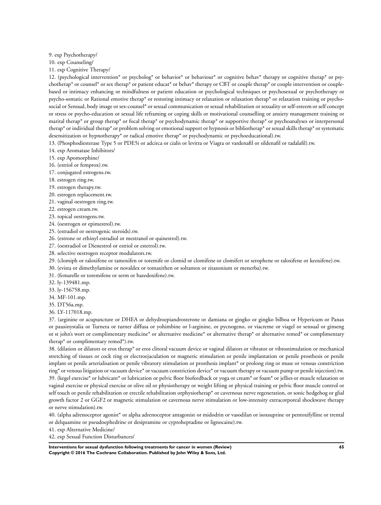9. exp Psychotherapy/

10. exp Counseling/

11. exp Cognitive Therapy/

12. (psychological intervention\* or psycholog\* or behavior\* or behaviour\* or cognitive behav\* therapy or cognitive therap\* or psychotherap\* or counsel\* or sex therap\* or patient educat\* or behav\* therapy or CBT or couple therap\* or couple intervention or couplebased or intimacy enhancing or mindfulness or patient education or psychological techniques or psychosexual or psychotherapy or psycho-somatic or Rational emotive therap\* or restoring intimacy or relaxation or relaxation therap\* or relaxation training or psychosocial or Sensual, body image or sex-counsel\* or sexual communication or sexual rehabilitation or sexuality or self-esteem or self concept or stress or psycho-education or sexual life reframing or coping skills or motivational counselling or anxiety management training or marital therap\* or group therap\* or focal therap\* or psychodynamic therap\* or supportive therap\* or psychoanalyses or interpersonal therap\* or individual therap\* or problem solving or emotional support or hypnosis or bibliotherap\* or sexual skills therap\* or systematic desensitization or hypnotherapy\* or radical emotive therap\* or psychodynamic or psychoeducational).tw.

13. (Phosphodiesterase Type 5 or PDE5i or adcirca or cialis or levitra or Viagra or vardenafil or sildenafil or tadalafil).tw.

14. exp Aromatase Inhibitors/

15. exp Apomorphine/

- 16. (estriol or femprox).tw.
- 17. conjugated estrogens.tw.
- 18. estrogen ring.tw.
- 19. estrogen therapy.tw.
- 20. estrogen replacement.tw.
- 21. vaginal oestrogen ring.tw.
- 22. estrogen cream.tw.
- 23. topical oestrogens.tw.
- 24. (oestrogen or epimestrol).tw.
- 25. (estradiol or oestrogenic steroids).tw.
- 26. (estrone or ethinyl estradiol or mestranol or quinestrol).tw.
- 27. (oestradiol or Dienestrol or estriol or estetrol).tw.
- 28. selective oestrogen receptor modulators.tw.
- 29. (clomiph or raloxifene or tamoxifen or toremife or clomid or clomifene or clomifert or serophene or raloxifene or keoxifene).tw.
- 30. (evista or dimethylamine or novaldex or tomaxithen or soltamox or zitazonium or menerba).tw.
- 31. (femarelle or toremifene or serm or bazedoxifene).tw.
- 32. ly-139481.mp.

33. ly-156758.mp.

34. MF-101.mp.

35. DT56a.mp.

36. LY-117018.mp.

37. (arginine or acupuncture or DHEA or dehydroepiandrosterone or damiana or gingko or gingko bilboa or Hypericum or Panax or pausinystalia or Turnera or turner diffusa or yohimbine or l-arginine, or pycnogeno, or viacreme or viagel or sensual or ginseng or st john's wort or complimentary medicine\* or alternative medicine\* or alternative therap\* or alternative remed\* or complimentary therap\* or complimentary remed\*).tw.

38. (dilation or dilators or eros therap\* or eros clitoral vacuum device or vaginal dilators or vibrator or vibrostimulation or mechanical stretching of tissues or cock ring or electroejaculation or magnetic stimulation or penile implantation or penile prosthesis or penile implant or penile arterialisation or penile vibratory stimulation or prosthesis implant\* or prolong ring or muse or venous constriction ring\* or venous litigation or vacuum device\* or vacuum constriction device\* or vacuum therapy or vacuum pump or penile injection).tw. 39. (kegel exercise\* or lubricant\* or lubrication or pelvic floor biofeedback or yoga or cream\* or foam\* or jellies or muscle relaxation or vaginal exercise or physical exercise or olive oil or physiotherapy or weight lifting or physical training or pelvic floor muscle control or self touch or penile rehabilitation or erectile rehabilitation orphysiotherap\* or cavernous nerve regeneration, or sonic hedgehog or glial growth factor 2 or GGF2 or magnetic stimulation or cavernous nerve stimulation or low-intensity extracorporeal shockwave therapy or nerve stimulation).tw.

40. (alpha adrenoceptor agonist\* or alpha adrenoceptor antagonist or midodrin or vasodilan or isoxsuprine or pentoxifylline or trental or delquamine or pseudoephedrine or desipramine or cyproheptadine or lignocaine).tw.

41. exp Alternative Medicine/

42. exp Sexual Function Disturbances/

**Interventions for sexual dysfunction following treatments for cancer in women (Review) 65 Copyright © 2016 The Cochrane Collaboration. Published by John Wiley & Sons, Ltd.**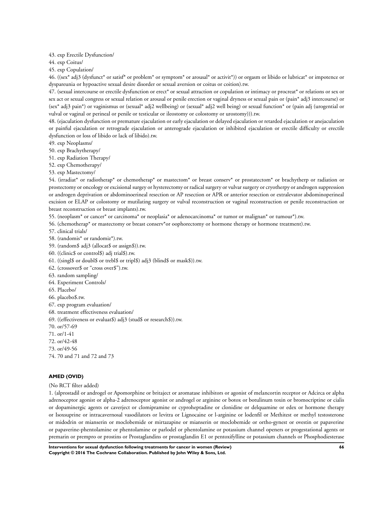43. exp Erectile Dysfunction/

44. exp Coitus/

45. exp Copulation/

46. ((sex\* adj3 (dysfunct\* or satisf\* or problem\* or symptom\* or arousal\* or activit\*)) or orgasm or libido or lubricat\* or impotence or dyspareunia or hypoactive sexual desire disorder or sexual aversion or coitus or coition).tw.

47. (sexual intercourse or erectile dysfunction or erect\* or sexual attraction or copulation or intimacy or procreat\* or relations or sex or sex act or sexual congress or sexual relation or arousal or penile erection or vaginal dryness or sexual pain or (pain\* adj3 intercourse) or (sex\* adj3 pain\*) or vaginismus or (sexual\* adj2 wellbeing) or (sexual\* adj2 well being) or sexual function\* or (pain adj (urogential or vulval or vaginal or perineal or penile or testicular or ileostomy or colostomy or urostomy))).tw.

48. (ejaculation dysfunction or premature ejaculation or early ejaculation or delayed ejaculation or retarded ejaculation or anejaculation or painful ejaculation or retrograde ejaculation or anterograde ejaculation or inhibited ejaculation or erectile difficulty or erectile dysfunction or loss of libido or lack of libido).tw.

49. exp Neoplasms/

50. exp Brachytherapy/

51. exp Radiation Therapy/

52. exp Chemotherapy/

53. exp Mastectomy/

54. (irradiat\* or radiotherap\* or chemotherap\* or mastectom\* or breast conserv\* or prostatectom\* or brachytherp or radiation or prostectomy or oncology or excisional surgey or hysterectomy or radical surgery or vulvar surgery or cryotherpy or androgen suppression or androgen deprivation or abdominoerineal resection or AP resection or APR or anterior resection or extralevator abdominoperineal excision or ELAP or colostomy or mutilating surgery or vulval reconstruction or vaginal reconstruction or penile reconstruction or breast reconstruction or breast implants).tw.

55. (neoplasm\* or cancer\* or carcinoma\* or neoplasia\* or adenocarcinoma\* or tumor or malignan\* or tumour\*).tw.

56. (chemotherap\* or mastectomy or breast conserv\*or oophorectomy or hormone therapy or hormone treatment).tw.

57. clinical trials/

58. (randomis\* or randomiz\*).tw.

59. (random\$ adj3 (allocat\$ or assign\$)).tw.

60. ((clinic\$ or control\$) adj trial\$).tw.

61. ((singl\$ or doubl\$ or trebl\$ or tripl\$) adj3 (blind\$ or mask\$)).tw.

62. (crossover\$ or "cross over\$").tw.

- 63. random sampling/
- 64. Experiment Controls/

65. Placebo/

66. placebo\$.tw.

67. exp program evaluation/

68. treatment effectiveness evaluation/

69. ((effectiveness or evaluat\$) adj3 (stud\$ or research\$)).tw.

70. or/57-69

71. or/1-41

72. or/42-48 73. or/49-56

74. 70 and 71 and 72 and 73

#### **AMED (OVID)**

(No RCT filter added)

1. (alprostadil or androgel or Apomorphine or britaject or aromatase inhibitors or agonist of melancortin receptor or Adcirca or alpha adrenoceptor agonist or alpha-2 adrenoceptor agonist or androgel or arginine or botox or botulinum toxin or bromocriptine or cialis or dopaminergic agents or caverject or clomipramine or cyproheptadine or clonidine or delquamine or edex or hormone therapy or Isoxsuprine or intracavernosal vasodilators or levitra or Lignocaine or l-arginine or lodenfil or Methitest or methyl testosterone or midodrin or mianserin or moclobemide or mirtazapine or mianserin or moclobemide or ortho-gynest or ovestin or papaverine or papaverine-phentolamine or phentolamine or parlodel or phentolamine or potassium channel openers or progestational agents or premarin or prempro or prostins or Prostaglandins or prostaglandin E1 or pentoxifylline or potassium channels or Phosphodiesterase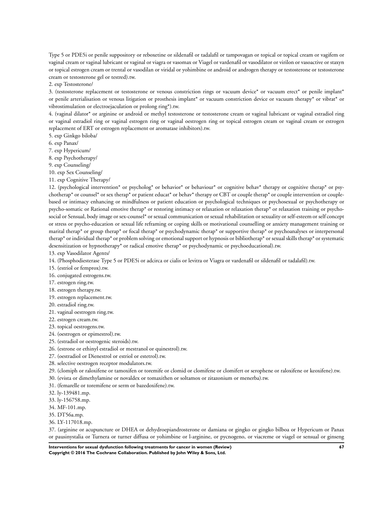Type 5 or PDE5i or penile suppository or reboxetine or sildenafil or tadalafil or tampovagan or topical or topical cream or vagifem or vaginal cream or vaginal lubricant or vaginal or viagra or vasomax or Viagel or vardenafil or vasodilator or virilon or vasoactive or staxyn or topical estrogen cream or trental or vasodilan or viridal or yohimbine or android or androgen therapy or testosterone or testosterone cream or testosterone gel or testred).tw.

2. exp Testosterone/

3. (testosterone replacement or testosterone or venous constriction rings or vacuum device\* or vacuum erect\* or penile implant\* or penile arterialisation or venous litigation or prosthesis implant\* or vacuum constriction device or vacuum therapy\* or vibrat\* or vibrostimulation or electroejaculation or prolong ring\*).tw.

4. (vaginal dilator\* or arginine or android or methyl testosterone or testosterone cream or vaginal lubricant or vaginal estradiol ring or vaginal estradiol ring or vaginal estrogen ring or vaginal oestrogen ring or topical estrogen cream or vaginal cream or estrogen replacement of ERT or estrogen replacement or aromatase inhibitors).tw.

5. exp Ginkgo biloba/

6. exp Panax/

7. exp Hypericum/

8. exp Psychotherapy/

9. exp Counseling/

10. exp Sex Counseling/

11. exp Cognitive Therapy/

12. (psychological intervention\* or psycholog\* or behavior\* or behaviour\* or cognitive behav\* therapy or cognitive therap\* or psychotherap\* or counsel\* or sex therap\* or patient educat\* or behav\* therapy or CBT or couple therap\* or couple intervention or couplebased or intimacy enhancing or mindfulness or patient education or psychological techniques or psychosexual or psychotherapy or psycho-somatic or Rational emotive therap\* or restoring intimacy or relaxation or relaxation therap\* or relaxation training or psychosocial or Sensual, body image or sex-counsel\* or sexual communication or sexual rehabilitation or sexuality or self-esteem or self concept or stress or psycho-education or sexual life reframing or coping skills or motivational counselling or anxiety management training or marital therap\* or group therap\* or focal therap\* or psychodynamic therap\* or supportive therap\* or psychoanalyses or interpersonal therap\* or individual therap\* or problem solving or emotional support or hypnosis or bibliotherap\* or sexual skills therap\* or systematic desensitization or hypnotherapy\* or radical emotive therap\* or psychodynamic or psychoeducational).tw.

13. exp Vasodilator Agents/

14. (Phosphodiesterase Type 5 or PDE5i or adcirca or cialis or levitra or Viagra or vardenafil or sildenafil or tadalafil).tw.

15. (estriol or femprox).tw.

16. conjugated estrogens.tw.

17. estrogen ring.tw.

18. estrogen therapy.tw.

19. estrogen replacement.tw.

20. estradiol ring.tw.

21. vaginal oestrogen ring.tw.

22. estrogen cream.tw.

23. topical oestrogens.tw.

24. (oestrogen or epimestrol).tw.

25. (estradiol or oestrogenic steroids).tw.

26. (estrone or ethinyl estradiol or mestranol or quinestrol).tw.

27. (oestradiol or Dienestrol or estriol or estetrol).tw.

28. selective oestrogen receptor modulators.tw.

29. (clomiph or raloxifene or tamoxifen or toremife or clomid or clomifene or clomifert or serophene or raloxifene or keoxifene).tw.

30. (evista or dimethylamine or novaldex or tomaxithen or soltamox or zitazonium or menerba).tw.

31. (femarelle or toremifene or serm or bazedoxifene).tw.

32. ly-139481.mp.

33. ly-156758.mp.

34. MF-101.mp.

35. DT56a.mp.

36. LY-117018.mp.

37. (arginine or acupuncture or DHEA or dehydroepiandrosterone or damiana or gingko or gingko bilboa or Hypericum or Panax or pausinystalia or Turnera or turner diffusa or yohimbine or l-arginine, or pycnogeno, or viacreme or viagel or sensual or ginseng

**Interventions for sexual dysfunction following treatments for cancer in women (Review) 67 Copyright © 2016 The Cochrane Collaboration. Published by John Wiley & Sons, Ltd.**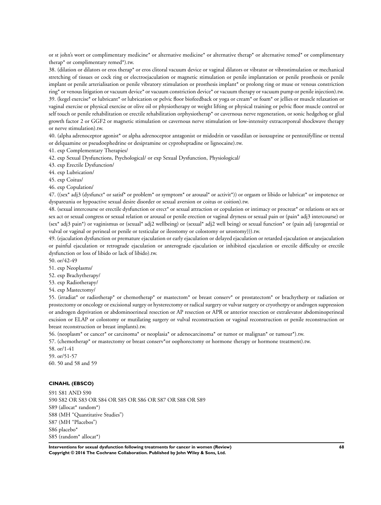or st john's wort or complimentary medicine\* or alternative medicine\* or alternative therap\* or alternative remed\* or complimentary therap\* or complimentary remed\*).tw.

38. (dilation or dilators or eros therap\* or eros clitoral vacuum device or vaginal dilators or vibrator or vibrostimulation or mechanical stretching of tissues or cock ring or electroejaculation or magnetic stimulation or penile implantation or penile prosthesis or penile implant or penile arterialisation or penile vibratory stimulation or prosthesis implant\* or prolong ring or muse or venous constriction ring\* or venous litigation or vacuum device\* or vacuum constriction device\* or vacuum therapy or vacuum pump or penile injection).tw. 39. (kegel exercise\* or lubricant\* or lubrication or pelvic floor biofeedback or yoga or cream\* or foam\* or jellies or muscle relaxation or vaginal exercise or physical exercise or olive oil or physiotherapy or weight lifting or physical training or pelvic floor muscle control or self touch or penile rehabilitation or erectile rehabilitation orphysiotherap\* or cavernous nerve regeneration, or sonic hedgehog or glial growth factor 2 or GGF2 or magnetic stimulation or cavernous nerve stimulation or low-intensity extracorporeal shockwave therapy or nerve stimulation).tw.

40. (alpha adrenoceptor agonist\* or alpha adrenoceptor antagonist or midodrin or vasodilan or isoxsuprine or pentoxifylline or trental or delquamine or pseudoephedrine or desipramine or cyproheptadine or lignocaine).tw.

41. exp Complementary Therapies/

42. exp Sexual Dysfunctions, Psychological/ or exp Sexual Dysfunction, Physiological/

43. exp Erectile Dysfunction/

44. exp Lubrication/

45. exp Coitus/

46. exp Copulation/

47. ((sex\* adj3 (dysfunct\* or satisf\* or problem\* or symptom\* or arousal\* or activit\*)) or orgasm or libido or lubricat\* or impotence or dyspareunia or hypoactive sexual desire disorder or sexual aversion or coitus or coition).tw.

48. (sexual intercourse or erectile dysfunction or erect\* or sexual attraction or copulation or intimacy or procreat\* or relations or sex or sex act or sexual congress or sexual relation or arousal or penile erection or vaginal dryness or sexual pain or (pain\* adj3 intercourse) or (sex\* adj3 pain\*) or vaginismus or (sexual\* adj2 wellbeing) or (sexual\* adj2 well being) or sexual function\* or (pain adj (urogential or vulval or vaginal or perineal or penile or testicular or ileostomy or colostomy or urostomy))).tw.

49. (ejaculation dysfunction or premature ejaculation or early ejaculation or delayed ejaculation or retarded ejaculation or anejaculation or painful ejaculation or retrograde ejaculation or anterograde ejaculation or inhibited ejaculation or erectile difficulty or erectile dysfunction or loss of libido or lack of libido).tw.

50. or/42-49

51. exp Neoplasms/

52. exp Brachytherapy/

53. exp Radiotherapy/

54. exp Mastectomy/

55. (irradiat\* or radiotherap\* or chemotherap\* or mastectom\* or breast conserv\* or prostatectom\* or brachytherp or radiation or prostectomy or oncology or excisional surgey or hysterectomy or radical surgery or vulvar surgery or cryotherpy or androgen suppression or androgen deprivation or abdominoerineal resection or AP resection or APR or anterior resection or extralevator abdominoperineal excision or ELAP or colostomy or mutilating surgery or vulval reconstruction or vaginal reconstruction or penile reconstruction or breast reconstruction or breast implants).tw.

56. (neoplasm\* or cancer\* or carcinoma\* or neoplasia\* or adenocarcinoma\* or tumor or malignan\* or tumour\*).tw.

57. (chemotherap\* or mastectomy or breast conserv\*or oophorectomy or hormone therapy or hormone treatment).tw.

58. or/1-41

59. or/51-57

60. 50 and 58 and 59

#### **CINAHL (EBSCO)**

S91 S81 AND S90 S90 S82 OR S83 OR S84 OR S85 OR S86 OR S87 OR S88 OR S89 S89 (allocat\* random\*) S88 (MH "Quantitative Studies") S87 (MH "Placebos") S86 placebo\* S85 (random\* allocat\*)

**Interventions for sexual dysfunction following treatments for cancer in women (Review) 68 Copyright © 2016 The Cochrane Collaboration. Published by John Wiley & Sons, Ltd.**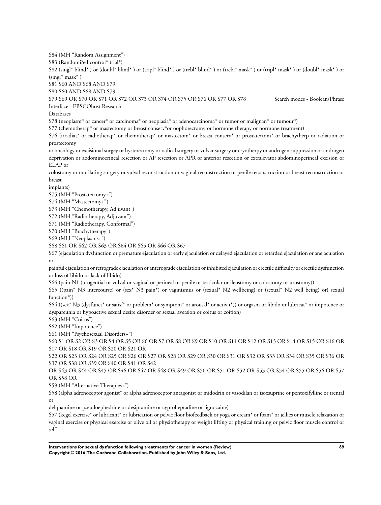S84 (MH "Random Assignment") S83 (Randomi?ed control\* trial\*) S82 (singl\* blind\* ) or (doubl\* blind\* ) or (tripl\* blind\* ) or (trebl\* blind\* ) or (trebl\* mask\* ) or (tripl\* mask\* ) or (doubl\* mask\* ) or  $(singl^* mask^*)$ S81 S60 AND S68 AND S79 S80 S60 AND S68 AND S79 S79 S69 OR S70 OR S71 OR S72 OR S73 OR S74 OR S75 OR S76 OR S77 OR S78 Search modes - Boolean/Phrase Interface - EBSCOhost Research Databases S78 (neoplasm\* or cancer\* or carcinoma\* or neoplasia\* or adenocarcinoma\* or tumor or malignan\* or tumour\*) S77 (chemotherap<sup>\*</sup> or mastectomy or breast conserv<sup>\*</sup>or oophorectomy or hormone therapy or hormone treatment) S76 (irradiat\* or radiotherap\* or chemotherap\* or mastectom\* or breast conserv\* or prostatectom\* or brachytherp or radiation or prostectomy or oncology or excisional surgey or hysterectomy or radical surgery or vulvar surgery or cryotherpy or androgen suppression or androgen deprivation or abdominoerineal resection or AP resection or APR or anterior resection or extralevator abdominoperineal excision or ELAP or colostomy or mutilating surgery or vulval reconstruction or vaginal reconstruction or penile reconstruction or breast reconstruction or breast implants) S75 (MH "Prostatectomy+") S74 (MH "Mastectomy+") S73 (MH "Chemotherapy, Adjuvant") S72 (MH "Radiotherapy, Adjuvant") S71 (MH "Radiotherapy, Conformal") S70 (MH "Brachytherapy") S69 (MH "Neoplasms+") S68 S61 OR S62 OR S63 OR S64 OR S65 OR S66 OR S67 S67 (ejaculation dysfunction or premature ejaculation or early ejaculation or delayed ejaculation or retarded ejaculation or anejaculation or painful ejaculation or retrograde ejaculation or anterograde ejaculation or inhibited ejaculation or erectile difficulty orerectile dysfunction or loss of libido or lack of libido) S66 (pain N1 (urogential or vulval or vaginal or perineal or penile or testicular or ileostomy or colostomy or urostomy)) S65 ((pain\* N3 intercourse) or (sex\* N3 pain\*) or vaginismus or (sexual\* N2 wellbeing) or (sexual\* N2 well being) or( sexual function\*)) S64 ((sex\* N3 (dysfunct\* or satisf\* or problem\* or symptom\* or arousal\* or activit\*)) or orgasm or libido or lubricat\* or impotence or dyspareunia or hypoactive sexual desire disorder or sexual aversion or coitus or coition) S63 (MH "Coitus") S62 (MH "Impotence") S61 (MH "Psychosexual Disorders+") S60 S1 OR S2 OR S3 OR S4 OR S5 OR S6 OR S7 OR S8 OR S9 OR S10 OR S11 OR S12 OR S13 OR S14 OR S15 OR S16 OR S17 OR S18 OR S19 OR S20 OR S21 OR S22 OR S23 OR S24 OR S25 OR S26 OR S27 OR S28 OR S29 OR S30 OR S31 OR S32 OR S33 OR S34 OR S35 OR S36 OR S37 OR S38 OR S39 OR S40 OR S41 OR S42 OR S43 OR S44 OR S45 OR S46 OR S47 OR S48 OR S49 OR S50 OR S51 OR S52 OR S53 OR S54 OR S55 OR S56 OR S57 OR S58 OR S59 (MH "Alternative Therapies+") S58 (alpha adrenoceptor agonist\* or alpha adrenoceptor antagonist or midodrin or vasodilan or isoxsuprine or pentoxifylline or trental or delquamine or pseudoephedrine or desipramine or cyproheptadine or lignocaine) S57 (kegel exercise\* or lubricant\* or lubrication or pelvic floor biofeedback or yoga or cream\* or foam\* or jellies or muscle relaxation or vaginal exercise or physical exercise or olive oil or physiotherapy or weight lifting or physical training or pelvic floor muscle control or self

**Interventions for sexual dysfunction following treatments for cancer in women (Review) 69 Copyright © 2016 The Cochrane Collaboration. Published by John Wiley & Sons, Ltd.**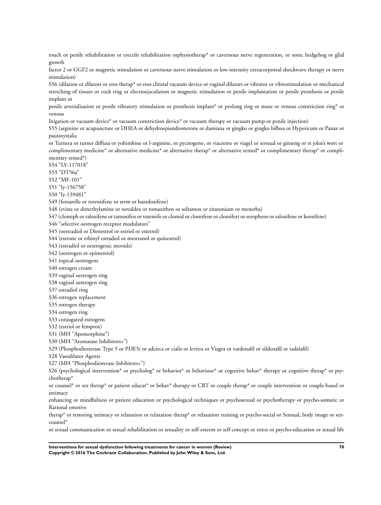touch or penile rehabilitation or erectile rehabilitation orphysiotherap\* or cavernous nerve regeneration, or sonic hedgehog or glial growth

factor 2 or GGF2 or magnetic stimulation or cavernous nerve stimulation or low-intensity extracorporeal shockwave therapy or nerve stimulation)

S56 (dilation or dilators or eros therap\* or eros clitoral vacuum device or vaginal dilators or vibrator or vibrostimulation or mechanical stretching of tissues or cock ring or electroejaculation or magnetic stimulation or penile implantation or penile prosthesis or penile implant or

penile arterialisation or penile vibratory stimulation or prosthesis implant\* or prolong ring or muse or venous constriction ring\* or venous

litigation or vacuum device\* or vacuum constriction device\* or vacuum therapy or vacuum pump or penile injection)

S55 (arginine or acupuncture or DHEA or dehydroepiandrosterone or damiana or gingko or gingko bilboa or Hypericum or Panax or pausinystalia

or Turnera or turner diffusa or yohimbine or l-arginine, or pycnogeno, or viacreme or viagel or sensual or ginseng or st john's wort or complimentary medicine\* or alternative medicine\* or alternative therap\* or alternative remed\* or complimentary therap\* or complimentary remed\*)

S54 "LY-117018"

S53 "DT56a"

S52 "MF-101"

S51 "ly-156758"

S50 "ly-139481"

S49 (femarelle or toremifene or serm or bazedoxifene)

S48 (evista or dimethylamine or novaldex or tomaxithen or soltamox or zitazonium or menerba)

S47 (clomiph or raloxifene or tamoxifen or toremife or clomid or clomifene or clomifert or serophene or raloxifene or keoxifene)

S46 "selective oestrogen receptor modulators"

S45 (oestradiol or Dienestrol or estriol or estetrol)

S44 (estrone or ethinyl estradiol or mestranol or quinestrol)

S43 (estradiol or oestrogenic steroids)

S42 (oestrogen or epimestrol)

S41 topical oestrogens

S40 estrogen cream

S39 vaginal oestrogen ring

S38 vaginal oestrogen ring

S37 estradiol ring

S36 estrogen replacement

S35 estrogen therapy

S34 estrogen ring

S33 conjugated estrogens

S32 (estriol or femprox)

S31 (MH "Apomorphine")

S30 (MH "Aromatase Inhibitors+")

S29 (Phosphodiesterase Type 5 or PDE5i or adcirca or cialis or levitra or Viagra or vardenafil or sildenafil or tadalafil)

S28 Vasodilator Agents

S27 (MH "Phosphodiesterase Inhibitors+")

S26 (psychological intervention\* or psycholog\* or behavior\* or behaviour\* or cognitive behav\* therapy or cognitive therap\* or psychotherap\*

or counsel\* or sex therap\* or patient educat\* or behav\* therapy or CBT or couple therap\* or couple intervention or couple-based or intimacy

enhancing or mindfulness or patient education or psychological techniques or psychosexual or psychotherapy or psycho-somatic or Rational emotive

therap\* or restoring intimacy or relaxation or relaxation therap\* or relaxation training or psycho-social or Sensual, body image or sexcounsel\*

or sexual communication or sexual rehabilitation or sexuality or self-esteem or self concept or stress or psycho-education or sexual life

**Interventions for sexual dysfunction following treatments for cancer in women (Review) 70 Copyright © 2016 The Cochrane Collaboration. Published by John Wiley & Sons, Ltd.**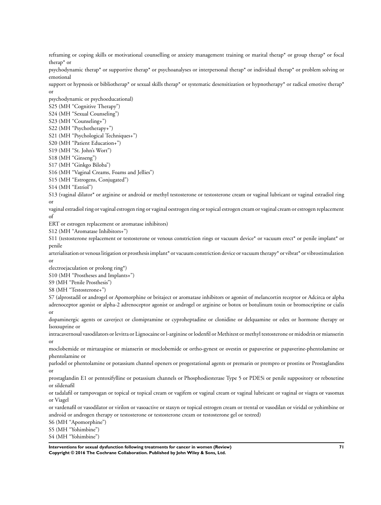reframing or coping skills or motivational counselling or anxiety management training or marital therap\* or group therap\* or focal therap\* or

psychodynamic therap\* or supportive therap\* or psychoanalyses or interpersonal therap\* or individual therap\* or problem solving or emotional

support or hypnosis or bibliotherap<sup>\*</sup> or sexual skills therap<sup>\*</sup> or systematic desensitization or hypnotherapy<sup>\*</sup> or radical emotive therap<sup>\*</sup> or

psychodynamic or psychoeducational)

S25 (MH "Cognitive Therapy")

S24 (MH "Sexual Counseling")

S23 (MH "Counseling+")

S22 (MH "Psychotherapy+")

S21 (MH "Psychological Techniques+")

S20 (MH "Patient Education+")

S19 (MH "St. John's Wort")

S18 (MH "Ginseng")

S17 (MH "Ginkgo Biloba")

S16 (MH "Vaginal Creams, Foams and Jellies")

S15 (MH "Estrogens, Conjugated")

S14 (MH "Estriol")

S13 (vaginal dilator\* or arginine or android or methyl testosterone or testosterone cream or vaginal lubricant or vaginal estradiol ring or

vaginal estradiol ring or vaginal estrogen ring or vaginal oestrogen ring or topical estrogen cream or vaginal cream or estrogen replacement of

ERT or estrogen replacement or aromatase inhibitors)

S12 (MH "Aromatase Inhibitors+")

S11 (testosterone replacement or testosterone or venous constriction rings or vacuum device\* or vacuum erect\* or penile implant\* or penile

arterialisation or venous litigation or prosthesis implant\* or vacuum constriction device or vacuum therapy\* or vibrat\* or vibrostimulation or

electroejaculation or prolong ring\*)

S10 (MH "Prostheses and Implants+")

S9 (MH "Penile Prosthesis")

S8 (MH "Testosterone+")

S7 (alprostadil or androgel or Apomorphine or britaject or aromatase inhibitors or agonist of melancortin receptor or Adcirca or alpha adrenoceptor agonist or alpha-2 adrenoceptor agonist or androgel or arginine or botox or botulinum toxin or bromocriptine or cialis or

dopaminergic agents or caverject or clomipramine or cyproheptadine or clonidine or delquamine or edex or hormone therapy or Isoxsuprine or

intracavernosal vasodilators or levitra or Lignocaine or l-arginine or lodenfil or Methitest or methyl testosterone or midodrin or mianserin or

moclobemide or mirtazapine or mianserin or moclobemide or ortho-gynest or ovestin or papaverine or papaverine-phentolamine or phentolamine or

parlodel or phentolamine or potassium channel openers or progestational agents or premarin or prempro or prostins or Prostaglandins or

prostaglandin E1 or pentoxifylline or potassium channels or Phosphodiesterase Type 5 or PDE5i or penile suppository or reboxetine or sildenafil

or tadalafil or tampovagan or topical or topical cream or vagifem or vaginal cream or vaginal lubricant or vaginal or viagra or vasomax or Viagel

or vardenafil or vasodilator or virilon or vasoactive or staxyn or topical estrogen cream or trental or vasodilan or viridal or yohimbine or android or androgen therapy or testosterone or testosterone cream or testosterone gel or testred)

S6 (MH "Apomorphine")

S5 (MH "Yohimbine")

S4 (MH "Yohimbine")

**Interventions for sexual dysfunction following treatments for cancer in women (Review) 71 Copyright © 2016 The Cochrane Collaboration. Published by John Wiley & Sons, Ltd.**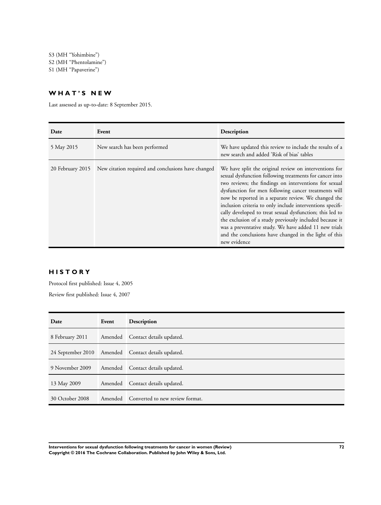S3 (MH "Yohimbine") S2 (MH "Phentolamine") S1 (MH "Papaverine")

## **W H A T ' S N E W**

Last assessed as up-to-date: 8 September 2015.

| Date             | Event                                              | Description                                                                                                                                                                                                                                                                                                                                                                                                                                                                                                                                                                                                      |
|------------------|----------------------------------------------------|------------------------------------------------------------------------------------------------------------------------------------------------------------------------------------------------------------------------------------------------------------------------------------------------------------------------------------------------------------------------------------------------------------------------------------------------------------------------------------------------------------------------------------------------------------------------------------------------------------------|
| 5 May 2015       | New search has been performed                      | We have updated this review to include the results of a<br>new search and added 'Risk of bias' tables                                                                                                                                                                                                                                                                                                                                                                                                                                                                                                            |
| 20 February 2015 | New citation required and conclusions have changed | We have split the original review on interventions for<br>sexual dysfunction following treatments for cancer into<br>two reviews; the findings on interventions for sexual<br>dysfunction for men following cancer treatments will<br>now be reported in a separate review. We changed the<br>inclusion criteria to only include interventions specifi-<br>cally developed to treat sexual dysfunction; this led to<br>the exclusion of a study previously included because it<br>was a preventative study. We have added 11 new trials<br>and the conclusions have changed in the light of this<br>new evidence |

# **H I S T O R Y**

Protocol first published: Issue 4, 2005 Review first published: Issue 4, 2007

| Date            | Event   | Description                                        |
|-----------------|---------|----------------------------------------------------|
| 8 February 2011 | Amended | Contact details updated.                           |
|                 |         | 24 September 2010 Amended Contact details updated. |
| 9 November 2009 | Amended | Contact details updated.                           |
| 13 May 2009     | Amended | Contact details updated.                           |
| 30 October 2008 |         | Amended Converted to new review format.            |

**Interventions for sexual dysfunction following treatments for cancer in women (Review) 72 Copyright © 2016 The Cochrane Collaboration. Published by John Wiley & Sons, Ltd.**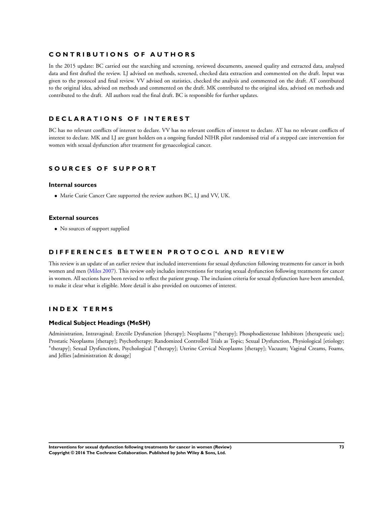### **C O N T R I B U T I O N S O F A U T H O R S**

In the 2015 update: BC carried out the searching and screening, reviewed documents, assessed quality and extracted data, analysed data and first drafted the review. LJ advised on methods, screened, checked data extraction and commented on the draft. Input was given to the protocol and final review. VV advised on statistics, checked the analysis and commented on the draft. AT contributed to the original idea, advised on methods and commented on the draft. MK contributed to the original idea, advised on methods and contributed to the draft. All authors read the final draft. BC is responsible for further updates.

## **D E C L A R A T I O N S O F I N T E R E S T**

BC has no relevant conflicts of interest to declare. VV has no relevant conflicts of interest to declare. AT has no relevant conflicts of interest to declare. MK and LJ are grant holders on a ongoing funded NIHR pilot randomised trial of a stepped care intervention for women with sexual dysfunction after treatment for gynaecological cancer.

### **S O U R C E S O F S U P P O R T**

#### **Internal sources**

• Marie Curie Cancer Care supported the review authors BC, LJ and VV, UK.

#### **External sources**

• No sources of support supplied

### **DIFFERENCES BETWEEN PROTOCOL AND REVIEW**

This review is an update of an earlier review that included interventions for sexual dysfunction following treatments for cancer in both women and men [\(Miles 2007](#page-22-0)). This review only includes interventions for treating sexual dysfunction following treatments for cancer in women. All sections have been revised to reflect the patient group. The inclusion criteria for sexual dysfunction have been amended, to make it clear what is eligible. More detail is also provided on outcomes of interest.

### **I N D E X T E R M S**

#### **Medical Subject Headings (MeSH)**

Administration, Intravaginal; Erectile Dysfunction [therapy]; Neoplasms [<sup>∗</sup> therapy]; Phosphodiesterase Inhibitors [therapeutic use]; Prostatic Neoplasms [therapy]; Psychotherapy; Randomized Controlled Trials as Topic; Sexual Dysfunction, Physiological [etiology; ∗ therapy]; Sexual Dysfunctions, Psychological [<sup>∗</sup> therapy]; Uterine Cervical Neoplasms [therapy]; Vacuum; Vaginal Creams, Foams, and Jellies [administration & dosage]